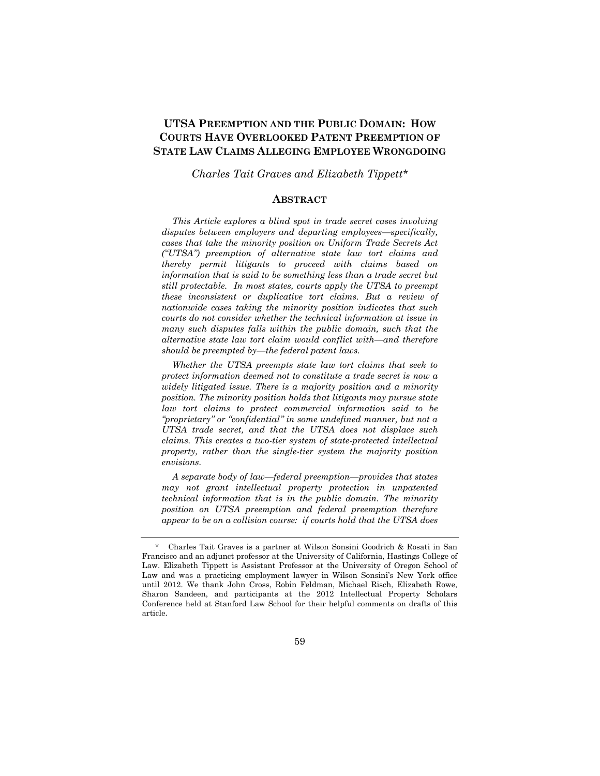# **UTSA PREEMPTION AND THE PUBLIC DOMAIN: HOW COURTS HAVE OVERLOOKED PATENT PREEMPTION OF STATE LAW CLAIMS ALLEGING EMPLOYEE WRONGDOING**

*Charles Tait Graves and Elizabeth Tippett\**

### **ABSTRACT**

*This Article explores a blind spot in trade secret cases involving disputes between employers and departing employees—specifically, cases that take the minority position on Uniform Trade Secrets Act ("UTSA") preemption of alternative state law tort claims and thereby permit litigants to proceed with claims based on information that is said to be something less than a trade secret but still protectable. In most states, courts apply the UTSA to preempt these inconsistent or duplicative tort claims. But a review of nationwide cases taking the minority position indicates that such courts do not consider whether the technical information at issue in many such disputes falls within the public domain, such that the alternative state law tort claim would conflict with—and therefore should be preempted by—the federal patent laws.* 

*Whether the UTSA preempts state law tort claims that seek to protect information deemed not to constitute a trade secret is now a widely litigated issue. There is a majority position and a minority position. The minority position holds that litigants may pursue state law tort claims to protect commercial information said to be "proprietary" or "confidential" in some undefined manner, but not a UTSA trade secret, and that the UTSA does not displace such claims. This creates a two-tier system of state-protected intellectual property, rather than the single-tier system the majority position envisions.*

*A separate body of law—federal preemption—provides that states may not grant intellectual property protection in unpatented technical information that is in the public domain. The minority position on UTSA preemption and federal preemption therefore appear to be on a collision course: if courts hold that the UTSA does* 

 <sup>\*</sup> Charles Tait Graves is a partner at Wilson Sonsini Goodrich & Rosati in San Francisco and an adjunct professor at the University of California, Hastings College of Law. Elizabeth Tippett is Assistant Professor at the University of Oregon School of Law and was a practicing employment lawyer in Wilson Sonsini's New York office until 2012. We thank John Cross, Robin Feldman, Michael Risch, Elizabeth Rowe, Sharon Sandeen, and participants at the 2012 Intellectual Property Scholars Conference held at Stanford Law School for their helpful comments on drafts of this article.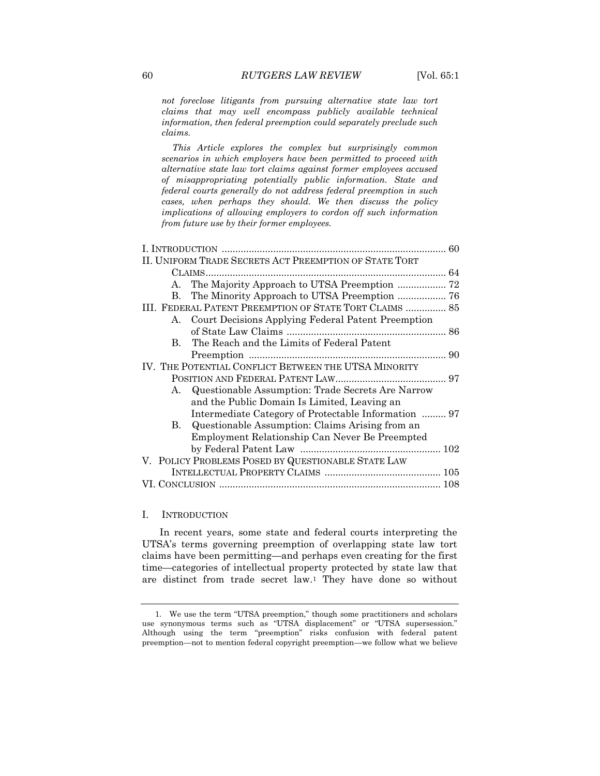*not foreclose litigants from pursuing alternative state law tort claims that may well encompass publicly available technical information, then federal preemption could separately preclude such claims.* 

*This Article explores the complex but surprisingly common scenarios in which employers have been permitted to proceed with alternative state law tort claims against former employees accused of misappropriating potentially public information. State and federal courts generally do not address federal preemption in such cases, when perhaps they should. We then discuss the policy implications of allowing employers to cordon off such information from future use by their former employees.*

| II. UNIFORM TRADE SECRETS ACT PREEMPTION OF STATE TORT  |                                                       |  |
|---------------------------------------------------------|-------------------------------------------------------|--|
|                                                         |                                                       |  |
| A.                                                      |                                                       |  |
| B.                                                      |                                                       |  |
| III. FEDERAL PATENT PREEMPTION OF STATE TORT CLAIMS  85 |                                                       |  |
|                                                         | A. Court Decisions Applying Federal Patent Preemption |  |
|                                                         |                                                       |  |
| B.                                                      | The Reach and the Limits of Federal Patent            |  |
|                                                         |                                                       |  |
| IV. THE POTENTIAL CONFLICT BETWEEN THE UTSA MINORITY    |                                                       |  |
|                                                         |                                                       |  |
| A.                                                      | Questionable Assumption: Trade Secrets Are Narrow     |  |
|                                                         | and the Public Domain Is Limited, Leaving an          |  |
|                                                         | Intermediate Category of Protectable Information  97  |  |
| B.                                                      | Questionable Assumption: Claims Arising from an       |  |
|                                                         | Employment Relationship Can Never Be Preempted        |  |
|                                                         |                                                       |  |
| V. POLICY PROBLEMS POSED BY QUESTIONABLE STATE LAW      |                                                       |  |
|                                                         |                                                       |  |
|                                                         |                                                       |  |
|                                                         |                                                       |  |

#### I. INTRODUCTION

In recent years, some state and federal courts interpreting the UTSA's terms governing preemption of overlapping state law tort claims have been permitting—and perhaps even creating for the first time—categories of intellectual property protected by state law that are distinct from trade secret law.<sup>1</sup> They have done so without

<sup>1.</sup> We use the term "UTSA preemption," though some practitioners and scholars use synonymous terms such as "UTSA displacement" or "UTSA supersession." Although using the term "preemption" risks confusion with federal patent preemption—not to mention federal copyright preemption—we follow what we believe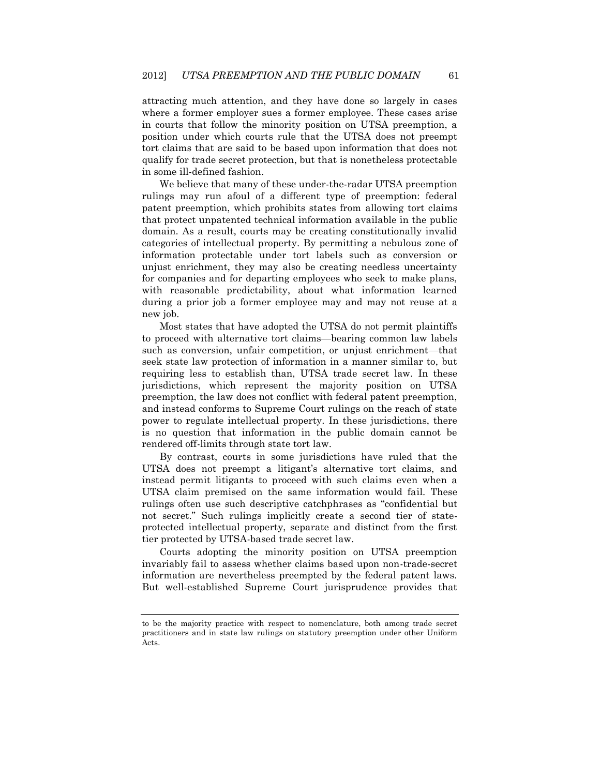attracting much attention, and they have done so largely in cases where a former employer sues a former employee. These cases arise in courts that follow the minority position on UTSA preemption, a position under which courts rule that the UTSA does not preempt tort claims that are said to be based upon information that does not qualify for trade secret protection, but that is nonetheless protectable in some ill-defined fashion.

We believe that many of these under-the-radar UTSA preemption rulings may run afoul of a different type of preemption: federal patent preemption, which prohibits states from allowing tort claims that protect unpatented technical information available in the public domain. As a result, courts may be creating constitutionally invalid categories of intellectual property. By permitting a nebulous zone of information protectable under tort labels such as conversion or unjust enrichment, they may also be creating needless uncertainty for companies and for departing employees who seek to make plans, with reasonable predictability, about what information learned during a prior job a former employee may and may not reuse at a new job.

Most states that have adopted the UTSA do not permit plaintiffs to proceed with alternative tort claims—bearing common law labels such as conversion, unfair competition, or unjust enrichment—that seek state law protection of information in a manner similar to, but requiring less to establish than, UTSA trade secret law. In these jurisdictions, which represent the majority position on UTSA preemption, the law does not conflict with federal patent preemption, and instead conforms to Supreme Court rulings on the reach of state power to regulate intellectual property. In these jurisdictions, there is no question that information in the public domain cannot be rendered off-limits through state tort law.

By contrast, courts in some jurisdictions have ruled that the UTSA does not preempt a litigant's alternative tort claims, and instead permit litigants to proceed with such claims even when a UTSA claim premised on the same information would fail. These rulings often use such descriptive catchphrases as "confidential but not secret." Such rulings implicitly create a second tier of stateprotected intellectual property, separate and distinct from the first tier protected by UTSA-based trade secret law.

Courts adopting the minority position on UTSA preemption invariably fail to assess whether claims based upon non-trade-secret information are nevertheless preempted by the federal patent laws. But well-established Supreme Court jurisprudence provides that

to be the majority practice with respect to nomenclature, both among trade secret practitioners and in state law rulings on statutory preemption under other Uniform Acts.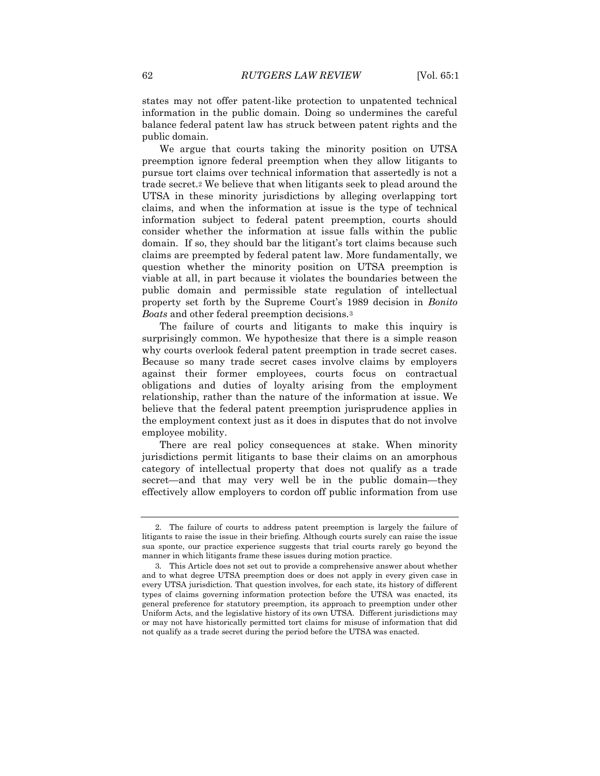states may not offer patent-like protection to unpatented technical information in the public domain. Doing so undermines the careful balance federal patent law has struck between patent rights and the public domain.

We argue that courts taking the minority position on UTSA preemption ignore federal preemption when they allow litigants to pursue tort claims over technical information that assertedly is not a trade secret.<sup>2</sup> We believe that when litigants seek to plead around the UTSA in these minority jurisdictions by alleging overlapping tort claims, and when the information at issue is the type of technical information subject to federal patent preemption, courts should consider whether the information at issue falls within the public domain. If so, they should bar the litigant's tort claims because such claims are preempted by federal patent law. More fundamentally, we question whether the minority position on UTSA preemption is viable at all, in part because it violates the boundaries between the public domain and permissible state regulation of intellectual property set forth by the Supreme Court's 1989 decision in *Bonito Boats* and other federal preemption decisions.<sup>3</sup>

The failure of courts and litigants to make this inquiry is surprisingly common. We hypothesize that there is a simple reason why courts overlook federal patent preemption in trade secret cases. Because so many trade secret cases involve claims by employers against their former employees, courts focus on contractual obligations and duties of loyalty arising from the employment relationship, rather than the nature of the information at issue. We believe that the federal patent preemption jurisprudence applies in the employment context just as it does in disputes that do not involve employee mobility.

There are real policy consequences at stake. When minority jurisdictions permit litigants to base their claims on an amorphous category of intellectual property that does not qualify as a trade secret—and that may very well be in the public domain—they effectively allow employers to cordon off public information from use

<sup>2.</sup> The failure of courts to address patent preemption is largely the failure of litigants to raise the issue in their briefing. Although courts surely can raise the issue sua sponte, our practice experience suggests that trial courts rarely go beyond the manner in which litigants frame these issues during motion practice.

<sup>3.</sup> This Article does not set out to provide a comprehensive answer about whether and to what degree UTSA preemption does or does not apply in every given case in every UTSA jurisdiction. That question involves, for each state, its history of different types of claims governing information protection before the UTSA was enacted, its general preference for statutory preemption, its approach to preemption under other Uniform Acts, and the legislative history of its own UTSA. Different jurisdictions may or may not have historically permitted tort claims for misuse of information that did not qualify as a trade secret during the period before the UTSA was enacted.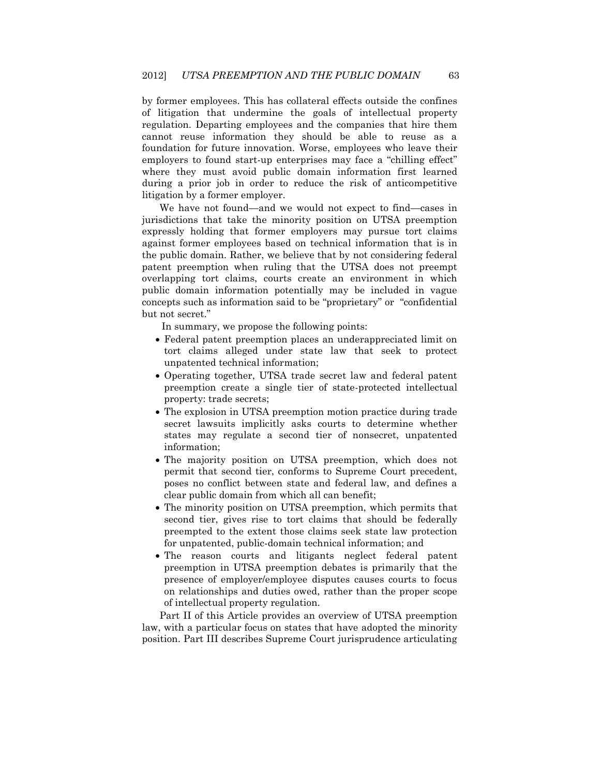by former employees. This has collateral effects outside the confines of litigation that undermine the goals of intellectual property regulation. Departing employees and the companies that hire them cannot reuse information they should be able to reuse as a foundation for future innovation. Worse, employees who leave their employers to found start-up enterprises may face a "chilling effect" where they must avoid public domain information first learned during a prior job in order to reduce the risk of anticompetitive litigation by a former employer.

We have not found—and we would not expect to find—cases in jurisdictions that take the minority position on UTSA preemption expressly holding that former employers may pursue tort claims against former employees based on technical information that is in the public domain. Rather, we believe that by not considering federal patent preemption when ruling that the UTSA does not preempt overlapping tort claims, courts create an environment in which public domain information potentially may be included in vague concepts such as information said to be "proprietary" or "confidential but not secret."

In summary, we propose the following points:

- Federal patent preemption places an underappreciated limit on tort claims alleged under state law that seek to protect unpatented technical information;
- Operating together, UTSA trade secret law and federal patent preemption create a single tier of state-protected intellectual property: trade secrets;
- The explosion in UTSA preemption motion practice during trade secret lawsuits implicitly asks courts to determine whether states may regulate a second tier of nonsecret, unpatented information;
- The majority position on UTSA preemption, which does not permit that second tier, conforms to Supreme Court precedent, poses no conflict between state and federal law, and defines a clear public domain from which all can benefit;
- The minority position on UTSA preemption, which permits that second tier, gives rise to tort claims that should be federally preempted to the extent those claims seek state law protection for unpatented, public-domain technical information; and
- The reason courts and litigants neglect federal patent preemption in UTSA preemption debates is primarily that the presence of employer/employee disputes causes courts to focus on relationships and duties owed, rather than the proper scope of intellectual property regulation.

Part II of this Article provides an overview of UTSA preemption law, with a particular focus on states that have adopted the minority position. Part III describes Supreme Court jurisprudence articulating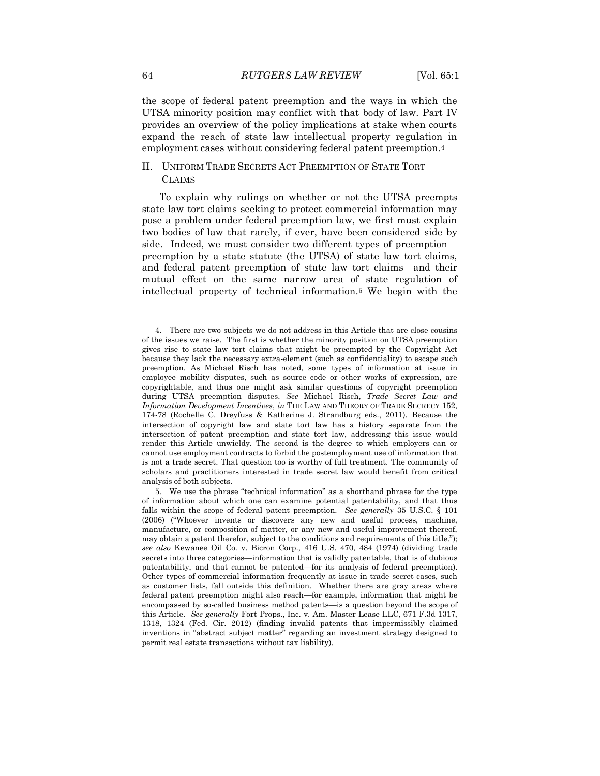the scope of federal patent preemption and the ways in which the UTSA minority position may conflict with that body of law. Part IV provides an overview of the policy implications at stake when courts expand the reach of state law intellectual property regulation in employment cases without considering federal patent preemption.<sup>4</sup>

## II. UNIFORM TRADE SECRETS ACT PREEMPTION OF STATE TORT CLAIMS

To explain why rulings on whether or not the UTSA preempts state law tort claims seeking to protect commercial information may pose a problem under federal preemption law, we first must explain two bodies of law that rarely, if ever, have been considered side by side. Indeed, we must consider two different types of preemption preemption by a state statute (the UTSA) of state law tort claims, and federal patent preemption of state law tort claims—and their mutual effect on the same narrow area of state regulation of intellectual property of technical information.<sup>5</sup> We begin with the

<sup>4.</sup> There are two subjects we do not address in this Article that are close cousins of the issues we raise. The first is whether the minority position on UTSA preemption gives rise to state law tort claims that might be preempted by the Copyright Act because they lack the necessary extra-element (such as confidentiality) to escape such preemption. As Michael Risch has noted, some types of information at issue in employee mobility disputes, such as source code or other works of expression, are copyrightable, and thus one might ask similar questions of copyright preemption during UTSA preemption disputes. *See* Michael Risch, *Trade Secret Law and Information Development Incentives*, *in* THE LAW AND THEORY OF TRADE SECRECY 152, 174-78 (Rochelle C. Dreyfuss & Katherine J. Strandburg eds., 2011). Because the intersection of copyright law and state tort law has a history separate from the intersection of patent preemption and state tort law, addressing this issue would render this Article unwieldy. The second is the degree to which employers can or cannot use employment contracts to forbid the postemployment use of information that is not a trade secret. That question too is worthy of full treatment. The community of scholars and practitioners interested in trade secret law would benefit from critical analysis of both subjects.

<sup>5.</sup> We use the phrase "technical information" as a shorthand phrase for the type of information about which one can examine potential patentability, and that thus falls within the scope of federal patent preemption. *See generally* 35 U.S.C. § 101 (2006) ("Whoever invents or discovers any new and useful process, machine, manufacture, or composition of matter, or any new and useful improvement thereof, may obtain a patent therefor, subject to the conditions and requirements of this title."); *see also* Kewanee Oil Co. v. Bicron Corp., 416 U.S. 470, 484 (1974) (dividing trade secrets into three categories—information that is validly patentable, that is of dubious patentability, and that cannot be patented—for its analysis of federal preemption). Other types of commercial information frequently at issue in trade secret cases, such as customer lists, fall outside this definition. Whether there are gray areas where federal patent preemption might also reach—for example, information that might be encompassed by so-called business method patents—is a question beyond the scope of this Article. *See generally* Fort Props., Inc. v. Am. Master Lease LLC, 671 F.3d 1317, 1318, 1324 (Fed. Cir. 2012) (finding invalid patents that impermissibly claimed inventions in "abstract subject matter" regarding an investment strategy designed to permit real estate transactions without tax liability).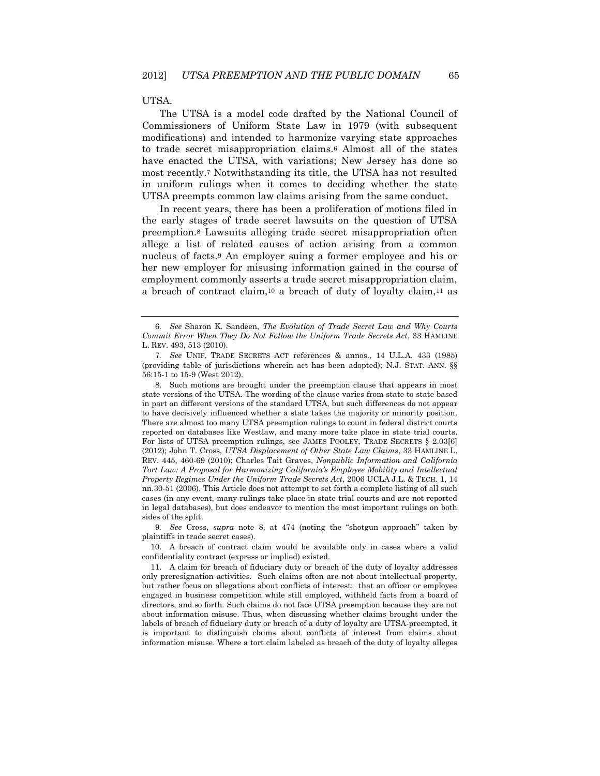#### UTSA.

The UTSA is a model code drafted by the National Council of Commissioners of Uniform State Law in 1979 (with subsequent modifications) and intended to harmonize varying state approaches to trade secret misappropriation claims.<sup>6</sup> Almost all of the states have enacted the UTSA, with variations; New Jersey has done so most recently.<sup>7</sup> Notwithstanding its title, the UTSA has not resulted in uniform rulings when it comes to deciding whether the state UTSA preempts common law claims arising from the same conduct.

In recent years, there has been a proliferation of motions filed in the early stages of trade secret lawsuits on the question of UTSA preemption.<sup>8</sup> Lawsuits alleging trade secret misappropriation often allege a list of related causes of action arising from a common nucleus of facts.<sup>9</sup> An employer suing a former employee and his or her new employer for misusing information gained in the course of employment commonly asserts a trade secret misappropriation claim, a breach of contract claim,<sup>10</sup> a breach of duty of loyalty claim,<sup>11</sup> as

8. Such motions are brought under the preemption clause that appears in most state versions of the UTSA. The wording of the clause varies from state to state based in part on different versions of the standard UTSA, but such differences do not appear to have decisively influenced whether a state takes the majority or minority position. There are almost too many UTSA preemption rulings to count in federal district courts reported on databases like Westlaw, and many more take place in state trial courts. For lists of UTSA preemption rulings, see JAMES POOLEY, TRADE SECRETS § 2.03[6] (2012); John T. Cross, *UTSA Displacement of Other State Law Claims*, 33 HAMLINE L. REV. 445, 460-69 (2010); Charles Tait Graves, *Nonpublic Information and California Tort Law: A Proposal for Harmonizing California's Employee Mobility and Intellectual Property Regimes Under the Uniform Trade Secrets Act*, 2006 UCLA J.L. & TECH. 1, 14 nn.30-51 (2006). This Article does not attempt to set forth a complete listing of all such cases (in any event, many rulings take place in state trial courts and are not reported in legal databases), but does endeavor to mention the most important rulings on both sides of the split.

9*. See* Cross, *supra* note 8, at 474 (noting the "shotgun approach" taken by plaintiffs in trade secret cases).

10. A breach of contract claim would be available only in cases where a valid confidentiality contract (express or implied) existed.

<sup>6</sup>*. See* Sharon K. Sandeen, *The Evolution of Trade Secret Law and Why Courts Commit Error When They Do Not Follow the Uniform Trade Secrets Act*, 33 HAMLINE L. REV. 493, 513 (2010).

<sup>7</sup>*. See* UNIF. TRADE SECRETS ACT references & annos., 14 U.L.A. 433 (1985) (providing table of jurisdictions wherein act has been adopted); N.J. STAT. ANN. §§ 56:15-1 to 15-9 (West 2012).

<sup>11.</sup> A claim for breach of fiduciary duty or breach of the duty of loyalty addresses only preresignation activities. Such claims often are not about intellectual property, but rather focus on allegations about conflicts of interest: that an officer or employee engaged in business competition while still employed, withheld facts from a board of directors, and so forth. Such claims do not face UTSA preemption because they are not about information misuse. Thus, when discussing whether claims brought under the labels of breach of fiduciary duty or breach of a duty of loyalty are UTSA-preempted, it is important to distinguish claims about conflicts of interest from claims about information misuse. Where a tort claim labeled as breach of the duty of loyalty alleges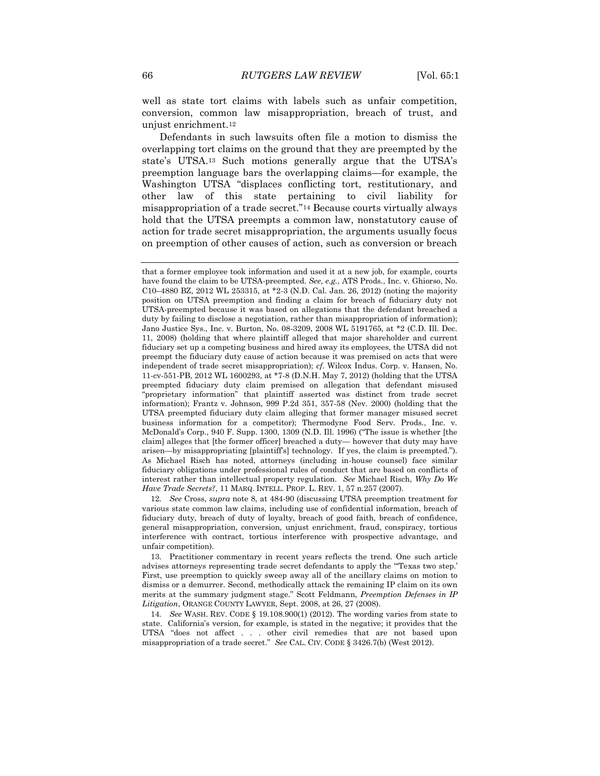well as state tort claims with labels such as unfair competition, conversion, common law misappropriation, breach of trust, and unjust enrichment.<sup>12</sup>

Defendants in such lawsuits often file a motion to dismiss the overlapping tort claims on the ground that they are preempted by the state's UTSA.<sup>13</sup> Such motions generally argue that the UTSA's preemption language bars the overlapping claims—for example, the Washington UTSA "displaces conflicting tort, restitutionary, and other law of this state pertaining to civil liability for misappropriation of a trade secret."<sup>14</sup> Because courts virtually always hold that the UTSA preempts a common law, nonstatutory cause of action for trade secret misappropriation, the arguments usually focus on preemption of other causes of action, such as conversion or breach

12*. See* Cross, *supra* note 8, at 484-90 (discussing UTSA preemption treatment for various state common law claims, including use of confidential information, breach of fiduciary duty, breach of duty of loyalty, breach of good faith, breach of confidence, general misappropriation, conversion, unjust enrichment, fraud, conspiracy, tortious interference with contract, tortious interference with prospective advantage, and unfair competition).

13. Practitioner commentary in recent years reflects the trend. One such article advises attorneys representing trade secret defendants to apply the "'Texas two step.' First, use preemption to quickly sweep away all of the ancillary claims on motion to dismiss or a demurrer. Second, methodically attack the remaining IP claim on its own merits at the summary judgment stage." Scott Feldmann, *Preemption Defenses in IP Litigation*, ORANGE COUNTY LAWYER, Sept. 2008, at 26, 27 (2008).

14*. See* WASH. REV. CODE § 19.108.900(1) (2012). The wording varies from state to state. California's version, for example, is stated in the negative; it provides that the UTSA "does not affect . . . other civil remedies that are not based upon misappropriation of a trade secret." *See* CAL. CIV. CODE § 3426.7(b) (West 2012).

that a former employee took information and used it at a new job, for example, courts have found the claim to be UTSA-preempted. *See, e.g.*, ATS Prods., Inc. v. Ghiorso, No. C10–4880 BZ, 2012 WL 253315, at \*2-3 (N.D. Cal. Jan. 26, 2012) (noting the majority position on UTSA preemption and finding a claim for breach of fiduciary duty not UTSA-preempted because it was based on allegations that the defendant breached a duty by failing to disclose a negotiation, rather than misappropriation of information); Jano Justice Sys., Inc. v. Burton, No. 08-3209, 2008 WL 5191765, at \*2 (C.D. Ill. Dec. 11, 2008) (holding that where plaintiff alleged that major shareholder and current fiduciary set up a competing business and hired away its employees, the UTSA did not preempt the fiduciary duty cause of action because it was premised on acts that were independent of trade secret misappropriation); *cf*. Wilcox Indus. Corp. v. Hansen, No. 11-cv-551-PB, 2012 WL 1600293, at \*7-8 (D.N.H. May 7, 2012) (holding that the UTSA preempted fiduciary duty claim premised on allegation that defendant misused "proprietary information" that plaintiff asserted was distinct from trade secret information); Frantz v. Johnson, 999 P.2d 351, 357-58 (Nev. 2000) (holding that the UTSA preempted fiduciary duty claim alleging that former manager misused secret business information for a competitor); Thermodyne Food Serv. Prods., Inc. v. McDonald's Corp., 940 F. Supp. 1300, 1309 (N.D. Ill. 1996) ("The issue is whether [the claim] alleges that [the former officer] breached a duty— however that duty may have arisen—by misappropriating [plaintiff's] technology. If yes, the claim is preempted."). As Michael Risch has noted, attorneys (including in-house counsel) face similar fiduciary obligations under professional rules of conduct that are based on conflicts of interest rather than intellectual property regulation. *See* Michael Risch, *Why Do We Have Trade Secrets?*, 11 MARQ. INTELL. PROP. L. REV. 1, 57 n.257 (2007).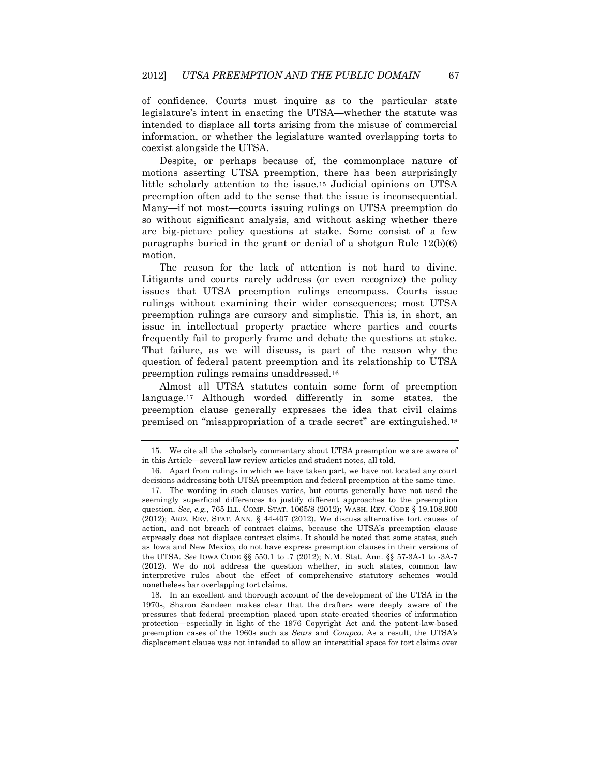of confidence. Courts must inquire as to the particular state legislature's intent in enacting the UTSA—whether the statute was intended to displace all torts arising from the misuse of commercial information, or whether the legislature wanted overlapping torts to coexist alongside the UTSA.

Despite, or perhaps because of, the commonplace nature of motions asserting UTSA preemption, there has been surprisingly little scholarly attention to the issue.<sup>15</sup> Judicial opinions on UTSA preemption often add to the sense that the issue is inconsequential. Many—if not most—courts issuing rulings on UTSA preemption do so without significant analysis, and without asking whether there are big-picture policy questions at stake. Some consist of a few paragraphs buried in the grant or denial of a shotgun Rule 12(b)(6) motion.

The reason for the lack of attention is not hard to divine. Litigants and courts rarely address (or even recognize) the policy issues that UTSA preemption rulings encompass. Courts issue rulings without examining their wider consequences; most UTSA preemption rulings are cursory and simplistic. This is, in short, an issue in intellectual property practice where parties and courts frequently fail to properly frame and debate the questions at stake. That failure, as we will discuss, is part of the reason why the question of federal patent preemption and its relationship to UTSA preemption rulings remains unaddressed.<sup>16</sup>

Almost all UTSA statutes contain some form of preemption language.<sup>17</sup> Although worded differently in some states, the preemption clause generally expresses the idea that civil claims premised on "misappropriation of a trade secret" are extinguished.<sup>18</sup>

<sup>15.</sup> We cite all the scholarly commentary about UTSA preemption we are aware of in this Article—several law review articles and student notes, all told.

<sup>16.</sup> Apart from rulings in which we have taken part, we have not located any court decisions addressing both UTSA preemption and federal preemption at the same time.

<sup>17.</sup> The wording in such clauses varies, but courts generally have not used the seemingly superficial differences to justify different approaches to the preemption question. *See, e.g.*, 765 ILL. COMP. STAT. 1065/8 (2012); WASH. REV. CODE § 19.108.900 (2012); ARIZ. REV. STAT. ANN. § 44-407 (2012). We discuss alternative tort causes of action, and not breach of contract claims, because the UTSA's preemption clause expressly does not displace contract claims. It should be noted that some states, such as Iowa and New Mexico, do not have express preemption clauses in their versions of the UTSA. *See* IOWA CODE §§ 550.1 to .7 (2012); N.M. Stat. Ann. §§ 57-3A-1 to -3A-7 (2012). We do not address the question whether, in such states, common law interpretive rules about the effect of comprehensive statutory schemes would nonetheless bar overlapping tort claims.

<sup>18.</sup> In an excellent and thorough account of the development of the UTSA in the 1970s, Sharon Sandeen makes clear that the drafters were deeply aware of the pressures that federal preemption placed upon state-created theories of information protection—especially in light of the 1976 Copyright Act and the patent-law-based preemption cases of the 1960s such as *Sears* and *Compco*. As a result, the UTSA's displacement clause was not intended to allow an interstitial space for tort claims over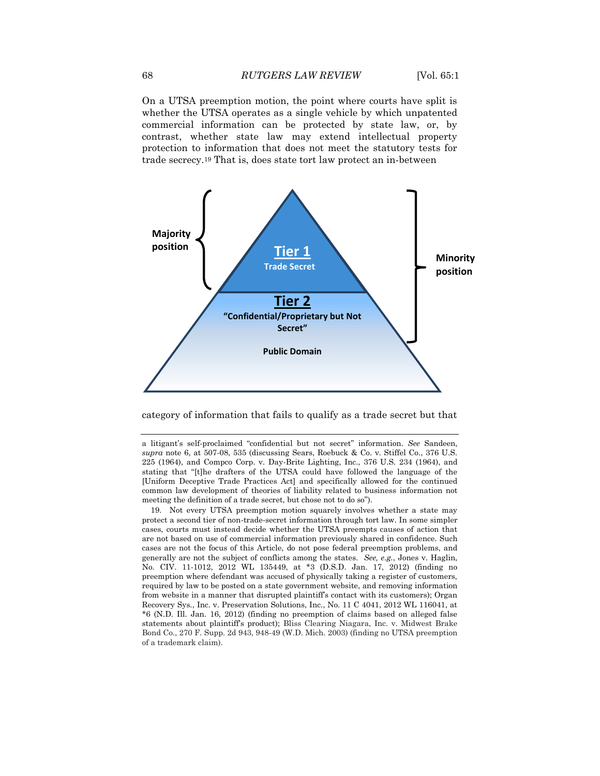On a UTSA preemption motion, the point where courts have split is whether the UTSA operates as a single vehicle by which unpatented commercial information can be protected by state law, or, by contrast, whether state law may extend intellectual property protection to information that does not meet the statutory tests for trade secrecy.<sup>19</sup> That is, does state tort law protect an in-between



category of information that fails to qualify as a trade secret but that

a litigant's self-proclaimed "confidential but not secret" information. *See* Sandeen, *supra* note 6, at 507-08, 535 (discussing Sears, Roebuck & Co. v. Stiffel Co., 376 U.S. 225 (1964), and Compco Corp. v. Day-Brite Lighting, Inc., 376 U.S. 234 (1964), and stating that "[t]he drafters of the UTSA could have followed the language of the [Uniform Deceptive Trade Practices Act] and specifically allowed for the continued common law development of theories of liability related to business information not meeting the definition of a trade secret, but chose not to do so").

<sup>19.</sup> Not every UTSA preemption motion squarely involves whether a state may protect a second tier of non-trade-secret information through tort law. In some simpler cases, courts must instead decide whether the UTSA preempts causes of action that are not based on use of commercial information previously shared in confidence. Such cases are not the focus of this Article, do not pose federal preemption problems, and generally are not the subject of conflicts among the states. *See, e.g.*, Jones v. Haglin, No. CIV. 11-1012, 2012 WL 135449, at \*3 (D.S.D. Jan. 17, 2012) (finding no preemption where defendant was accused of physically taking a register of customers, required by law to be posted on a state government website, and removing information from website in a manner that disrupted plaintiff's contact with its customers); Organ Recovery Sys., Inc. v. Preservation Solutions, Inc., No. 11 C 4041, 2012 WL 116041, at \*6 (N.D. Ill. Jan. 16, 2012) (finding no preemption of claims based on alleged false statements about plaintiff's product); Bliss Clearing Niagara, Inc. v. Midwest Brake Bond Co., 270 F. Supp. 2d 943, 948-49 (W.D. Mich. 2003) (finding no UTSA preemption of a trademark claim).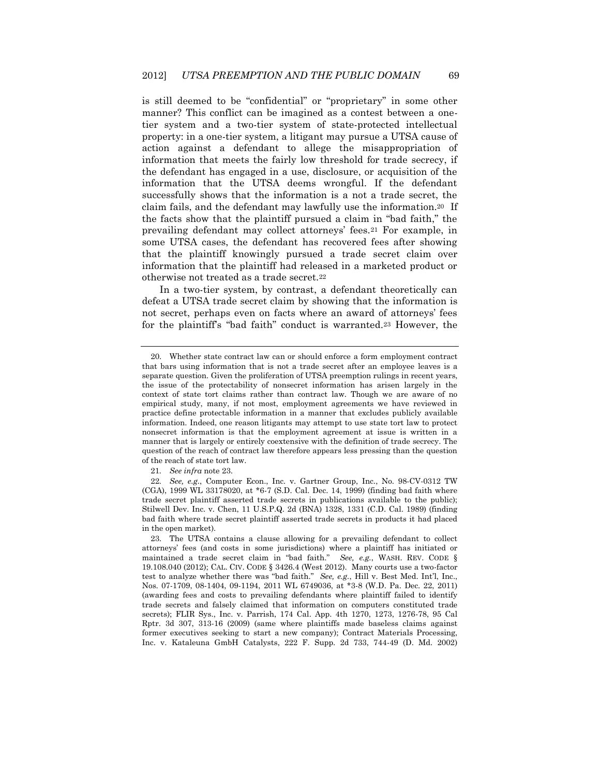is still deemed to be "confidential" or "proprietary" in some other manner? This conflict can be imagined as a contest between a onetier system and a two-tier system of state-protected intellectual property: in a one-tier system, a litigant may pursue a UTSA cause of action against a defendant to allege the misappropriation of information that meets the fairly low threshold for trade secrecy, if the defendant has engaged in a use, disclosure, or acquisition of the information that the UTSA deems wrongful. If the defendant successfully shows that the information is a not a trade secret, the claim fails, and the defendant may lawfully use the information.20 If the facts show that the plaintiff pursued a claim in "bad faith," the prevailing defendant may collect attorneys' fees.<sup>21</sup> For example, in some UTSA cases, the defendant has recovered fees after showing that the plaintiff knowingly pursued a trade secret claim over information that the plaintiff had released in a marketed product or otherwise not treated as a trade secret.<sup>22</sup>

In a two-tier system, by contrast, a defendant theoretically can defeat a UTSA trade secret claim by showing that the information is not secret, perhaps even on facts where an award of attorneys' fees for the plaintiff's "bad faith" conduct is warranted.<sup>23</sup> However, the

<sup>20.</sup> Whether state contract law can or should enforce a form employment contract that bars using information that is not a trade secret after an employee leaves is a separate question. Given the proliferation of UTSA preemption rulings in recent years, the issue of the protectability of nonsecret information has arisen largely in the context of state tort claims rather than contract law. Though we are aware of no empirical study, many, if not most, employment agreements we have reviewed in practice define protectable information in a manner that excludes publicly available information. Indeed, one reason litigants may attempt to use state tort law to protect nonsecret information is that the employment agreement at issue is written in a manner that is largely or entirely coextensive with the definition of trade secrecy. The question of the reach of contract law therefore appears less pressing than the question of the reach of state tort law.

<sup>21</sup>*. See infra* note 23.

<sup>22</sup>*. See, e.g.*, Computer Econ., Inc. v. Gartner Group, Inc., No. 98-CV-0312 TW (CGA), 1999 WL 33178020, at \*6-7 (S.D. Cal. Dec. 14, 1999) (finding bad faith where trade secret plaintiff asserted trade secrets in publications available to the public); Stilwell Dev. Inc. v. Chen, 11 U.S.P.Q. 2d (BNA) 1328, 1331 (C.D. Cal. 1989) (finding bad faith where trade secret plaintiff asserted trade secrets in products it had placed in the open market).

<sup>23.</sup> The UTSA contains a clause allowing for a prevailing defendant to collect attorneys' fees (and costs in some jurisdictions) where a plaintiff has initiated or maintained a trade secret claim in "bad faith." *See, e.g.*, WASH. REV. CODE § 19.108.040 (2012); CAL. CIV. CODE § 3426.4 (West 2012). Many courts use a two-factor test to analyze whether there was "bad faith." *See, e.g.*, Hill v. Best Med. Int'l, Inc., Nos. 07-1709, 08-1404, 09-1194, 2011 WL 6749036, at \*3-8 (W.D. Pa. Dec. 22, 2011) (awarding fees and costs to prevailing defendants where plaintiff failed to identify trade secrets and falsely claimed that information on computers constituted trade secrets); FLIR Sys., Inc. v. Parrish, 174 Cal. App. 4th 1270, 1273, 1276-78, 95 Cal Rptr. 3d 307, 313-16 (2009) (same where plaintiffs made baseless claims against former executives seeking to start a new company); Contract Materials Processing, Inc. v. Kataleuna GmbH Catalysts, 222 F. Supp. 2d 733, 744-49 (D. Md. 2002)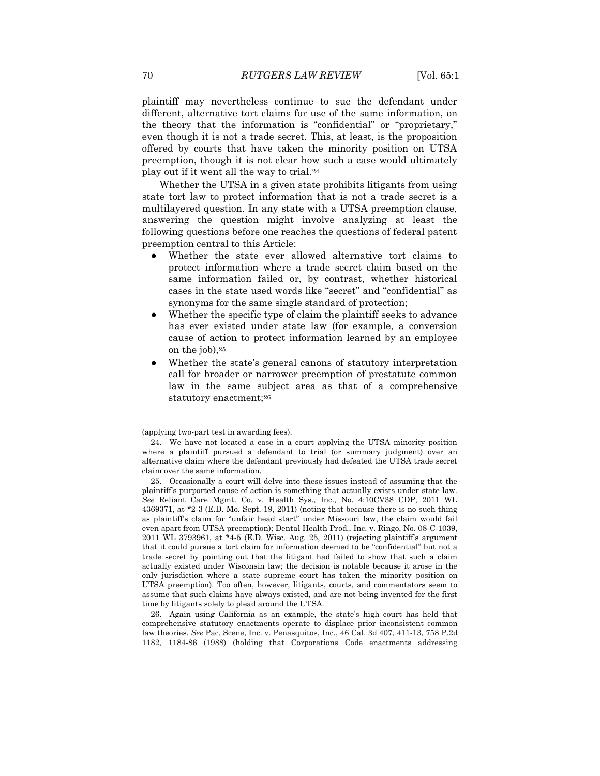plaintiff may nevertheless continue to sue the defendant under different, alternative tort claims for use of the same information, on the theory that the information is "confidential" or "proprietary," even though it is not a trade secret. This, at least, is the proposition offered by courts that have taken the minority position on UTSA preemption, though it is not clear how such a case would ultimately play out if it went all the way to trial.<sup>24</sup>

Whether the UTSA in a given state prohibits litigants from using state tort law to protect information that is not a trade secret is a multilayered question. In any state with a UTSA preemption clause, answering the question might involve analyzing at least the following questions before one reaches the questions of federal patent preemption central to this Article:

- Whether the state ever allowed alternative tort claims to protect information where a trade secret claim based on the same information failed or, by contrast, whether historical cases in the state used words like "secret" and "confidential" as synonyms for the same single standard of protection;
- Whether the specific type of claim the plaintiff seeks to advance has ever existed under state law (for example, a conversion cause of action to protect information learned by an employee on the job),<sup>25</sup>
- Whether the state's general canons of statutory interpretation call for broader or narrower preemption of prestatute common law in the same subject area as that of a comprehensive statutory enactment;<sup>26</sup>

26. Again using California as an example, the state's high court has held that comprehensive statutory enactments operate to displace prior inconsistent common law theories. *See* Pac. Scene, Inc. v. Penasquitos, Inc., 46 Cal. 3d 407, 411-13, 758 P.2d 1182, 1184-86 (1988) (holding that Corporations Code enactments addressing

<sup>(</sup>applying two-part test in awarding fees).

<sup>24.</sup> We have not located a case in a court applying the UTSA minority position where a plaintiff pursued a defendant to trial (or summary judgment) over an alternative claim where the defendant previously had defeated the UTSA trade secret claim over the same information.

<sup>25.</sup> Occasionally a court will delve into these issues instead of assuming that the plaintiff's purported cause of action is something that actually exists under state law. *See* Reliant Care Mgmt. Co. v. Health Sys., Inc., No. 4:10CV38 CDP, 2011 WL 4369371, at \*2-3 (E.D. Mo. Sept. 19, 2011) (noting that because there is no such thing as plaintiff's claim for "unfair head start" under Missouri law, the claim would fail even apart from UTSA preemption); Dental Health Prod., Inc. v. Ringo, No. 08-C-1039, 2011 WL 3793961, at \*4-5 (E.D. Wisc. Aug. 25, 2011) (rejecting plaintiff's argument that it could pursue a tort claim for information deemed to be "confidential" but not a trade secret by pointing out that the litigant had failed to show that such a claim actually existed under Wisconsin law; the decision is notable because it arose in the only jurisdiction where a state supreme court has taken the minority position on UTSA preemption). Too often, however, litigants, courts, and commentators seem to assume that such claims have always existed, and are not being invented for the first time by litigants solely to plead around the UTSA.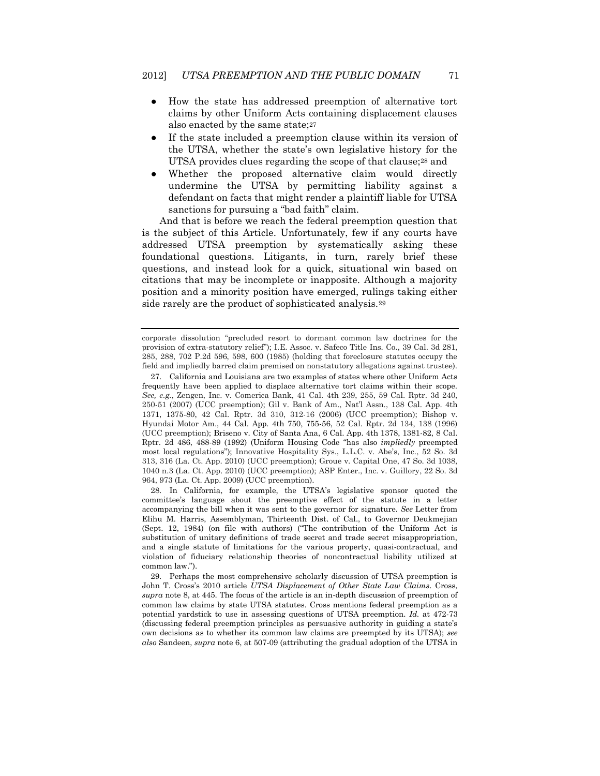- How the state has addressed preemption of alternative tort claims by other Uniform Acts containing displacement clauses also enacted by the same state;<sup>27</sup>
- If the state included a preemption clause within its version of the UTSA, whether the state's own legislative history for the UTSA provides clues regarding the scope of that clause;<sup>28</sup> and
- Whether the proposed alternative claim would directly undermine the UTSA by permitting liability against a defendant on facts that might render a plaintiff liable for UTSA sanctions for pursuing a "bad faith" claim.

And that is before we reach the federal preemption question that is the subject of this Article. Unfortunately, few if any courts have addressed UTSA preemption by systematically asking these foundational questions. Litigants, in turn, rarely brief these questions, and instead look for a quick, situational win based on citations that may be incomplete or inapposite. Although a majority position and a minority position have emerged, rulings taking either side rarely are the product of sophisticated analysis.<sup>29</sup>

28. In California, for example, the UTSA's legislative sponsor quoted the committee's language about the preemptive effect of the statute in a letter accompanying the bill when it was sent to the governor for signature. *See* Letter from Elihu M. Harris, Assemblyman, Thirteenth Dist. of Cal., to Governor Deukmejian (Sept. 12, 1984) (on file with authors) ("The contribution of the Uniform Act is substitution of unitary definitions of trade secret and trade secret misappropriation, and a single statute of limitations for the various property, quasi-contractual, and violation of fiduciary relationship theories of noncontractual liability utilized at common law.").

corporate dissolution "precluded resort to dormant common law doctrines for the provision of extra-statutory relief"); I.E. Assoc. v. Safeco Title Ins. Co., 39 Cal. 3d 281, 285, 288, 702 P.2d 596, 598, 600 (1985) (holding that foreclosure statutes occupy the field and impliedly barred claim premised on nonstatutory allegations against trustee).

<sup>27.</sup> California and Louisiana are two examples of states where other Uniform Acts frequently have been applied to displace alternative tort claims within their scope. *See, e.g.*, Zengen, Inc. v. Comerica Bank, 41 Cal. 4th 239, 255, 59 Cal. Rptr. 3d 240, 250-51 (2007) (UCC preemption); Gil v. Bank of Am., Nat'l Assn., 138 Cal. App. 4th 1371, 1375-80, 42 Cal. Rptr. 3d 310, 312-16 (2006) (UCC preemption); Bishop v. Hyundai Motor Am., 44 Cal. App. 4th 750, 755-56, 52 Cal. Rptr. 2d 134, 138 (1996) (UCC preemption); Briseno v. City of Santa Ana, 6 Cal. App. 4th 1378, 1381-82, 8 Cal. Rptr. 2d 486, 488-89 (1992) (Uniform Housing Code "has also *impliedly* preempted most local regulations"); Innovative Hospitality Sys., L.L.C. v. Abe's, Inc., 52 So. 3d 313, 316 (La. Ct. App. 2010) (UCC preemption); Groue v. Capital One, 47 So. 3d 1038, 1040 n.3 (La. Ct. App. 2010) (UCC preemption); ASP Enter., Inc. v. Guillory, 22 So. 3d 964, 973 (La. Ct. App. 2009) (UCC preemption).

<sup>29.</sup> Perhaps the most comprehensive scholarly discussion of UTSA preemption is John T. Cross's 2010 article *UTSA Displacement of Other State Law Claims*. Cross, *supra* note 8, at 445. The focus of the article is an in-depth discussion of preemption of common law claims by state UTSA statutes. Cross mentions federal preemption as a potential yardstick to use in assessing questions of UTSA preemption. *Id.* at 472-73 (discussing federal preemption principles as persuasive authority in guiding a state's own decisions as to whether its common law claims are preempted by its UTSA); *see also* Sandeen, *supra* note 6, at 507-09 (attributing the gradual adoption of the UTSA in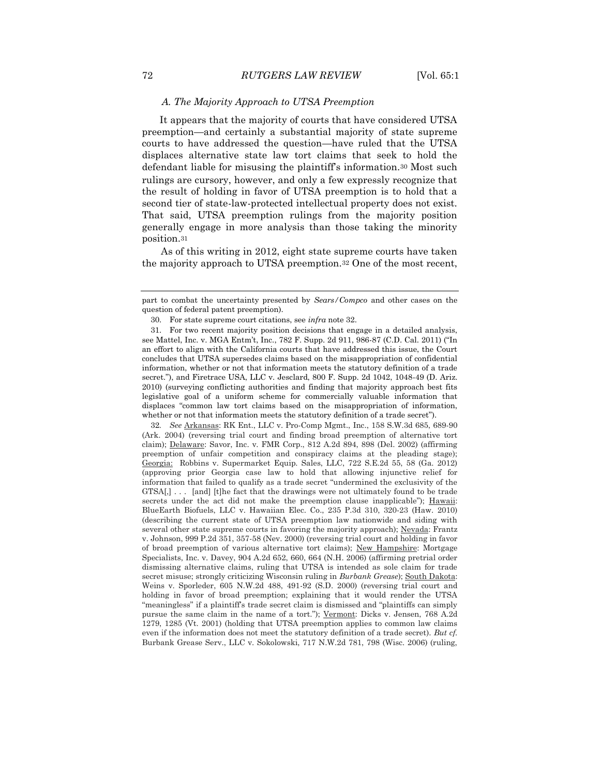### *A. The Majority Approach to UTSA Preemption*

It appears that the majority of courts that have considered UTSA preemption—and certainly a substantial majority of state supreme courts to have addressed the question—have ruled that the UTSA displaces alternative state law tort claims that seek to hold the defendant liable for misusing the plaintiff's information.<sup>30</sup> Most such rulings are cursory, however, and only a few expressly recognize that the result of holding in favor of UTSA preemption is to hold that a second tier of state-law-protected intellectual property does not exist. That said, UTSA preemption rulings from the majority position generally engage in more analysis than those taking the minority position.<sup>31</sup>

 As of this writing in 2012, eight state supreme courts have taken the majority approach to UTSA preemption.<sup>32</sup> One of the most recent,

32*. See* Arkansas: RK Ent., LLC v. Pro-Comp Mgmt., Inc., 158 S.W.3d 685, 689-90 (Ark. 2004) (reversing trial court and finding broad preemption of alternative tort claim); Delaware: Savor, Inc. v. FMR Corp., 812 A.2d 894, 898 (Del. 2002) (affirming preemption of unfair competition and conspiracy claims at the pleading stage); Georgia: Robbins v. Supermarket Equip. Sales, LLC, 722 S.E.2d 55, 58 (Ga. 2012) (approving prior Georgia case law to hold that allowing injunctive relief for information that failed to qualify as a trade secret "undermined the exclusivity of the GTSA[,] . . . [and] [t]he fact that the drawings were not ultimately found to be trade secrets under the act did not make the preemption clause inapplicable"); Hawaii: BlueEarth Biofuels, LLC v. Hawaiian Elec. Co., 235 P.3d 310, 320-23 (Haw. 2010) (describing the current state of UTSA preemption law nationwide and siding with several other state supreme courts in favoring the majority approach); Nevada: Frantz v. Johnson, 999 P.2d 351, 357-58 (Nev. 2000) (reversing trial court and holding in favor of broad preemption of various alternative tort claims); New Hampshire: Mortgage Specialists, Inc. v. Davey, 904 A.2d 652, 660, 664 (N.H. 2006) (affirming pretrial order dismissing alternative claims, ruling that UTSA is intended as sole claim for trade secret misuse; strongly criticizing Wisconsin ruling in *Burbank Grease*); South Dakota: Weins v. Sporleder, 605 N.W.2d 488, 491-92 (S.D. 2000) (reversing trial court and holding in favor of broad preemption; explaining that it would render the UTSA "meaningless" if a plaintiff's trade secret claim is dismissed and "plaintiffs can simply pursue the same claim in the name of a tort."); Vermont: Dicks v. Jensen, 768 A.2d 1279, 1285 (Vt. 2001) (holding that UTSA preemption applies to common law claims even if the information does not meet the statutory definition of a trade secret). *But cf.*  Burbank Grease Serv., LLC v. Sokolowski, 717 N.W.2d 781, 798 (Wisc. 2006) (ruling,

part to combat the uncertainty presented by *Sears/Compco* and other cases on the question of federal patent preemption).

<sup>30.</sup> For state supreme court citations, see *infra* note 32.

<sup>31.</sup> For two recent majority position decisions that engage in a detailed analysis, see Mattel, Inc. v. MGA Entm't, Inc., 782 F. Supp. 2d 911, 986-87 (C.D. Cal. 2011) ("In an effort to align with the California courts that have addressed this issue, the Court concludes that UTSA supersedes claims based on the misappropriation of confidential information, whether or not that information meets the statutory definition of a trade secret."), and Firetrace USA, LLC v. Jesclard, 800 F. Supp. 2d 1042, 1048-49 (D. Ariz. 2010) (surveying conflicting authorities and finding that majority approach best fits legislative goal of a uniform scheme for commercially valuable information that displaces "common law tort claims based on the misappropriation of information, whether or not that information meets the statutory definition of a trade secret").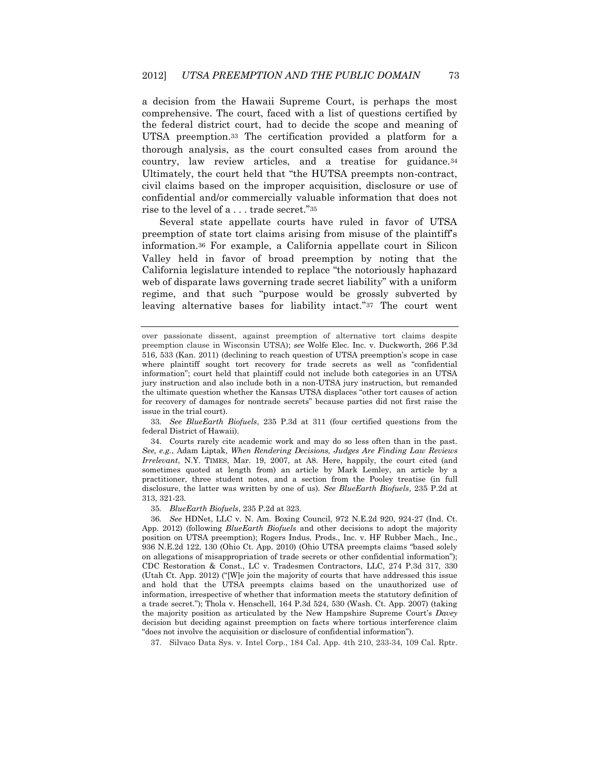a decision from the Hawaii Supreme Court, is perhaps the most comprehensive. The court, faced with a list of questions certified by the federal district court, had to decide the scope and meaning of UTSA preemption.<sup>33</sup> The certification provided a platform for a thorough analysis, as the court consulted cases from around the country, law review articles, and a treatise for guidance.<sup>34</sup> Ultimately, the court held that "the HUTSA preempts non-contract, civil claims based on the improper acquisition, disclosure or use of confidential and/or commercially valuable information that does not rise to the level of a . . . trade secret."<sup>35</sup>

Several state appellate courts have ruled in favor of UTSA preemption of state tort claims arising from misuse of the plaintiff's information.<sup>36</sup> For example, a California appellate court in Silicon Valley held in favor of broad preemption by noting that the California legislature intended to replace "the notoriously haphazard web of disparate laws governing trade secret liability" with a uniform regime, and that such "purpose would be grossly subverted by leaving alternative bases for liability intact."<sup>37</sup> The court went

33*. See BlueEarth Biofuels*, 235 P.3d at 311 (four certified questions from the federal District of Hawaii).

34. Courts rarely cite academic work and may do so less often than in the past. *See, e.g.*, Adam Liptak, *When Rendering Decisions, Judges Are Finding Law Reviews Irrelevant*, N.Y. TIMES, Mar. 19, 2007, at A8. Here, happily, the court cited (and sometimes quoted at length from) an article by Mark Lemley, an article by a practitioner, three student notes, and a section from the Pooley treatise (in full disclosure, the latter was written by one of us). *See BlueEarth Biofuels*, 235 P.2d at 313, 321-23.

35*. BlueEarth Biofuels*, 235 P.2d at 323.

36*. See* HDNet, LLC v. N. Am. Boxing Council, 972 N.E.2d 920, 924-27 (Ind. Ct. App. 2012) (following *BlueEarth Biofuels* and other decisions to adopt the majority position on UTSA preemption); Rogers Indus. Prods., Inc. v. HF Rubber Mach., Inc., 936 N.E.2d 122, 130 (Ohio Ct. App. 2010) (Ohio UTSA preempts claims "based solely on allegations of misappropriation of trade secrets or other confidential information"); CDC Restoration & Const., LC v. Tradesmen Contractors, LLC, 274 P.3d 317, 330 (Utah Ct. App. 2012) ("[W]e join the majority of courts that have addressed this issue and hold that the UTSA preempts claims based on the unauthorized use of information, irrespective of whether that information meets the statutory definition of a trade secret."); Thola v. Henschell, 164 P.3d 524, 530 (Wash. Ct. App. 2007) (taking the majority position as articulated by the New Hampshire Supreme Court's *Davey* decision but deciding against preemption on facts where tortious interference claim "does not involve the acquisition or disclosure of confidential information").

37. Silvaco Data Sys. v. Intel Corp., 184 Cal. App. 4th 210, 233-34, 109 Cal. Rptr.

over passionate dissent, against preemption of alternative tort claims despite preemption clause in Wisconsin UTSA); *see* Wolfe Elec. Inc. v. Duckworth, 266 P.3d 516, 533 (Kan. 2011) (declining to reach question of UTSA preemption's scope in case where plaintiff sought tort recovery for trade secrets as well as "confidential information"; court held that plaintiff could not include both categories in an UTSA jury instruction and also include both in a non-UTSA jury instruction, but remanded the ultimate question whether the Kansas UTSA displaces "other tort causes of action for recovery of damages for nontrade secrets" because parties did not first raise the issue in the trial court).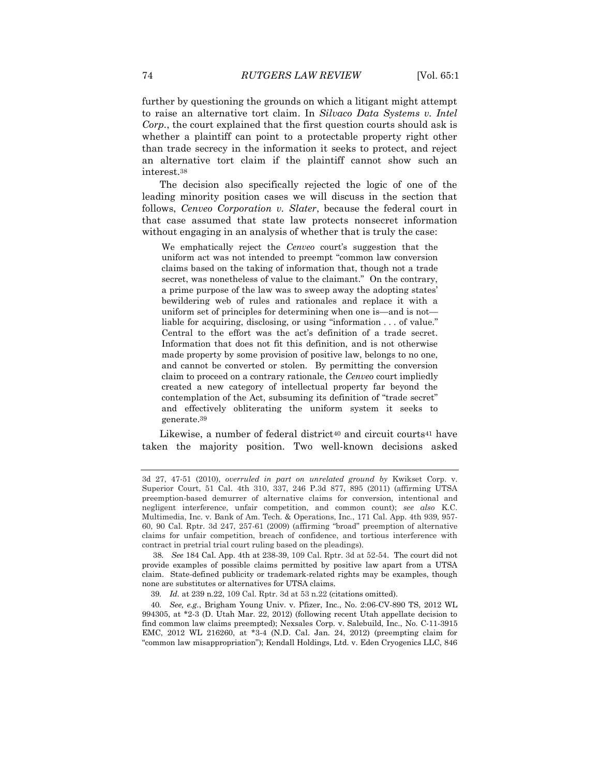further by questioning the grounds on which a litigant might attempt to raise an alternative tort claim. In *Silvaco Data Systems v. Intel Corp.*, the court explained that the first question courts should ask is whether a plaintiff can point to a protectable property right other than trade secrecy in the information it seeks to protect, and reject an alternative tort claim if the plaintiff cannot show such an interest.<sup>38</sup>

The decision also specifically rejected the logic of one of the leading minority position cases we will discuss in the section that follows, *Cenveo Corporation v. Slater*, because the federal court in that case assumed that state law protects nonsecret information without engaging in an analysis of whether that is truly the case:

We emphatically reject the *Cenveo* court's suggestion that the uniform act was not intended to preempt "common law conversion claims based on the taking of information that, though not a trade secret, was nonetheless of value to the claimant." On the contrary, a prime purpose of the law was to sweep away the adopting states' bewildering web of rules and rationales and replace it with a uniform set of principles for determining when one is—and is not liable for acquiring, disclosing, or using "information . . . of value." Central to the effort was the act's definition of a trade secret. Information that does not fit this definition, and is not otherwise made property by some provision of positive law, belongs to no one, and cannot be converted or stolen. By permitting the conversion claim to proceed on a contrary rationale, the *Cenveo* court impliedly created a new category of intellectual property far beyond the contemplation of the Act, subsuming its definition of "trade secret" and effectively obliterating the uniform system it seeks to generate.39

Likewise, a number of federal district<sup>40</sup> and circuit courts<sup>41</sup> have taken the majority position. Two well-known decisions asked

<sup>3</sup>d 27, 47-51 (2010), *overruled in part on unrelated ground by* Kwikset Corp. v. Superior Court, 51 Cal. 4th 310, 337, 246 P.3d 877, 895 (2011) (affirming UTSA preemption-based demurrer of alternative claims for conversion, intentional and negligent interference, unfair competition, and common count); *see also* K.C. Multimedia, Inc. v. Bank of Am. Tech. & Operations, Inc., 171 Cal. App. 4th 939, 957- 60, 90 Cal. Rptr. 3d 247, 257-61 (2009) (affirming "broad" preemption of alternative claims for unfair competition, breach of confidence, and tortious interference with contract in pretrial trial court ruling based on the pleadings).

38*. See* 184 Cal. App. 4th at 238-39, 109 Cal. Rptr. 3d at 52-54. The court did not provide examples of possible claims permitted by positive law apart from a UTSA claim. State-defined publicity or trademark-related rights may be examples, though none are substitutes or alternatives for UTSA claims.

<sup>39</sup>*. Id.* at 239 n.22, 109 Cal. Rptr. 3d at 53 n.22 (citations omitted).

<sup>40</sup>*. See, e.g.*, Brigham Young Univ. v. Pfizer, Inc., No. 2:06-CV-890 TS, 2012 WL 994305, at \*2-3 (D. Utah Mar. 22, 2012) (following recent Utah appellate decision to find common law claims preempted); Nexsales Corp. v. Salebuild, Inc., No. C-11-3915 EMC, 2012 WL 216260, at \*3-4 (N.D. Cal. Jan. 24, 2012) (preempting claim for "common law misappropriation"); Kendall Holdings, Ltd. v. Eden Cryogenics LLC, 846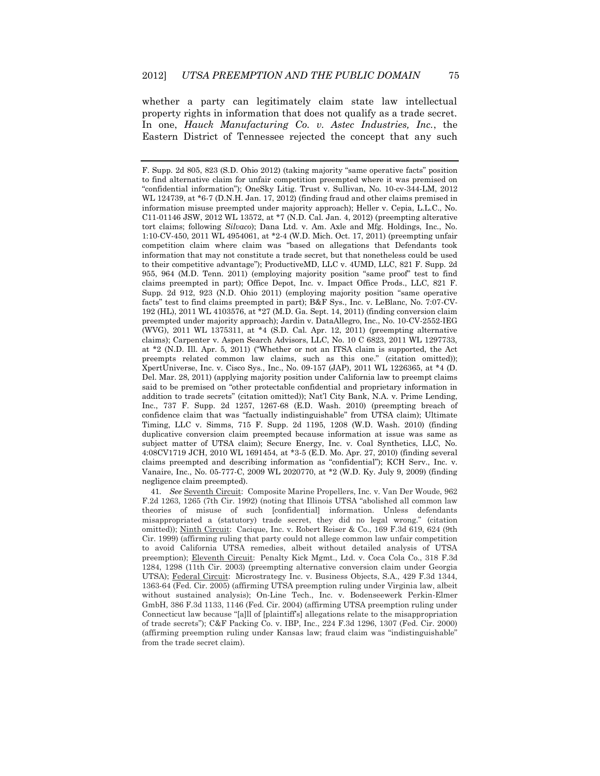whether a party can legitimately claim state law intellectual property rights in information that does not qualify as a trade secret. In one, *Hauck Manufacturing Co. v. Astec Industries, Inc.*, the Eastern District of Tennessee rejected the concept that any such

41*. See* Seventh Circuit: Composite Marine Propellers, Inc. v. Van Der Woude, 962 F.2d 1263, 1265 (7th Cir. 1992) (noting that Illinois UTSA "abolished all common law theories of misuse of such [confidential] information. Unless defendants misappropriated a (statutory) trade secret, they did no legal wrong." (citation omitted)); Ninth Circuit: Cacique, Inc. v. Robert Reiser & Co., 169 F.3d 619, 624 (9th Cir. 1999) (affirming ruling that party could not allege common law unfair competition to avoid California UTSA remedies, albeit without detailed analysis of UTSA preemption); Eleventh Circuit: Penalty Kick Mgmt., Ltd. v. Coca Cola Co., 318 F.3d 1284, 1298 (11th Cir. 2003) (preempting alternative conversion claim under Georgia UTSA); Federal Circuit: Microstrategy Inc. v. Business Objects, S.A., 429 F.3d 1344, 1363-64 (Fed. Cir. 2005) (affirming UTSA preemption ruling under Virginia law, albeit without sustained analysis); On-Line Tech., Inc. v. Bodenseewerk Perkin-Elmer GmbH, 386 F.3d 1133, 1146 (Fed. Cir. 2004) (affirming UTSA preemption ruling under Connecticut law because "[a]ll of [plaintiff's] allegations relate to the misappropriation of trade secrets"); C&F Packing Co. v. IBP, Inc., 224 F.3d 1296, 1307 (Fed. Cir. 2000) (affirming preemption ruling under Kansas law; fraud claim was "indistinguishable" from the trade secret claim).

F. Supp. 2d 805, 823 (S.D. Ohio 2012) (taking majority "same operative facts" position to find alternative claim for unfair competition preempted where it was premised on "confidential information"); OneSky Litig. Trust v. Sullivan, No. 10-cv-344-LM, 2012 WL 124739, at \*6-7 (D.N.H. Jan. 17, 2012) (finding fraud and other claims premised in information misuse preempted under majority approach); Heller v. Cepia, L.L.C., No. C11-01146 JSW, 2012 WL 13572, at  $*7$  (N.D. Cal. Jan. 4, 2012) (preempting alterative tort claims; following *Silvaco*); Dana Ltd. v. Am. Axle and Mfg. Holdings, Inc., No. 1:10-CV-450, 2011 WL 4954061, at \*2-4 (W.D. Mich. Oct. 17, 2011) (preempting unfair competition claim where claim was "based on allegations that Defendants took information that may not constitute a trade secret, but that nonetheless could be used to their competitive advantage"); ProductiveMD, LLC v. 4UMD, LLC, 821 F. Supp. 2d 955, 964 (M.D. Tenn. 2011) (employing majority position "same proof" test to find claims preempted in part); Office Depot, Inc. v. Impact Office Prods., LLC, 821 F. Supp. 2d 912, 923 (N.D. Ohio 2011) (employing majority position "same operative facts" test to find claims preempted in part); B&F Sys., Inc. v. LeBlanc, No. 7:07-CV-192 (HL), 2011 WL 4103576, at \*27 (M.D. Ga. Sept. 14, 2011) (finding conversion claim preempted under majority approach); Jardin v. DataAllegro, Inc., No. 10-CV-2552-IEG (WVG), 2011 WL 1375311, at \*4 (S.D. Cal. Apr. 12, 2011) (preempting alternative claims); Carpenter v. Aspen Search Advisors, LLC, No. 10 C 6823, 2011 WL 1297733, at \*2 (N.D. Ill. Apr. 5, 2011) ("Whether or not an ITSA claim is supported, the Act preempts related common law claims, such as this one." (citation omitted)); XpertUniverse, Inc. v. Cisco Sys., Inc., No. 09-157 (JAP), 2011 WL 1226365, at \*4 (D. Del. Mar. 28, 2011) (applying majority position under California law to preempt claims said to be premised on "other protectable confidential and proprietary information in addition to trade secrets" (citation omitted)); Nat'l City Bank, N.A. v. Prime Lending, Inc., 737 F. Supp. 2d 1257, 1267-68 (E.D. Wash. 2010) (preempting breach of confidence claim that was "factually indistinguishable" from UTSA claim); Ultimate Timing, LLC v. Simms, 715 F. Supp. 2d 1195, 1208 (W.D. Wash. 2010) (finding duplicative conversion claim preempted because information at issue was same as subject matter of UTSA claim); Secure Energy, Inc. v. Coal Synthetics, LLC, No. 4:08CV1719 JCH, 2010 WL 1691454, at \*3-5 (E.D. Mo. Apr. 27, 2010) (finding several claims preempted and describing information as "confidential"); KCH Serv., Inc. v. Vanaire, Inc., No. 05-777-C, 2009 WL 2020770, at \*2 (W.D. Ky. July 9, 2009) (finding negligence claim preempted).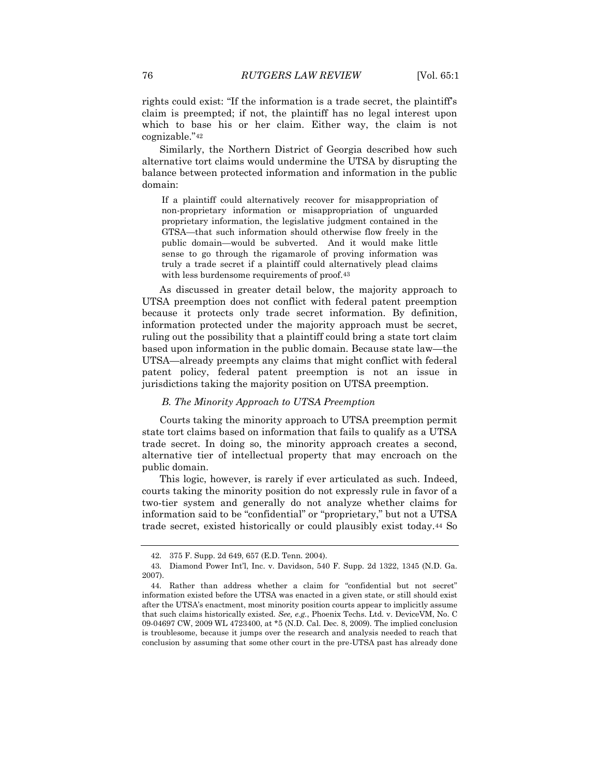rights could exist: "If the information is a trade secret, the plaintiff's claim is preempted; if not, the plaintiff has no legal interest upon which to base his or her claim. Either way, the claim is not cognizable."<sup>42</sup>

Similarly, the Northern District of Georgia described how such alternative tort claims would undermine the UTSA by disrupting the balance between protected information and information in the public domain:

If a plaintiff could alternatively recover for misappropriation of non-proprietary information or misappropriation of unguarded proprietary information, the legislative judgment contained in the GTSA—that such information should otherwise flow freely in the public domain—would be subverted. And it would make little sense to go through the rigamarole of proving information was truly a trade secret if a plaintiff could alternatively plead claims with less burdensome requirements of proof.<sup>43</sup>

As discussed in greater detail below, the majority approach to UTSA preemption does not conflict with federal patent preemption because it protects only trade secret information. By definition, information protected under the majority approach must be secret, ruling out the possibility that a plaintiff could bring a state tort claim based upon information in the public domain. Because state law—the UTSA—already preempts any claims that might conflict with federal patent policy, federal patent preemption is not an issue in jurisdictions taking the majority position on UTSA preemption.

### *B. The Minority Approach to UTSA Preemption*

Courts taking the minority approach to UTSA preemption permit state tort claims based on information that fails to qualify as a UTSA trade secret. In doing so, the minority approach creates a second, alternative tier of intellectual property that may encroach on the public domain.

This logic, however, is rarely if ever articulated as such. Indeed, courts taking the minority position do not expressly rule in favor of a two-tier system and generally do not analyze whether claims for information said to be "confidential" or "proprietary," but not a UTSA trade secret, existed historically or could plausibly exist today.<sup>44</sup> So

<sup>42.</sup> 375 F. Supp. 2d 649, 657 (E.D. Tenn. 2004).

<sup>43.</sup> Diamond Power Int'l, Inc. v. Davidson, 540 F. Supp. 2d 1322, 1345 (N.D. Ga. 2007).

<sup>44.</sup> Rather than address whether a claim for "confidential but not secret" information existed before the UTSA was enacted in a given state, or still should exist after the UTSA's enactment, most minority position courts appear to implicitly assume that such claims historically existed. *See, e.g.*, Phoenix Techs. Ltd. v. DeviceVM, No. C 09-04697 CW, 2009 WL 4723400, at \*5 (N.D. Cal. Dec. 8, 2009). The implied conclusion is troublesome, because it jumps over the research and analysis needed to reach that conclusion by assuming that some other court in the pre-UTSA past has already done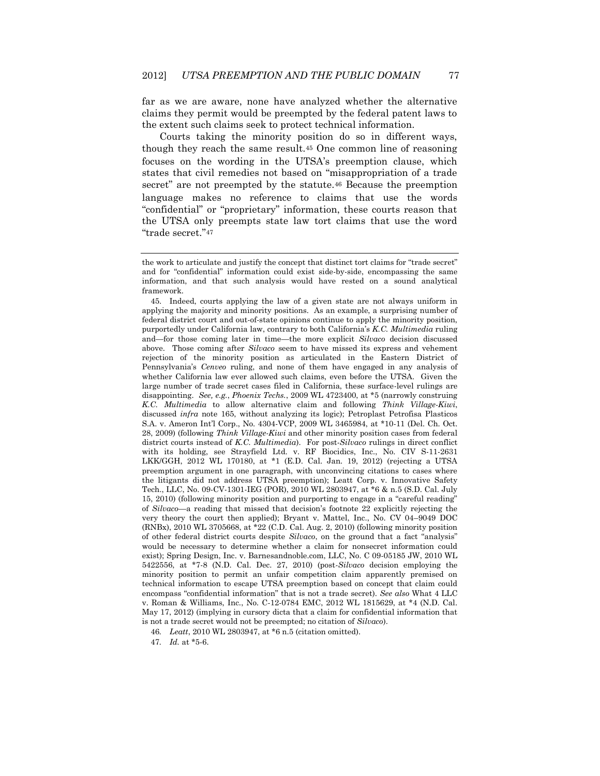far as we are aware, none have analyzed whether the alternative claims they permit would be preempted by the federal patent laws to the extent such claims seek to protect technical information.

Courts taking the minority position do so in different ways, though they reach the same result.<sup>45</sup> One common line of reasoning focuses on the wording in the UTSA's preemption clause, which states that civil remedies not based on "misappropriation of a trade secret" are not preempted by the statute.<sup>46</sup> Because the preemption language makes no reference to claims that use the words "confidential" or "proprietary" information, these courts reason that the UTSA only preempts state law tort claims that use the word "trade secret."<sup>47</sup>

45. Indeed, courts applying the law of a given state are not always uniform in applying the majority and minority positions. As an example, a surprising number of federal district court and out-of-state opinions continue to apply the minority position, purportedly under California law, contrary to both California's *K.C. Multimedia* ruling and—for those coming later in time—the more explicit *Silvaco* decision discussed above. Those coming after *Silvaco* seem to have missed its express and vehement rejection of the minority position as articulated in the Eastern District of Pennsylvania's *Cenveo* ruling, and none of them have engaged in any analysis of whether California law ever allowed such claims, even before the UTSA. Given the large number of trade secret cases filed in California, these surface-level rulings are disappointing. *See, e.g.*, *Phoenix Techs.*, 2009 WL 4723400, at \*5 (narrowly construing *K.C. Multimedia* to allow alternative claim and following *Think Village-Kiwi*, discussed *infra* note 165, without analyzing its logic); Petroplast Petrofisa Plasticos S.A. v. Ameron Int'l Corp., No. 4304-VCP, 2009 WL 3465984, at \*10-11 (Del. Ch. Oct. 28, 2009) (following *Think Village-Kiwi* and other minority position cases from federal district courts instead of *K.C. Multimedia*). For post-*Silvaco* rulings in direct conflict with its holding, see Strayfield Ltd. v. RF Biocidics, Inc., No. CIV S-11-2631 LKK/GGH, 2012 WL 170180, at \*1 (E.D. Cal. Jan. 19, 2012) (rejecting a UTSA preemption argument in one paragraph, with unconvincing citations to cases where the litigants did not address UTSA preemption); Leatt Corp. v. Innovative Safety Tech., LLC, No. 09-CV-1301-IEG (POR), 2010 WL 2803947, at \*6 & n.5 (S.D. Cal. July 15, 2010) (following minority position and purporting to engage in a "careful reading" of *Silvaco*—a reading that missed that decision's footnote 22 explicitly rejecting the very theory the court then applied); Bryant v. Mattel, Inc., No. CV 04–9049 DOC (RNBx), 2010 WL 3705668, at \*22 (C.D. Cal. Aug. 2, 2010) (following minority position of other federal district courts despite *Silvaco*, on the ground that a fact "analysis" would be necessary to determine whether a claim for nonsecret information could exist); Spring Design, Inc. v. Barnesandnoble.com, LLC, No. C 09-05185 JW, 2010 WL 5422556, at \*7-8 (N.D. Cal. Dec. 27, 2010) (post-*Silvaco* decision employing the minority position to permit an unfair competition claim apparently premised on technical information to escape UTSA preemption based on concept that claim could encompass "confidential information" that is not a trade secret). *See also* What 4 LLC v. Roman & Williams, Inc., No. C-12-0784 EMC, 2012 WL 1815629, at \*4 (N.D. Cal. May 17, 2012) (implying in cursory dicta that a claim for confidential information that is not a trade secret would not be preempted; no citation of *Silvaco*).

46*. Leatt*, 2010 WL 2803947, at \*6 n.5 (citation omitted).

47*. Id.* at \*5-6.

the work to articulate and justify the concept that distinct tort claims for "trade secret" and for "confidential" information could exist side-by-side, encompassing the same information, and that such analysis would have rested on a sound analytical framework.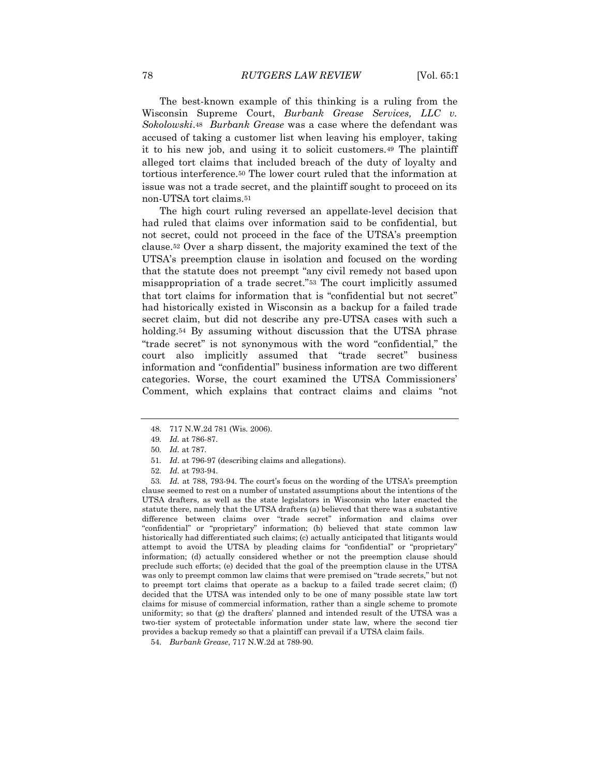The best-known example of this thinking is a ruling from the Wisconsin Supreme Court, *Burbank Grease Services, LLC v. Sokolowski*.<sup>48</sup> *Burbank Grease* was a case where the defendant was accused of taking a customer list when leaving his employer, taking it to his new job, and using it to solicit customers.<sup>49</sup> The plaintiff alleged tort claims that included breach of the duty of loyalty and tortious interference.<sup>50</sup> The lower court ruled that the information at issue was not a trade secret, and the plaintiff sought to proceed on its non-UTSA tort claims.<sup>51</sup>

The high court ruling reversed an appellate-level decision that had ruled that claims over information said to be confidential, but not secret, could not proceed in the face of the UTSA's preemption clause.<sup>52</sup> Over a sharp dissent, the majority examined the text of the UTSA's preemption clause in isolation and focused on the wording that the statute does not preempt "any civil remedy not based upon misappropriation of a trade secret."<sup>53</sup> The court implicitly assumed that tort claims for information that is "confidential but not secret" had historically existed in Wisconsin as a backup for a failed trade secret claim, but did not describe any pre-UTSA cases with such a holding.<sup>54</sup> By assuming without discussion that the UTSA phrase "trade secret" is not synonymous with the word "confidential," the court also implicitly assumed that "trade secret" business information and "confidential" business information are two different categories. Worse, the court examined the UTSA Commissioners' Comment, which explains that contract claims and claims "not

<sup>48.</sup> 717 N.W.2d 781 (Wis. 2006).

<sup>49</sup>*. Id.* at 786-87.

<sup>50</sup>*. Id.* at 787.

<sup>51</sup>*. Id*. at 796-97 (describing claims and allegations).

<sup>52</sup>*. Id.* at 793-94.

<sup>53</sup>*. Id.* at 788, 793-94. The court's focus on the wording of the UTSA's preemption clause seemed to rest on a number of unstated assumptions about the intentions of the UTSA drafters, as well as the state legislators in Wisconsin who later enacted the statute there, namely that the UTSA drafters (a) believed that there was a substantive difference between claims over "trade secret" information and claims over "confidential" or "proprietary" information; (b) believed that state common law historically had differentiated such claims; (c) actually anticipated that litigants would attempt to avoid the UTSA by pleading claims for "confidential" or "proprietary" information; (d) actually considered whether or not the preemption clause should preclude such efforts; (e) decided that the goal of the preemption clause in the UTSA was only to preempt common law claims that were premised on "trade secrets," but not to preempt tort claims that operate as a backup to a failed trade secret claim; (f) decided that the UTSA was intended only to be one of many possible state law tort claims for misuse of commercial information, rather than a single scheme to promote uniformity; so that (g) the drafters' planned and intended result of the UTSA was a two-tier system of protectable information under state law, where the second tier provides a backup remedy so that a plaintiff can prevail if a UTSA claim fails.

<sup>54.</sup> *Burbank Grease*, 717 N.W.2d at 789-90.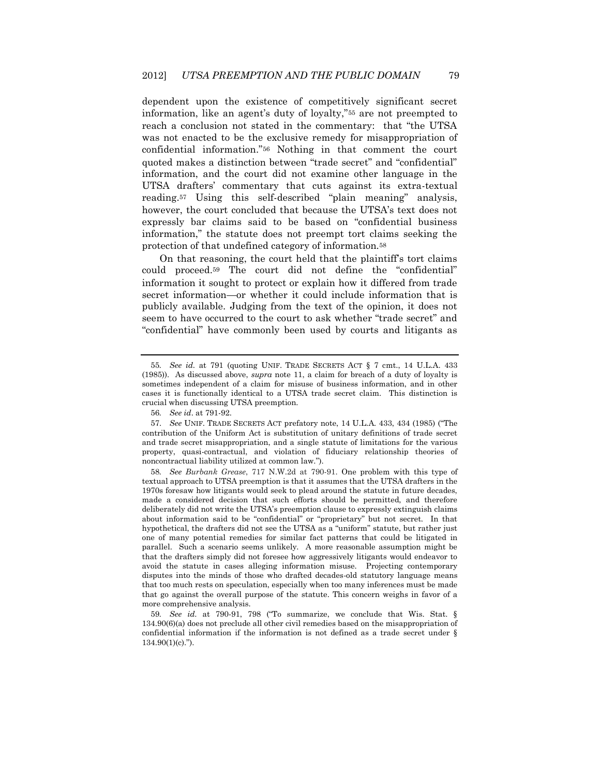dependent upon the existence of competitively significant secret information, like an agent's duty of loyalty,"<sup>55</sup> are not preempted to reach a conclusion not stated in the commentary: that "the UTSA was not enacted to be the exclusive remedy for misappropriation of confidential information."<sup>56</sup> Nothing in that comment the court quoted makes a distinction between "trade secret" and "confidential" information, and the court did not examine other language in the UTSA drafters' commentary that cuts against its extra-textual reading.<sup>57</sup> Using this self-described "plain meaning" analysis, however, the court concluded that because the UTSA's text does not expressly bar claims said to be based on "confidential business information," the statute does not preempt tort claims seeking the protection of that undefined category of information.<sup>58</sup>

On that reasoning, the court held that the plaintiff's tort claims could proceed.<sup>59</sup> The court did not define the "confidential" information it sought to protect or explain how it differed from trade secret information—or whether it could include information that is publicly available. Judging from the text of the opinion, it does not seem to have occurred to the court to ask whether "trade secret" and "confidential" have commonly been used by courts and litigants as

<sup>55</sup>*. See id*. at 791 (quoting UNIF. TRADE SECRETS ACT § 7 cmt., 14 U.L.A. 433 (1985)). As discussed above, *supra* note 11, a claim for breach of a duty of loyalty is sometimes independent of a claim for misuse of business information, and in other cases it is functionally identical to a UTSA trade secret claim. This distinction is crucial when discussing UTSA preemption.

<sup>56</sup>*. See id*. at 791-92.

<sup>57.</sup> *See* UNIF. TRADE SECRETS ACT prefatory note, 14 U.L.A. 433, 434 (1985) ("The contribution of the Uniform Act is substitution of unitary definitions of trade secret and trade secret misappropriation, and a single statute of limitations for the various property, quasi-contractual, and violation of fiduciary relationship theories of noncontractual liability utilized at common law.").

<sup>58</sup>*. See Burbank Grease*, 717 N.W.2d at 790-91. One problem with this type of textual approach to UTSA preemption is that it assumes that the UTSA drafters in the 1970s foresaw how litigants would seek to plead around the statute in future decades, made a considered decision that such efforts should be permitted, and therefore deliberately did not write the UTSA's preemption clause to expressly extinguish claims about information said to be "confidential" or "proprietary" but not secret. In that hypothetical, the drafters did not see the UTSA as a "uniform" statute, but rather just one of many potential remedies for similar fact patterns that could be litigated in parallel. Such a scenario seems unlikely. A more reasonable assumption might be that the drafters simply did not foresee how aggressively litigants would endeavor to avoid the statute in cases alleging information misuse. Projecting contemporary disputes into the minds of those who drafted decades-old statutory language means that too much rests on speculation, especially when too many inferences must be made that go against the overall purpose of the statute. This concern weighs in favor of a more comprehensive analysis.

<sup>59</sup>*. See id*. at 790-91, 798 ("To summarize, we conclude that Wis. Stat. § 134.90(6)(a) does not preclude all other civil remedies based on the misappropriation of confidential information if the information is not defined as a trade secret under §  $134.90(1)(c)$ .").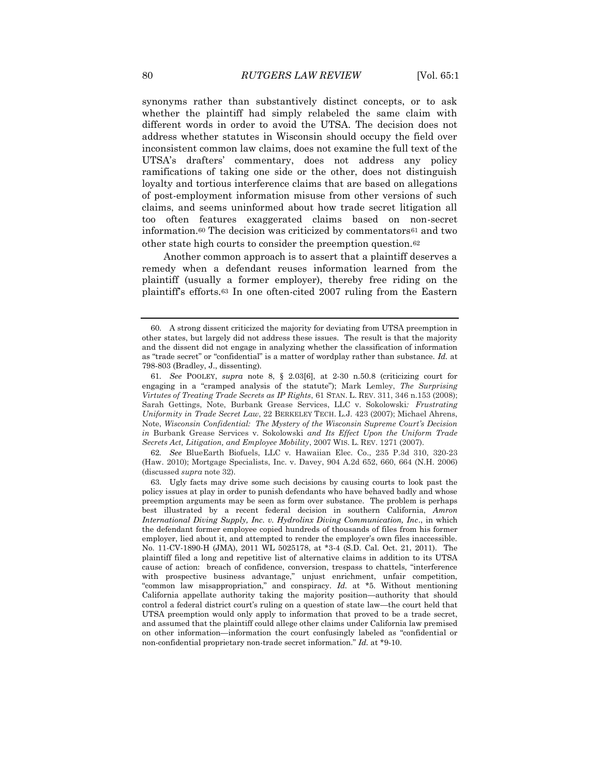synonyms rather than substantively distinct concepts, or to ask whether the plaintiff had simply relabeled the same claim with different words in order to avoid the UTSA. The decision does not address whether statutes in Wisconsin should occupy the field over inconsistent common law claims, does not examine the full text of the UTSA's drafters' commentary, does not address any policy ramifications of taking one side or the other, does not distinguish loyalty and tortious interference claims that are based on allegations of post-employment information misuse from other versions of such claims, and seems uninformed about how trade secret litigation all too often features exaggerated claims based on non-secret information.<sup>60</sup> The decision was criticized by commentators<sup>61</sup> and two other state high courts to consider the preemption question.<sup>62</sup>

 Another common approach is to assert that a plaintiff deserves a remedy when a defendant reuses information learned from the plaintiff (usually a former employer), thereby free riding on the plaintiff's efforts.<sup>63</sup> In one often-cited 2007 ruling from the Eastern

62*. See* BlueEarth Biofuels, LLC v. Hawaiian Elec. Co., 235 P.3d 310, 320-23 (Haw. 2010); Mortgage Specialists, Inc. v. Davey, 904 A.2d 652, 660, 664 (N.H. 2006) (discussed *supra* note 32).

<sup>60.</sup> A strong dissent criticized the majority for deviating from UTSA preemption in other states, but largely did not address these issues. The result is that the majority and the dissent did not engage in analyzing whether the classification of information as "trade secret" or "confidential" is a matter of wordplay rather than substance. *Id.* at 798-803 (Bradley, J., dissenting).

<sup>61</sup>*. See* POOLEY, *supra* note 8, § 2.03[6], at 2-30 n.50.8 (criticizing court for engaging in a "cramped analysis of the statute"); Mark Lemley, *The Surprising Virtutes of Treating Trade Secrets as IP Rights*, 61 STAN. L. REV. 311, 346 n.153 (2008); Sarah Gettings, Note, Burbank Grease Services, LLC v. Sokolowski*: Frustrating Uniformity in Trade Secret Law*, 22 BERKELEY TECH. L.J. 423 (2007); Michael Ahrens, Note, *Wisconsin Confidential: The Mystery of the Wisconsin Supreme Court's Decision in* Burbank Grease Services v. Sokolowski *and Its Effect Upon the Uniform Trade Secrets Act, Litigation, and Employee Mobility*, 2007 WIS. L. REV. 1271 (2007).

<sup>63.</sup> Ugly facts may drive some such decisions by causing courts to look past the policy issues at play in order to punish defendants who have behaved badly and whose preemption arguments may be seen as form over substance. The problem is perhaps best illustrated by a recent federal decision in southern California, *Amron International Diving Supply, Inc. v. Hydrolinx Diving Communication, Inc*., in which the defendant former employee copied hundreds of thousands of files from his former employer, lied about it, and attempted to render the employer's own files inaccessible. No. 11-CV-1890-H (JMA), 2011 WL 5025178, at \*3-4 (S.D. Cal. Oct. 21, 2011). The plaintiff filed a long and repetitive list of alternative claims in addition to its UTSA cause of action: breach of confidence, conversion, trespass to chattels, "interference with prospective business advantage," unjust enrichment, unfair competition, "common law misappropriation," and conspiracy. *Id.* at \*5. Without mentioning California appellate authority taking the majority position—authority that should control a federal district court's ruling on a question of state law—the court held that UTSA preemption would only apply to information that proved to be a trade secret, and assumed that the plaintiff could allege other claims under California law premised on other information—information the court confusingly labeled as "confidential or non-confidential proprietary non-trade secret information." *Id.* at \*9-10.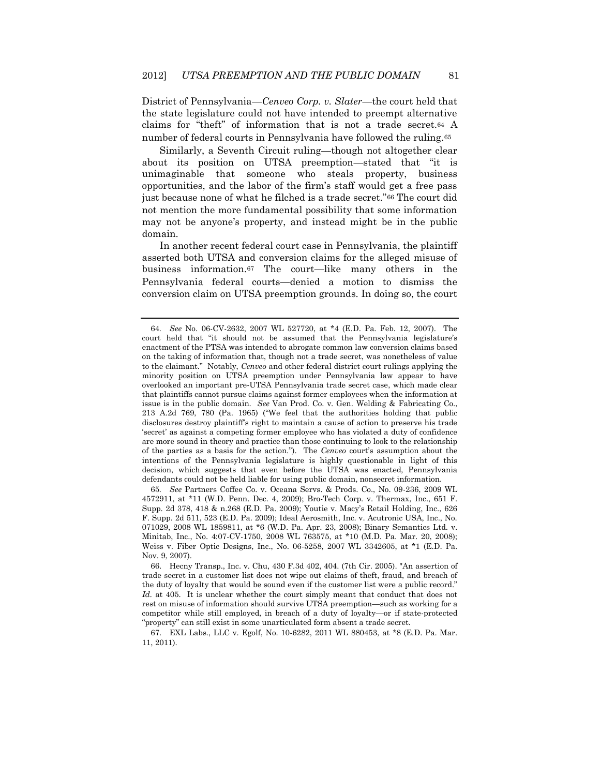District of Pennsylvania—*Cenveo Corp. v. Slater*—the court held that the state legislature could not have intended to preempt alternative claims for "theft" of information that is not a trade secret.<sup>64</sup> A number of federal courts in Pennsylvania have followed the ruling.<sup>65</sup>

Similarly, a Seventh Circuit ruling—though not altogether clear about its position on UTSA preemption—stated that "it is unimaginable that someone who steals property, business opportunities, and the labor of the firm's staff would get a free pass just because none of what he filched is a trade secret."<sup>66</sup> The court did not mention the more fundamental possibility that some information may not be anyone's property, and instead might be in the public domain.

In another recent federal court case in Pennsylvania, the plaintiff asserted both UTSA and conversion claims for the alleged misuse of business information.<sup>67</sup> The court—like many others in the Pennsylvania federal courts—denied a motion to dismiss the conversion claim on UTSA preemption grounds. In doing so, the court

65*. See* Partners Coffee Co. v. Oceana Servs. & Prods. Co., No. 09-236, 2009 WL 4572911, at \*11 (W.D. Penn. Dec. 4, 2009); Bro-Tech Corp. v. Thermax, Inc., 651 F. Supp. 2d 378, 418 & n.268 (E.D. Pa. 2009); Youtie v. Macy's Retail Holding, Inc., 626 F. Supp. 2d 511, 523 (E.D. Pa. 2009); Ideal Aerosmith, Inc. v. Acutronic USA, Inc., No. 071029, 2008 WL 1859811, at \*6 (W.D. Pa. Apr. 23, 2008); Binary Semantics Ltd. v. Minitab, Inc., No. 4:07-CV-1750, 2008 WL 763575, at \*10 (M.D. Pa. Mar. 20, 2008); Weiss v. Fiber Optic Designs, Inc., No. 06-5258, 2007 WL 3342605, at \*1 (E.D. Pa. Nov. 9, 2007).

<sup>64</sup>*. See* No. 06-CV-2632, 2007 WL 527720, at \*4 (E.D. Pa. Feb. 12, 2007). The court held that "it should not be assumed that the Pennsylvania legislature's enactment of the PTSA was intended to abrogate common law conversion claims based on the taking of information that, though not a trade secret, was nonetheless of value to the claimant." Notably, *Cenveo* and other federal district court rulings applying the minority position on UTSA preemption under Pennsylvania law appear to have overlooked an important pre-UTSA Pennsylvania trade secret case, which made clear that plaintiffs cannot pursue claims against former employees when the information at issue is in the public domain. *See* Van Prod. Co. v. Gen. Welding & Fabricating Co., 213 A.2d 769, 780 (Pa. 1965) ("We feel that the authorities holding that public disclosures destroy plaintiff's right to maintain a cause of action to preserve his trade 'secret' as against a competing former employee who has violated a duty of confidence are more sound in theory and practice than those continuing to look to the relationship of the parties as a basis for the action."). The *Cenveo* court's assumption about the intentions of the Pennsylvania legislature is highly questionable in light of this decision, which suggests that even before the UTSA was enacted, Pennsylvania defendants could not be held liable for using public domain, nonsecret information.

<sup>66.</sup> Hecny Transp., Inc. v. Chu, 430 F.3d 402, 404. (7th Cir. 2005). "An assertion of trade secret in a customer list does not wipe out claims of theft, fraud, and breach of the duty of loyalty that would be sound even if the customer list were a public record." *Id.* at 405. It is unclear whether the court simply meant that conduct that does not rest on misuse of information should survive UTSA preemption—such as working for a competitor while still employed, in breach of a duty of loyalty—or if state-protected "property" can still exist in some unarticulated form absent a trade secret.

<sup>67.</sup> EXL Labs., LLC v. Egolf, No. 10-6282, 2011 WL 880453, at \*8 (E.D. Pa. Mar. 11, 2011).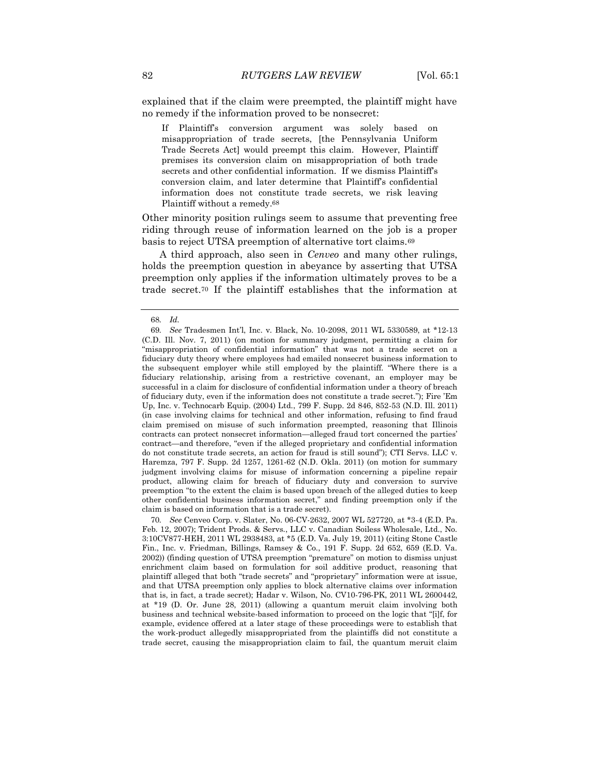explained that if the claim were preempted, the plaintiff might have no remedy if the information proved to be nonsecret:

If Plaintiff's conversion argument was solely based on misappropriation of trade secrets, [the Pennsylvania Uniform Trade Secrets Act] would preempt this claim. However, Plaintiff premises its conversion claim on misappropriation of both trade secrets and other confidential information. If we dismiss Plaintiff's conversion claim, and later determine that Plaintiff's confidential information does not constitute trade secrets, we risk leaving Plaintiff without a remedy.68

Other minority position rulings seem to assume that preventing free riding through reuse of information learned on the job is a proper basis to reject UTSA preemption of alternative tort claims.<sup>69</sup>

A third approach, also seen in *Cenveo* and many other rulings, holds the preemption question in abeyance by asserting that UTSA preemption only applies if the information ultimately proves to be a trade secret.<sup>70</sup> If the plaintiff establishes that the information at

<sup>68</sup>*. Id.*

<sup>69</sup>*. See* Tradesmen Int'l, Inc. v. Black, No. 10-2098, 2011 WL 5330589, at \*12-13 (C.D. Ill. Nov. 7, 2011) (on motion for summary judgment, permitting a claim for "misappropriation of confidential information" that was not a trade secret on a fiduciary duty theory where employees had emailed nonsecret business information to the subsequent employer while still employed by the plaintiff. "Where there is a fiduciary relationship, arising from a restrictive covenant, an employer may be successful in a claim for disclosure of confidential information under a theory of breach of fiduciary duty, even if the information does not constitute a trade secret."); Fire 'Em Up, Inc. v. Technocarb Equip. (2004) Ltd., 799 F. Supp. 2d 846, 852-53 (N.D. Ill. 2011) (in case involving claims for technical and other information, refusing to find fraud claim premised on misuse of such information preempted, reasoning that Illinois contracts can protect nonsecret information—alleged fraud tort concerned the parties' contract—and therefore, "even if the alleged proprietary and confidential information do not constitute trade secrets, an action for fraud is still sound"); CTI Servs. LLC v. Haremza, 797 F. Supp. 2d 1257, 1261-62 (N.D. Okla. 2011) (on motion for summary judgment involving claims for misuse of information concerning a pipeline repair product, allowing claim for breach of fiduciary duty and conversion to survive preemption "to the extent the claim is based upon breach of the alleged duties to keep other confidential business information secret," and finding preemption only if the claim is based on information that is a trade secret).

<sup>70</sup>*. See* Cenveo Corp. v. Slater, No. 06-CV-2632, 2007 WL 527720, at \*3-4 (E.D. Pa. Feb. 12, 2007); Trident Prods. & Servs., LLC v. Canadian Soiless Wholesale, Ltd., No. 3:10CV877-HEH, 2011 WL 2938483, at \*5 (E.D. Va. July 19, 2011) (citing Stone Castle Fin., Inc. v. Friedman, Billings, Ramsey & Co., 191 F. Supp. 2d 652, 659 (E.D. Va. 2002)) (finding question of UTSA preemption "premature" on motion to dismiss unjust enrichment claim based on formulation for soil additive product, reasoning that plaintiff alleged that both "trade secrets" and "proprietary" information were at issue, and that UTSA preemption only applies to block alternative claims over information that is, in fact, a trade secret); Hadar v. Wilson, No. CV10-796-PK, 2011 WL 2600442, at \*19 (D. Or. June 28, 2011) (allowing a quantum meruit claim involving both business and technical website-based information to proceed on the logic that "[i]f, for example, evidence offered at a later stage of these proceedings were to establish that the work-product allegedly misappropriated from the plaintiffs did not constitute a trade secret, causing the misappropriation claim to fail, the quantum meruit claim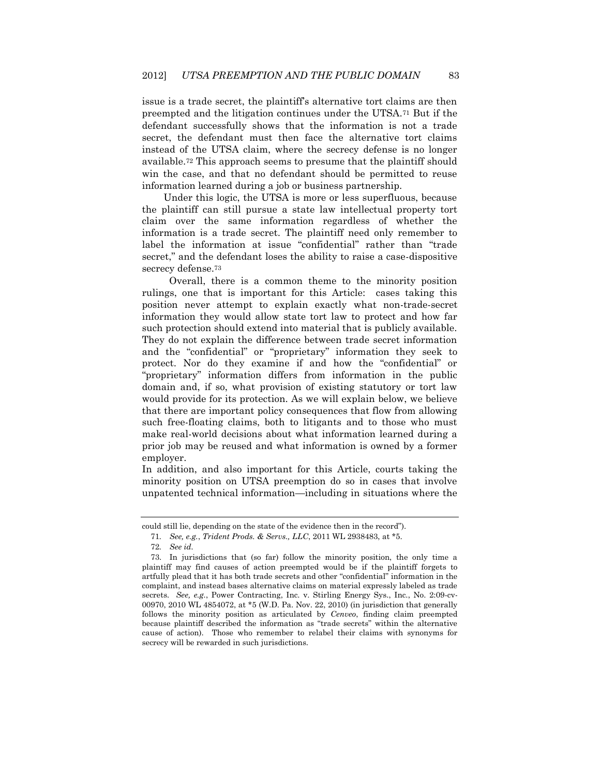issue is a trade secret, the plaintiff's alternative tort claims are then preempted and the litigation continues under the UTSA.<sup>71</sup> But if the defendant successfully shows that the information is not a trade secret, the defendant must then face the alternative tort claims instead of the UTSA claim, where the secrecy defense is no longer available.<sup>72</sup> This approach seems to presume that the plaintiff should win the case, and that no defendant should be permitted to reuse information learned during a job or business partnership.

 Under this logic, the UTSA is more or less superfluous, because the plaintiff can still pursue a state law intellectual property tort claim over the same information regardless of whether the information is a trade secret. The plaintiff need only remember to label the information at issue "confidential" rather than "trade secret," and the defendant loses the ability to raise a case-dispositive secrecy defense.<sup>73</sup>

 Overall, there is a common theme to the minority position rulings, one that is important for this Article: cases taking this position never attempt to explain exactly what non-trade-secret information they would allow state tort law to protect and how far such protection should extend into material that is publicly available. They do not explain the difference between trade secret information and the "confidential" or "proprietary" information they seek to protect. Nor do they examine if and how the "confidential" or "proprietary" information differs from information in the public domain and, if so, what provision of existing statutory or tort law would provide for its protection. As we will explain below, we believe that there are important policy consequences that flow from allowing such free-floating claims, both to litigants and to those who must make real-world decisions about what information learned during a prior job may be reused and what information is owned by a former employer.

In addition, and also important for this Article, courts taking the minority position on UTSA preemption do so in cases that involve unpatented technical information—including in situations where the

could still lie, depending on the state of the evidence then in the record").

<sup>71</sup>*. See, e.g.*, *Trident Prods. & Servs., LLC*, 2011 WL 2938483, at \*5.

<sup>72</sup>*. See id.*

<sup>73.</sup> In jurisdictions that (so far) follow the minority position, the only time a plaintiff may find causes of action preempted would be if the plaintiff forgets to artfully plead that it has both trade secrets and other "confidential" information in the complaint, and instead bases alternative claims on material expressly labeled as trade secrets. *See, e.g.*, Power Contracting, Inc. v. Stirling Energy Sys., Inc., No. 2:09-cv-00970, 2010 WL 4854072, at \*5 (W.D. Pa. Nov. 22, 2010) (in jurisdiction that generally follows the minority position as articulated by *Cenveo*, finding claim preempted because plaintiff described the information as "trade secrets" within the alternative cause of action). Those who remember to relabel their claims with synonyms for secrecy will be rewarded in such jurisdictions.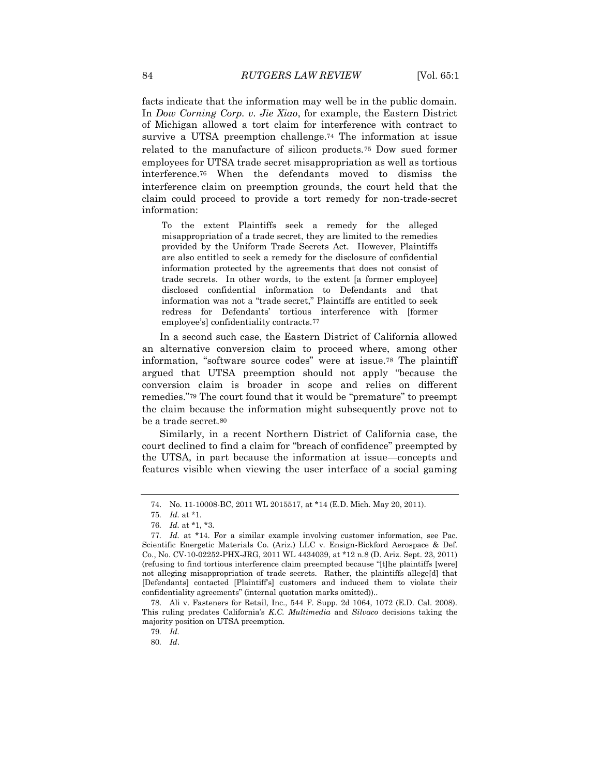facts indicate that the information may well be in the public domain. In *Dow Corning Corp. v. Jie Xiao*, for example, the Eastern District of Michigan allowed a tort claim for interference with contract to survive a UTSA preemption challenge.<sup>74</sup> The information at issue related to the manufacture of silicon products.<sup>75</sup> Dow sued former employees for UTSA trade secret misappropriation as well as tortious interference.<sup>76</sup> When the defendants moved to dismiss the interference claim on preemption grounds, the court held that the claim could proceed to provide a tort remedy for non-trade-secret information:

To the extent Plaintiffs seek a remedy for the alleged misappropriation of a trade secret, they are limited to the remedies provided by the Uniform Trade Secrets Act. However, Plaintiffs are also entitled to seek a remedy for the disclosure of confidential information protected by the agreements that does not consist of trade secrets. In other words, to the extent [a former employee] disclosed confidential information to Defendants and that information was not a "trade secret," Plaintiffs are entitled to seek redress for Defendants' tortious interference with [former employee's] confidentiality contracts.77

In a second such case, the Eastern District of California allowed an alternative conversion claim to proceed where, among other information, "software source codes" were at issue.<sup>78</sup> The plaintiff argued that UTSA preemption should not apply "because the conversion claim is broader in scope and relies on different remedies."<sup>79</sup> The court found that it would be "premature" to preempt the claim because the information might subsequently prove not to be a trade secret.<sup>80</sup>

Similarly, in a recent Northern District of California case, the court declined to find a claim for "breach of confidence" preempted by the UTSA, in part because the information at issue—concepts and features visible when viewing the user interface of a social gaming

79*. Id.*

<sup>74.</sup> No. 11-10008-BC, 2011 WL 2015517, at \*14 (E.D. Mich. May 20, 2011).

<sup>75</sup>*. Id.* at \*1.

<sup>76</sup>*. Id.* at \*1, \*3.

<sup>77</sup>*. Id.* at \*14. For a similar example involving customer information, see Pac. Scientific Energetic Materials Co. (Ariz.) LLC v. Ensign-Bickford Aerospace & Def. Co., No. CV-10-02252-PHX-JRG, 2011 WL 4434039, at \*12 n.8 (D. Ariz. Sept. 23, 2011) (refusing to find tortious interference claim preempted because "[t]he plaintiffs [were] not alleging misappropriation of trade secrets. Rather, the plaintiffs allege[d] that [Defendants] contacted [Plaintiff's] customers and induced them to violate their confidentiality agreements" (internal quotation marks omitted))..

<sup>78.</sup> Ali v. Fasteners for Retail, Inc., 544 F. Supp. 2d 1064, 1072 (E.D. Cal. 2008). This ruling predates California's *K.C. Multimedia* and *Silvaco* decisions taking the majority position on UTSA preemption.

<sup>80</sup>*. Id*.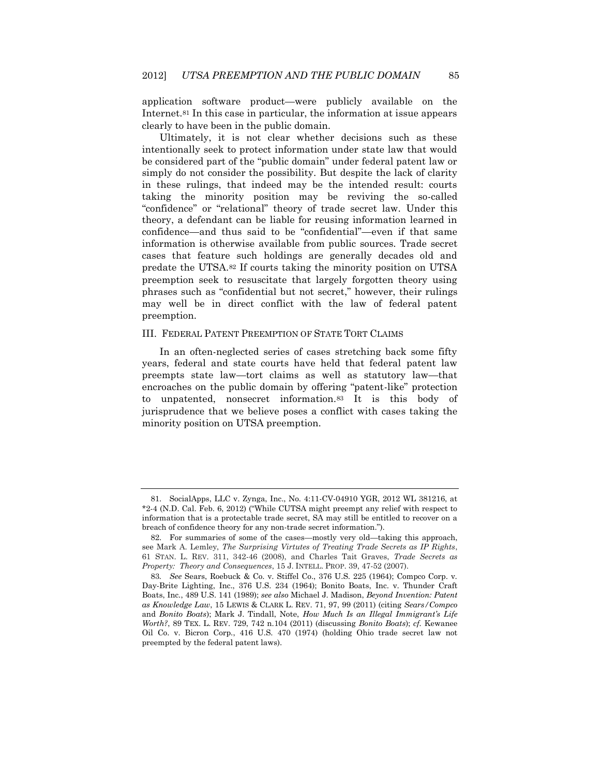application software product—were publicly available on the Internet.<sup>81</sup> In this case in particular, the information at issue appears clearly to have been in the public domain.

Ultimately, it is not clear whether decisions such as these intentionally seek to protect information under state law that would be considered part of the "public domain" under federal patent law or simply do not consider the possibility. But despite the lack of clarity in these rulings, that indeed may be the intended result: courts taking the minority position may be reviving the so-called "confidence" or "relational" theory of trade secret law. Under this theory, a defendant can be liable for reusing information learned in confidence—and thus said to be "confidential"—even if that same information is otherwise available from public sources. Trade secret cases that feature such holdings are generally decades old and predate the UTSA.<sup>82</sup> If courts taking the minority position on UTSA preemption seek to resuscitate that largely forgotten theory using phrases such as "confidential but not secret," however, their rulings may well be in direct conflict with the law of federal patent preemption.

### III. FEDERAL PATENT PREEMPTION OF STATE TORT CLAIMS

In an often-neglected series of cases stretching back some fifty years, federal and state courts have held that federal patent law preempts state law—tort claims as well as statutory law—that encroaches on the public domain by offering "patent-like" protection to unpatented, nonsecret information.<sup>83</sup> It is this body of jurisprudence that we believe poses a conflict with cases taking the minority position on UTSA preemption.

<sup>81.</sup> SocialApps, LLC v. Zynga, Inc., No. 4:11-CV-04910 YGR, 2012 WL 381216, at \*2-4 (N.D. Cal. Feb. 6, 2012) ("While CUTSA might preempt any relief with respect to information that is a protectable trade secret, SA may still be entitled to recover on a breach of confidence theory for any non-trade secret information.").

<sup>82.</sup> For summaries of some of the cases—mostly very old—taking this approach, see Mark A. Lemley, *The Surprising Virtutes of Treating Trade Secrets as IP Rights*, 61 STAN. L. REV. 311, 342-46 (2008), and Charles Tait Graves, *Trade Secrets as Property: Theory and Consequences*, 15 J. INTELL. PROP. 39, 47-52 (2007).

<sup>83</sup>*. See* Sears, Roebuck & Co. v. Stiffel Co., 376 U.S. 225 (1964); Compco Corp. v. Day-Brite Lighting, Inc., 376 U.S. 234 (1964); Bonito Boats, Inc. v. Thunder Craft Boats, Inc., 489 U.S. 141 (1989); *see also* Michael J. Madison, *Beyond Invention: Patent as Knowledge Law*, 15 LEWIS & CLARK L. REV. 71, 97, 99 (2011) (citing *Sears/Compco* and *Bonito Boats*); Mark J. Tindall, Note, *How Much Is an Illegal Immigrant's Life Worth?*, 89 TEX. L. REV. 729, 742 n.104 (2011) (discussing *Bonito Boats*); *cf.* Kewanee Oil Co. v. Bicron Corp., 416 U.S. 470 (1974) (holding Ohio trade secret law not preempted by the federal patent laws).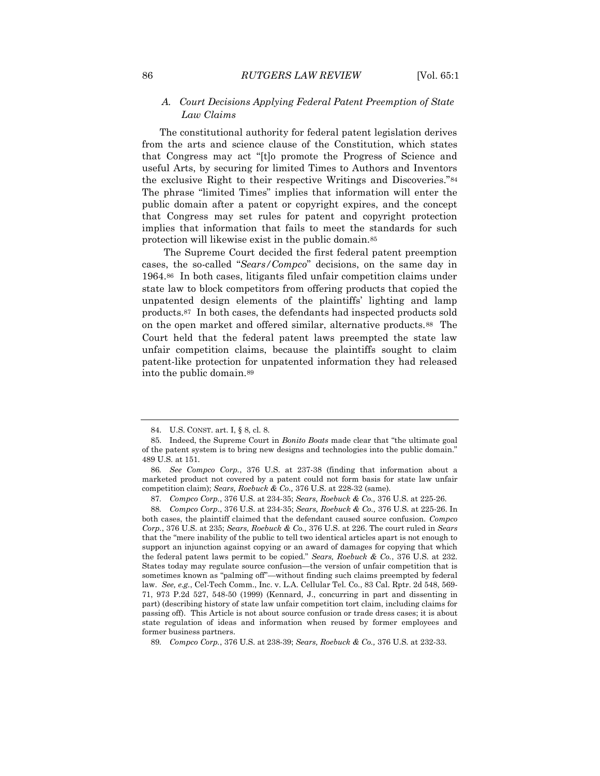## *A. Court Decisions Applying Federal Patent Preemption of State Law Claims*

The constitutional authority for federal patent legislation derives from the arts and science clause of the Constitution, which states that Congress may act "[t]o promote the Progress of Science and useful Arts, by securing for limited Times to Authors and Inventors the exclusive Right to their respective Writings and Discoveries."<sup>84</sup> The phrase "limited Times" implies that information will enter the public domain after a patent or copyright expires, and the concept that Congress may set rules for patent and copyright protection implies that information that fails to meet the standards for such protection will likewise exist in the public domain.<sup>85</sup>

 The Supreme Court decided the first federal patent preemption cases, the so-called "*Sears/Compco*" decisions, on the same day in 1964.86 In both cases, litigants filed unfair competition claims under state law to block competitors from offering products that copied the unpatented design elements of the plaintiffs' lighting and lamp products.87 In both cases, the defendants had inspected products sold on the open market and offered similar, alternative products.88 The Court held that the federal patent laws preempted the state law unfair competition claims, because the plaintiffs sought to claim patent-like protection for unpatented information they had released into the public domain.<sup>89</sup>

<sup>84.</sup> U.S. CONST. art. I, § 8, cl. 8.

<sup>85.</sup> Indeed, the Supreme Court in *Bonito Boats* made clear that "the ultimate goal of the patent system is to bring new designs and technologies into the public domain." 489 U.S. at 151.

<sup>86</sup>*. See Compco Corp.*, 376 U.S. at 237-38 (finding that information about a marketed product not covered by a patent could not form basis for state law unfair competition claim); *Sears, Roebuck & Co.,* 376 U.S. at 228-32 (same).

<sup>87</sup>*. Compco Corp.*, 376 U.S. at 234-35; *Sears, Roebuck & Co.,* 376 U.S. at 225-26.

<sup>88</sup>*. Compco Corp.*, 376 U.S. at 234-35; *Sears, Roebuck & Co.,* 376 U.S. at 225-26. In both cases, the plaintiff claimed that the defendant caused source confusion. *Compco Corp.*, 376 U.S. at 235; *Sears, Roebuck & Co.,* 376 U.S. at 226. The court ruled in *Sears* that the "mere inability of the public to tell two identical articles apart is not enough to support an injunction against copying or an award of damages for copying that which the federal patent laws permit to be copied." *Sears, Roebuck & Co.*, 376 U.S. at 232. States today may regulate source confusion—the version of unfair competition that is sometimes known as "palming off"—without finding such claims preempted by federal law. *See, e.g.*, Cel-Tech Comm., Inc. v. L.A. Cellular Tel. Co., 83 Cal. Rptr. 2d 548, 569- 71, 973 P.2d 527, 548-50 (1999) (Kennard, J., concurring in part and dissenting in part) (describing history of state law unfair competition tort claim, including claims for passing off). This Article is not about source confusion or trade dress cases; it is about state regulation of ideas and information when reused by former employees and former business partners.

<sup>89</sup>*. Compco Corp.*, 376 U.S. at 238-39; *Sears, Roebuck & Co.,* 376 U.S. at 232-33.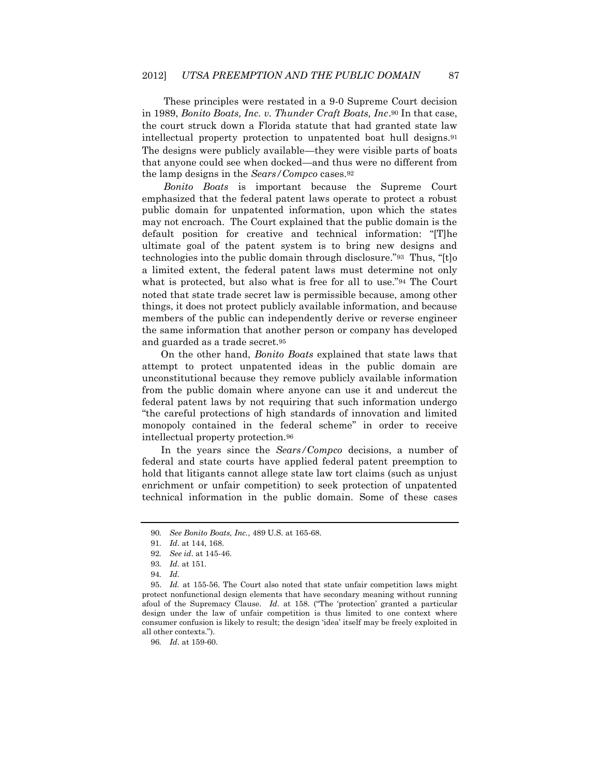These principles were restated in a 9-0 Supreme Court decision in 1989, *Bonito Boats, Inc. v. Thunder Craft Boats, Inc*.<sup>90</sup> In that case, the court struck down a Florida statute that had granted state law intellectual property protection to unpatented boat hull designs.<sup>91</sup> The designs were publicly available—they were visible parts of boats that anyone could see when docked—and thus were no different from the lamp designs in the *Sears/Compco* cases.<sup>92</sup>

 *Bonito Boats* is important because the Supreme Court emphasized that the federal patent laws operate to protect a robust public domain for unpatented information, upon which the states may not encroach. The Court explained that the public domain is the default position for creative and technical information: "[T]he ultimate goal of the patent system is to bring new designs and technologies into the public domain through disclosure."<sup>93</sup> Thus, "[t]o a limited extent, the federal patent laws must determine not only what is protected, but also what is free for all to use."<sup>94</sup> The Court noted that state trade secret law is permissible because, among other things, it does not protect publicly available information, and because members of the public can independently derive or reverse engineer the same information that another person or company has developed and guarded as a trade secret.<sup>95</sup>

 On the other hand, *Bonito Boats* explained that state laws that attempt to protect unpatented ideas in the public domain are unconstitutional because they remove publicly available information from the public domain where anyone can use it and undercut the federal patent laws by not requiring that such information undergo "the careful protections of high standards of innovation and limited monopoly contained in the federal scheme" in order to receive intellectual property protection.<sup>96</sup>

 In the years since the *Sears/Compco* decisions, a number of federal and state courts have applied federal patent preemption to hold that litigants cannot allege state law tort claims (such as unjust enrichment or unfair competition) to seek protection of unpatented technical information in the public domain. Some of these cases

<sup>90</sup>*. See Bonito Boats, Inc.*, 489 U.S. at 165-68.

<sup>91</sup>*. Id*. at 144, 168.

<sup>92</sup>*. See id*. at 145-46.

<sup>93</sup>*. Id*. at 151.

<sup>94</sup>*. Id*.

<sup>95.</sup> *Id.* at 155-56. The Court also noted that state unfair competition laws might protect nonfunctional design elements that have secondary meaning without running afoul of the Supremacy Clause. *Id*. at 158. ("The 'protection' granted a particular design under the law of unfair competition is thus limited to one context where consumer confusion is likely to result; the design 'idea' itself may be freely exploited in all other contexts.").

<sup>96</sup>*. Id*. at 159-60.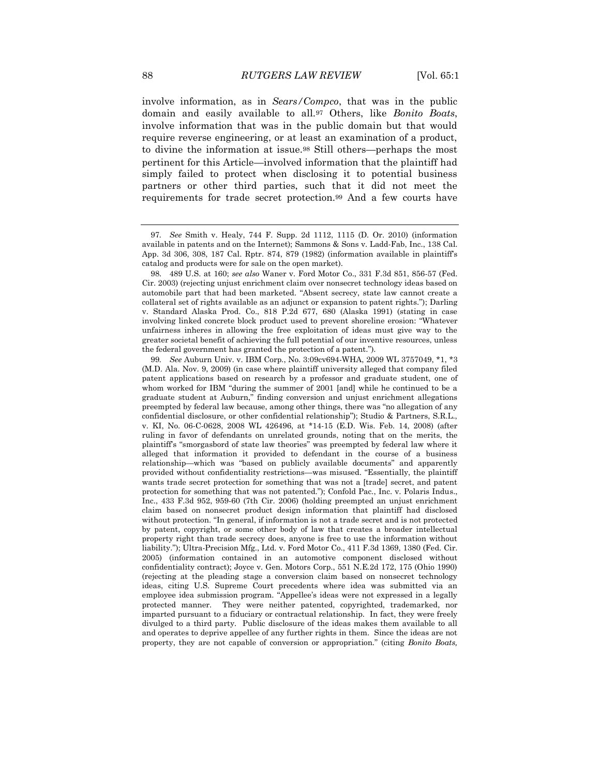involve information, as in *Sears/Compco*, that was in the public domain and easily available to all.<sup>97</sup> Others, like *Bonito Boats*, involve information that was in the public domain but that would require reverse engineering, or at least an examination of a product, to divine the information at issue.<sup>98</sup> Still others—perhaps the most pertinent for this Article—involved information that the plaintiff had simply failed to protect when disclosing it to potential business partners or other third parties, such that it did not meet the requirements for trade secret protection.<sup>99</sup> And a few courts have

<sup>97</sup>*. See* Smith v. Healy, 744 F. Supp. 2d 1112, 1115 (D. Or. 2010) (information available in patents and on the Internet); Sammons & Sons v. Ladd-Fab, Inc., 138 Cal. App. 3d 306, 308, 187 Cal. Rptr. 874, 879 (1982) (information available in plaintiff's catalog and products were for sale on the open market).

<sup>98.</sup> 489 U.S. at 160; *see also* Waner v. Ford Motor Co., 331 F.3d 851, 856-57 (Fed. Cir. 2003) (rejecting unjust enrichment claim over nonsecret technology ideas based on automobile part that had been marketed. "Absent secrecy, state law cannot create a collateral set of rights available as an adjunct or expansion to patent rights."); Darling v. Standard Alaska Prod. Co., 818 P.2d 677, 680 (Alaska 1991) (stating in case involving linked concrete block product used to prevent shoreline erosion: "Whatever unfairness inheres in allowing the free exploitation of ideas must give way to the greater societal benefit of achieving the full potential of our inventive resources, unless the federal government has granted the protection of a patent.").

<sup>99</sup>*. See* Auburn Univ. v. IBM Corp., No. 3:09cv694-WHA, 2009 WL 3757049, \*1, \*3 (M.D. Ala. Nov. 9, 2009) (in case where plaintiff university alleged that company filed patent applications based on research by a professor and graduate student, one of whom worked for IBM "during the summer of 2001 [and] while he continued to be a graduate student at Auburn," finding conversion and unjust enrichment allegations preempted by federal law because, among other things, there was "no allegation of any confidential disclosure, or other confidential relationship"); Studio & Partners, S.R.L., v. KI, No. 06-C-0628, 2008 WL 426496, at \*14-15 (E.D. Wis. Feb. 14, 2008) (after ruling in favor of defendants on unrelated grounds, noting that on the merits, the plaintiff's "smorgasbord of state law theories" was preempted by federal law where it alleged that information it provided to defendant in the course of a business relationship—which was "based on publicly available documents" and apparently provided without confidentiality restrictions—was misused. "Essentially, the plaintiff wants trade secret protection for something that was not a [trade] secret, and patent protection for something that was not patented."); Confold Pac., Inc. v. Polaris Indus., Inc., 433 F.3d 952, 959-60 (7th Cir. 2006) (holding preempted an unjust enrichment claim based on nonsecret product design information that plaintiff had disclosed without protection. "In general, if information is not a trade secret and is not protected by patent, copyright, or some other body of law that creates a broader intellectual property right than trade secrecy does, anyone is free to use the information without liability."); Ultra-Precision Mfg., Ltd. v. Ford Motor Co., 411 F.3d 1369, 1380 (Fed. Cir. 2005) (information contained in an automotive component disclosed without confidentiality contract); Joyce v. Gen. Motors Corp., 551 N.E.2d 172, 175 (Ohio 1990) (rejecting at the pleading stage a conversion claim based on nonsecret technology ideas, citing U.S. Supreme Court precedents where idea was submitted via an employee idea submission program. "Appellee's ideas were not expressed in a legally protected manner. They were neither patented, copyrighted, trademarked, nor imparted pursuant to a fiduciary or contractual relationship. In fact, they were freely divulged to a third party. Public disclosure of the ideas makes them available to all and operates to deprive appellee of any further rights in them. Since the ideas are not property, they are not capable of conversion or appropriation." (citing *Bonito Boats,*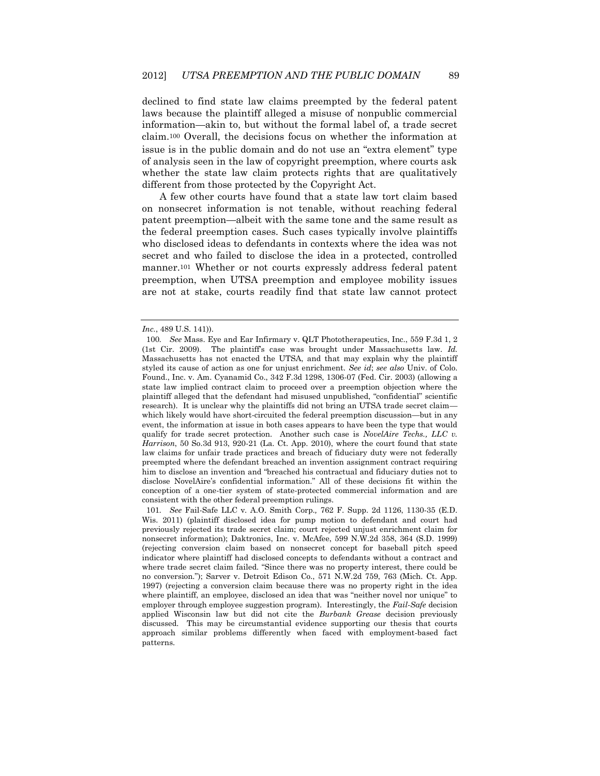declined to find state law claims preempted by the federal patent laws because the plaintiff alleged a misuse of nonpublic commercial information—akin to, but without the formal label of, a trade secret claim.<sup>100</sup> Overall, the decisions focus on whether the information at issue is in the public domain and do not use an "extra element" type of analysis seen in the law of copyright preemption, where courts ask whether the state law claim protects rights that are qualitatively different from those protected by the Copyright Act.

A few other courts have found that a state law tort claim based on nonsecret information is not tenable, without reaching federal patent preemption—albeit with the same tone and the same result as the federal preemption cases. Such cases typically involve plaintiffs who disclosed ideas to defendants in contexts where the idea was not secret and who failed to disclose the idea in a protected, controlled manner.<sup>101</sup> Whether or not courts expressly address federal patent preemption, when UTSA preemption and employee mobility issues are not at stake, courts readily find that state law cannot protect

*Inc.*, 489 U.S. 141)).

<sup>100</sup>*. See* Mass. Eye and Ear Infirmary v. QLT Phototherapeutics, Inc., 559 F.3d 1, 2 (1st Cir. 2009). The plaintiff's case was brought under Massachusetts law. *Id.*  Massachusetts has not enacted the UTSA, and that may explain why the plaintiff styled its cause of action as one for unjust enrichment. *See id*; *see also* Univ. of Colo. Found., Inc. v. Am. Cyanamid Co., 342 F.3d 1298, 1306-07 (Fed. Cir. 2003) (allowing a state law implied contract claim to proceed over a preemption objection where the plaintiff alleged that the defendant had misused unpublished, "confidential" scientific research). It is unclear why the plaintiffs did not bring an UTSA trade secret claim which likely would have short-circuited the federal preemption discussion—but in any event, the information at issue in both cases appears to have been the type that would qualify for trade secret protection. Another such case is *NovelAire Techs., LLC v. Harrison*, 50 So.3d 913, 920-21 (La. Ct. App. 2010), where the court found that state law claims for unfair trade practices and breach of fiduciary duty were not federally preempted where the defendant breached an invention assignment contract requiring him to disclose an invention and "breached his contractual and fiduciary duties not to disclose NovelAire's confidential information." All of these decisions fit within the conception of a one-tier system of state-protected commercial information and are consistent with the other federal preemption rulings.

<sup>101</sup>*. See* Fail-Safe LLC v. A.O. Smith Corp.*,* 762 F. Supp. 2d 1126, 1130-35 (E.D. Wis. 2011) (plaintiff disclosed idea for pump motion to defendant and court had previously rejected its trade secret claim; court rejected unjust enrichment claim for nonsecret information); Daktronics, Inc. v. McAfee, 599 N.W.2d 358, 364 (S.D. 1999) (rejecting conversion claim based on nonsecret concept for baseball pitch speed indicator where plaintiff had disclosed concepts to defendants without a contract and where trade secret claim failed. "Since there was no property interest, there could be no conversion."); Sarver v. Detroit Edison Co., 571 N.W.2d 759, 763 (Mich. Ct. App. 1997) (rejecting a conversion claim because there was no property right in the idea where plaintiff, an employee, disclosed an idea that was "neither novel nor unique" to employer through employee suggestion program). Interestingly, the *Fail-Safe* decision applied Wisconsin law but did not cite the *Burbank Grease* decision previously discussed. This may be circumstantial evidence supporting our thesis that courts approach similar problems differently when faced with employment-based fact patterns.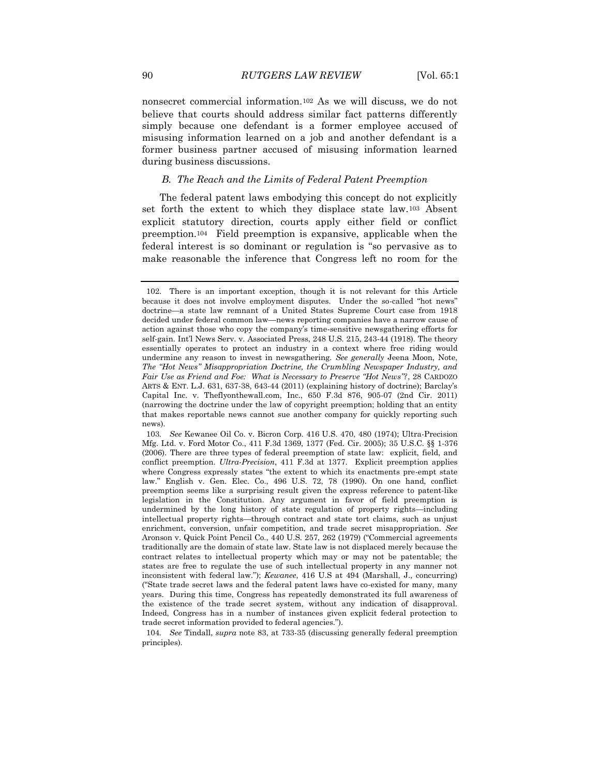nonsecret commercial information.<sup>102</sup> As we will discuss, we do not believe that courts should address similar fact patterns differently simply because one defendant is a former employee accused of misusing information learned on a job and another defendant is a former business partner accused of misusing information learned during business discussions.

### *B. The Reach and the Limits of Federal Patent Preemption*

The federal patent laws embodying this concept do not explicitly set forth the extent to which they displace state law.<sup>103</sup> Absent explicit statutory direction, courts apply either field or conflict preemption.104 Field preemption is expansive, applicable when the federal interest is so dominant or regulation is "so pervasive as to make reasonable the inference that Congress left no room for the

<sup>102.</sup> There is an important exception, though it is not relevant for this Article because it does not involve employment disputes. Under the so-called "hot news" doctrine—a state law remnant of a United States Supreme Court case from 1918 decided under federal common law—news reporting companies have a narrow cause of action against those who copy the company's time-sensitive newsgathering efforts for self-gain. Int'l News Serv. v. Associated Press, 248 U.S. 215, 243-44 (1918). The theory essentially operates to protect an industry in a context where free riding would undermine any reason to invest in newsgathering. *See generally* Jeena Moon, Note, *The "Hot News" Misappropriation Doctrine, the Crumbling Newspaper Industry, and Fair Use as Friend and Foe: What is Necessary to Preserve "Hot News"?*, 28 CARDOZO ARTS & ENT. L.J. 631, 637-38, 643-44 (2011) (explaining history of doctrine); Barclay's Capital Inc. v. Theflyonthewall.com, Inc., 650 F.3d 876, 905-07 (2nd Cir. 2011) (narrowing the doctrine under the law of copyright preemption; holding that an entity that makes reportable news cannot sue another company for quickly reporting such news).

<sup>103</sup>*. See* Kewanee Oil Co. v. Bicron Corp. 416 U.S. 470, 480 (1974); Ultra-Precision Mfg. Ltd. v. Ford Motor Co., 411 F.3d 1369, 1377 (Fed. Cir. 2005); [35 U.S.C. §§ 1-](http://www.westlaw.com/Find/Default.wl?rs=dfa1.0&vr=2.0&DB=1000546&DocName=35USCAS1&FindType=L)376 (2006). There are three types of federal preemption of state law: explicit, field, and conflict preemption. *Ultra-Precision*, 411 F.3d at 1377. Explicit preemption applies where Congress expressly states "the extent to which its enactments pre-empt state law." English v. Gen. Elec. Co., 496 U.S. 72, 78 (1990). On one hand, conflict preemption seems like a surprising result given the express reference to patent-like legislation in the Constitution. Any argument in favor of field preemption is undermined by the long history of state regulation of property rights—including intellectual property rights—through contract and state tort claims, such as unjust enrichment, conversion, unfair competition, and trade secret misappropriation. *See*  Aronson v. Quick Point Pencil Co., 440 U.S. 257, 262 (1979) ("Commercial agreements traditionally are the domain of state law. State law is not displaced merely because the contract relates to intellectual property which may or may not be patentable; the states are free to regulate the use of such intellectual property in any manner not inconsistent with federal law."); *Kewanee*, 416 U.S at 494 (Marshall, J., concurring) ("State trade secret laws and the federal patent laws have co-existed for many, many years. During this time, Congress has repeatedly demonstrated its full awareness of the existence of the trade secret system, without any indication of disapproval. Indeed, Congress has in a number of instances given explicit federal protection to trade secret information provided to federal agencies.").

<sup>104</sup>*. See* Tindall, *supra* note 83, at 733-35 (discussing generally federal preemption principles).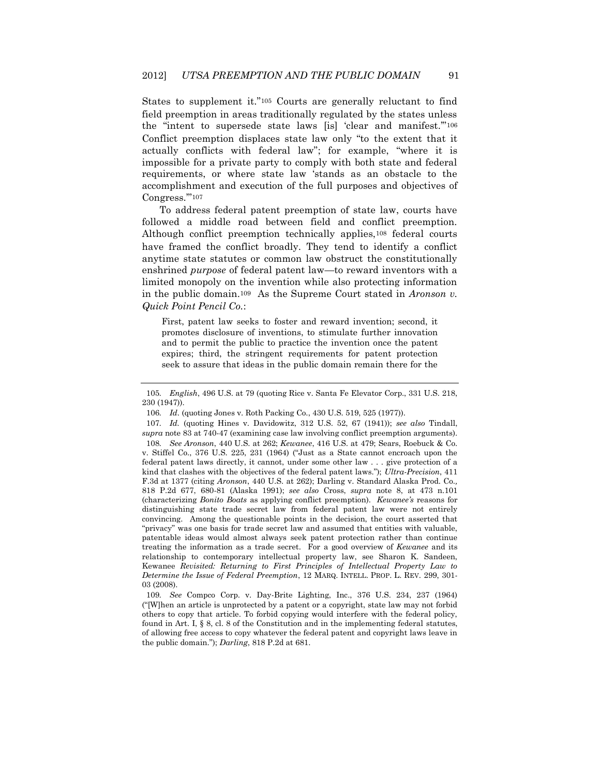States to supplement it."<sup>105</sup> Courts are generally reluctant to find field preemption in areas traditionally regulated by the states unless the "intent to supersede state laws [is] 'clear and manifest.'"<sup>106</sup> Conflict preemption displaces state law only "to the extent that it actually conflicts with federal law"; for example, "where it is impossible for a private party to comply with both state and federal requirements, or where state law 'stands as an obstacle to the accomplishment and execution of the full purposes and objectives of Congress."<sup>107</sup>

To address federal patent preemption of state law, courts have followed a middle road between field and conflict preemption. Although conflict preemption technically applies, <sup>108</sup> federal courts have framed the conflict broadly. They tend to identify a conflict anytime state statutes or common law obstruct the constitutionally enshrined *purpose* of federal patent law—to reward inventors with a limited monopoly on the invention while also protecting information in the public domain.109 As the Supreme Court stated in *Aronson v. Quick Point Pencil Co.*:

First, patent law seeks to foster and reward invention; second, it promotes disclosure of inventions, to stimulate further innovation and to permit the public to practice the invention once the patent expires; third, the stringent requirements for patent protection seek to assure that ideas in the public domain remain there for the

106*. Id*. (quoting Jones v. Roth Packing Co., 430 U.S. 519, 525 (1977)).

108*. See Aronson*, 440 U.S. at 262; *Kewanee*, 416 U.S. at 479; Sears, Roebuck & Co. v. Stiffel Co., 376 U.S. 225, 231 (1964) ("Just as a State cannot encroach upon the federal patent laws directly, it cannot, under some other law . . . give protection of a kind that clashes with the objectives of the federal patent laws."); *Ultra-Precision*, 411 F.3d at 1377 (citing *Aronson*, 440 U.S. at 262); Darling v. Standard Alaska Prod. Co.*,* 818 P.2d 677, 680-81 (Alaska 1991); *see also* Cross, *supra* note 8, at 473 n.101 (characterizing *Bonito Boats* as applying conflict preemption). *Kewanee's* reasons for distinguishing state trade secret law from federal patent law were not entirely convincing. Among the questionable points in the decision, the court asserted that "privacy" was one basis for trade secret law and assumed that entities with valuable, patentable ideas would almost always seek patent protection rather than continue treating the information as a trade secret. For a good overview of *Kewanee* and its relationship to contemporary intellectual property law, see Sharon K. Sandeen, Kewanee *Revisited: Returning to First Principles of Intellectual Property Law to Determine the Issue of Federal Preemption*, 12 MARQ. INTELL. PROP. L. REV. 299, 301- 03 (2008).

109*. See* Compco Corp. v. Day-Brite Lighting, Inc., 376 U.S. 234, 237 (1964) ("[W]hen an article is unprotected by a patent or a copyright, state law may not forbid others to copy that article. To forbid copying would interfere with the federal policy, found in Art. I,  $\S$  8, cl. 8 of the Constitution and in the implementing federal statutes, of allowing free access to copy whatever the federal patent and copyright laws leave in the public domain."); *Darling*, 818 P.2d at 681.

<sup>105</sup>*. English*, 496 U.S. at 79 (quoting Rice v. Santa Fe Elevator Corp., 331 U.S. 218, 230 (1947)).

<sup>107</sup>*. Id.* (quoting Hines v. Davidowitz, 312 U.S. 52, 67 (1941)); *see also* Tindall, *supra* note 83 at 740-47 (examining case law involving conflict preemption arguments).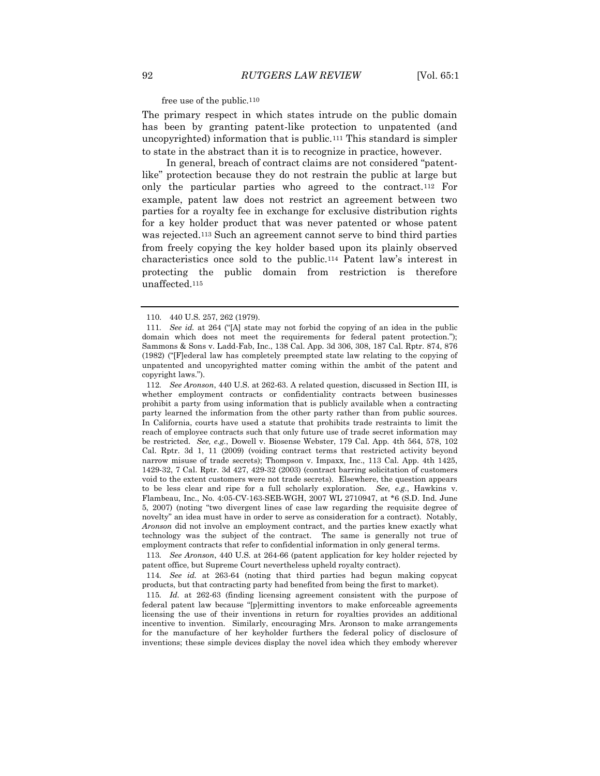free use of the public.110

The primary respect in which states intrude on the public domain has been by granting patent-like protection to unpatented (and uncopyrighted) information that is public.<sup>111</sup> This standard is simpler to state in the abstract than it is to recognize in practice, however.

 In general, breach of contract claims are not considered "patentlike" protection because they do not restrain the public at large but only the particular parties who agreed to the contract.<sup>112</sup> For example, patent law does not restrict an agreement between two parties for a royalty fee in exchange for exclusive distribution rights for a key holder product that was never patented or whose patent was rejected.<sup>113</sup> Such an agreement cannot serve to bind third parties from freely copying the key holder based upon its plainly observed characteristics once sold to the public.<sup>114</sup> Patent law's interest in protecting the public domain from restriction is therefore unaffected.<sup>115</sup>

112*. See Aronson*, 440 U.S. at 262-63. A related question, discussed in Section III, is whether employment contracts or confidentiality contracts between businesses prohibit a party from using information that is publicly available when a contracting party learned the information from the other party rather than from public sources. In California, courts have used a statute that prohibits trade restraints to limit the reach of employee contracts such that only future use of trade secret information may be restricted. *See, e.g.*, Dowell v. Biosense Webster, 179 Cal. App. 4th 564, 578, 102 Cal. Rptr. 3d 1, 11 (2009) (voiding contract terms that restricted activity beyond narrow misuse of trade secrets); Thompson v. Impaxx, Inc., 113 Cal. App. 4th 1425, 1429-32, 7 Cal. Rptr. 3d 427, 429-32 (2003) (contract barring solicitation of customers void to the extent customers were not trade secrets). Elsewhere, the question appears to be less clear and ripe for a full scholarly exploration. *See, e.g.*, Hawkins v. Flambeau, Inc., No. 4:05-CV-163-SEB-WGH, 2007 WL 2710947, at \*6 (S.D. Ind. June 5, 2007) (noting "two divergent lines of case law regarding the requisite degree of novelty" an idea must have in order to serve as consideration for a contract). Notably, *Aronson* did not involve an employment contract, and the parties knew exactly what technology was the subject of the contract. The same is generally not true of employment contracts that refer to confidential information in only general terms.

113*. See Aronson*, 440 U.S. at 264-66 (patent application for key holder rejected by patent office, but Supreme Court nevertheless upheld royalty contract).

114*. See id.* at 263-64 (noting that third parties had begun making copycat products, but that contracting party had benefited from being the first to market).

115*. Id.* at 262-63 (finding licensing agreement consistent with the purpose of federal patent law because "[p]ermitting inventors to make enforceable agreements licensing the use of their inventions in return for royalties provides an additional incentive to invention. Similarly, encouraging Mrs. Aronson to make arrangements for the manufacture of her keyholder furthers the federal policy of disclosure of inventions; these simple devices display the novel idea which they embody wherever

<sup>110.</sup> 440 U.S. 257, 262 (1979).

<sup>111</sup>*. See id.* at 264 ("[A] state may not forbid the copying of an idea in the public domain which does not meet the requirements for federal patent protection."); Sammons & Sons v. Ladd-Fab, Inc., 138 Cal. App. 3d 306, 308, 187 Cal. Rptr. 874, 876 (1982) ("[F]ederal law has completely preempted state law relating to the copying of unpatented and uncopyrighted matter coming within the ambit of the patent and copyright laws.").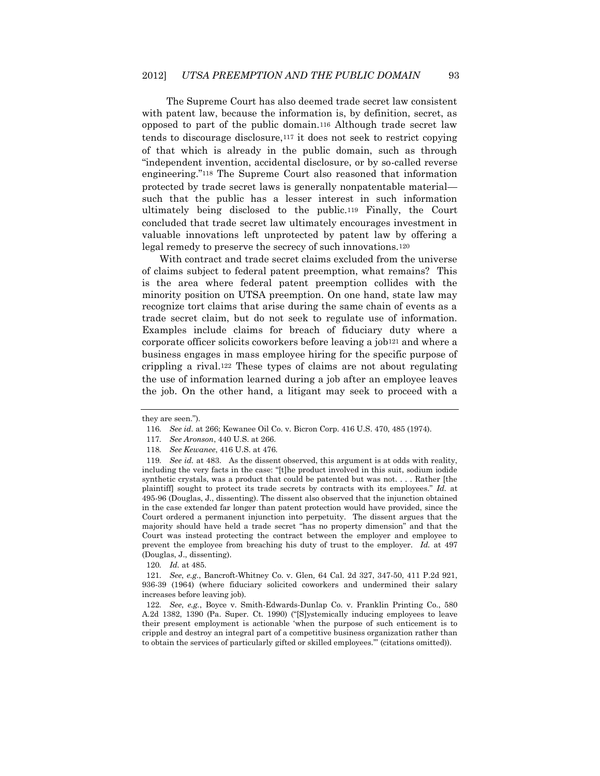The Supreme Court has also deemed trade secret law consistent with patent law, because the information is, by definition, secret, as opposed to part of the public domain.<sup>116</sup> Although trade secret law tends to discourage disclosure,<sup>117</sup> it does not seek to restrict copying of that which is already in the public domain, such as through "independent invention, accidental disclosure, or by so-called reverse engineering."<sup>118</sup> The Supreme Court also reasoned that information protected by trade secret laws is generally nonpatentable material such that the public has a lesser interest in such information ultimately being disclosed to the public.<sup>119</sup> Finally, the Court concluded that trade secret law ultimately encourages investment in valuable innovations left unprotected by patent law by offering a legal remedy to preserve the secrecy of such innovations.<sup>120</sup>

With contract and trade secret claims excluded from the universe of claims subject to federal patent preemption, what remains? This is the area where federal patent preemption collides with the minority position on UTSA preemption. On one hand, state law may recognize tort claims that arise during the same chain of events as a trade secret claim, but do not seek to regulate use of information. Examples include claims for breach of fiduciary duty where a corporate officer solicits coworkers before leaving a job<sup>121</sup> and where a business engages in mass employee hiring for the specific purpose of crippling a rival.<sup>122</sup> These types of claims are not about regulating the use of information learned during a job after an employee leaves the job. On the other hand, a litigant may seek to proceed with a

120*. Id.* at 485.

they are seen.").

<sup>116</sup>*. See id.* at 266; Kewanee Oil Co. v. Bicron Corp. 416 U.S. 470, 485 (1974).

<sup>117</sup>*. See Aronson*, 440 U.S. at 266.

<sup>118</sup>*. See Kewanee*, 416 U.S. at 476.

<sup>119</sup>*. See id.* at 483. As the dissent observed, this argument is at odds with reality, including the very facts in the case: "[t]he product involved in this suit, sodium iodide synthetic crystals, was a product that could be patented but was not. . . . Rather [the plaintiff] sought to protect its trade secrets by contracts with its employees." *Id.* at 495-96 (Douglas, J., dissenting). The dissent also observed that the injunction obtained in the case extended far longer than patent protection would have provided, since the Court ordered a permanent injunction into perpetuity. The dissent argues that the majority should have held a trade secret "has no property dimension" and that the Court was instead protecting the contract between the employer and employee to prevent the employee from breaching his duty of trust to the employer. *Id.* at 497 (Douglas, J., dissenting).

<sup>121</sup>*. See*, *e.g.*, Bancroft-Whitney Co. v. Glen*,* 64 Cal. 2d 327, 347-50, 411 P.2d 921, 936-39 (1964) (where fiduciary solicited coworkers and undermined their salary increases before leaving job).

<sup>122</sup>*. See*, *e.g.*, Boyce v. Smith-Edwards-Dunlap Co. v. Franklin Printing Co., 580 A.2d 1382, 1390 (Pa. Super. Ct. 1990) ("[S]ystemically inducing employees to leave their present employment is actionable 'when the purpose of such enticement is to cripple and destroy an integral part of a competitive business organization rather than to obtain the services of particularly gifted or skilled employees.'" (citations omitted)).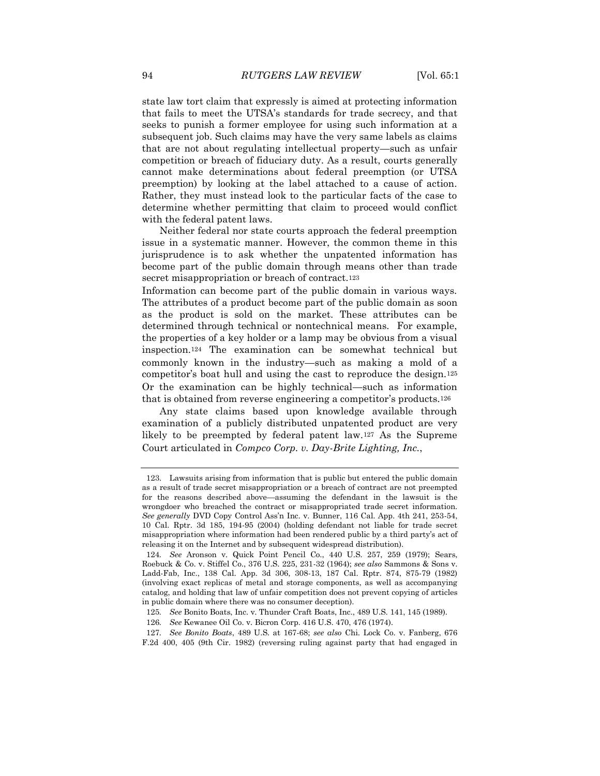state law tort claim that expressly is aimed at protecting information that fails to meet the UTSA's standards for trade secrecy, and that seeks to punish a former employee for using such information at a subsequent job. Such claims may have the very same labels as claims that are not about regulating intellectual property—such as unfair competition or breach of fiduciary duty. As a result, courts generally cannot make determinations about federal preemption (or UTSA preemption) by looking at the label attached to a cause of action. Rather, they must instead look to the particular facts of the case to determine whether permitting that claim to proceed would conflict with the federal patent laws.

Neither federal nor state courts approach the federal preemption issue in a systematic manner. However, the common theme in this jurisprudence is to ask whether the unpatented information has become part of the public domain through means other than trade secret misappropriation or breach of contract.<sup>123</sup>

Information can become part of the public domain in various ways. The attributes of a product become part of the public domain as soon as the product is sold on the market. These attributes can be determined through technical or nontechnical means. For example, the properties of a key holder or a lamp may be obvious from a visual inspection.<sup>124</sup> The examination can be somewhat technical but commonly known in the industry—such as making a mold of a competitor's boat hull and using the cast to reproduce the design.<sup>125</sup> Or the examination can be highly technical—such as information that is obtained from reverse engineering a competitor's products.<sup>126</sup>

Any state claims based upon knowledge available through examination of a publicly distributed unpatented product are very likely to be preempted by federal patent law.<sup>127</sup> As the Supreme Court articulated in *Compco Corp. v. Day-Brite Lighting, Inc.*,

<sup>123.</sup> Lawsuits arising from information that is public but entered the public domain as a result of trade secret misappropriation or a breach of contract are not preempted for the reasons described above—assuming the defendant in the lawsuit is the wrongdoer who breached the contract or misappropriated trade secret information. *See generally* DVD Copy Control Ass'n Inc. v. Bunner, 116 Cal. App. 4th 241, 253-54, 10 Cal. Rptr. 3d 185, 194-95 (2004) (holding defendant not liable for trade secret misappropriation where information had been rendered public by a third party's act of releasing it on the Internet and by subsequent widespread distribution).

<sup>124</sup>*. See* Aronson v. Quick Point Pencil Co., 440 U.S. 257, 259 (1979); Sears, Roebuck & Co. v. Stiffel Co., 376 U.S. 225, 231-32 (1964); *see also* Sammons & Sons v. Ladd-Fab, Inc., 138 Cal. App. 3d 306, 308-13, 187 Cal. Rptr. 874, 875-79 (1982) (involving exact replicas of metal and storage components, as well as accompanying catalog, and holding that law of unfair competition does not prevent copying of articles in public domain where there was no consumer deception).

<sup>125</sup>*. See* Bonito Boats, Inc. v. Thunder Craft Boats, Inc., 489 U.S. 141, 145 (1989).

<sup>126</sup>*. See* Kewanee Oil Co. v. Bicron Corp. 416 U.S. 470, 476 (1974).

<sup>127</sup>*. See Bonito Boats*, 489 U.S. at 167-68; *see also* Chi. Lock Co. v. Fanberg, 676 F.2d 400, 405 (9th Cir. 1982) (reversing ruling against party that had engaged in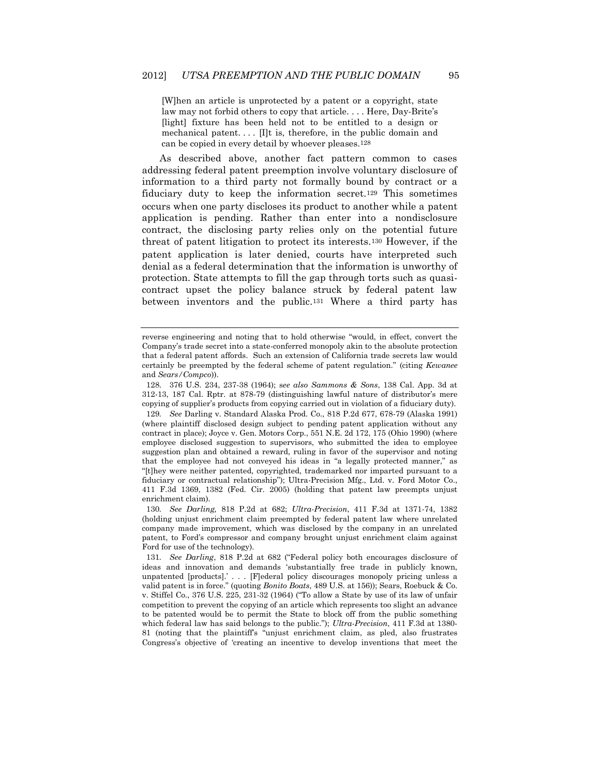[W]hen an article is unprotected by a patent or a copyright, state law may not forbid others to copy that article. . . . Here, Day-Brite's [light] fixture has been held not to be entitled to a design or mechanical patent.  $\ldots$  [I]t is, therefore, in the public domain and can be copied in every detail by whoever pleases.128

As described above, another fact pattern common to cases addressing federal patent preemption involve voluntary disclosure of information to a third party not formally bound by contract or a fiduciary duty to keep the information secret.<sup>129</sup> This sometimes occurs when one party discloses its product to another while a patent application is pending. Rather than enter into a nondisclosure contract, the disclosing party relies only on the potential future threat of patent litigation to protect its interests.<sup>130</sup> However, if the patent application is later denied, courts have interpreted such denial as a federal determination that the information is unworthy of protection. State attempts to fill the gap through torts such as quasicontract upset the policy balance struck by federal patent law between inventors and the public.<sup>131</sup> Where a third party has

reverse engineering and noting that to hold otherwise "would, in effect, convert the Company's trade secret into a state-conferred monopoly akin to the absolute protection that a federal patent affords. Such an extension of California trade secrets law would certainly be preempted by the federal scheme of patent regulation." (citing *Kewanee* and *Sears/Compco*)).

<sup>128.</sup> 376 U.S. 234, 237-38 (1964); s*ee also Sammons & Sons*, 138 Cal. App. 3d at 312-13, 187 Cal. Rptr. at 878-79 (distinguishing lawful nature of distributor's mere copying of supplier's products from copying carried out in violation of a fiduciary duty).

<sup>129</sup>*. See* Darling v. Standard Alaska Prod. Co., 818 P.2d 677, 678-79 (Alaska 1991) (where plaintiff disclosed design subject to pending patent application without any contract in place); Joyce v. Gen. Motors Corp., 551 N.E. 2d 172, 175 (Ohio 1990) (where employee disclosed suggestion to supervisors, who submitted the idea to employee suggestion plan and obtained a reward, ruling in favor of the supervisor and noting that the employee had not conveyed his ideas in "a legally protected manner," as "[t]hey were neither patented, copyrighted, trademarked nor imparted pursuant to a fiduciary or contractual relationship"); Ultra-Precision Mfg., Ltd. v. Ford Motor Co., 411 F.3d 1369, 1382 (Fed. Cir. 2005) (holding that patent law preempts unjust enrichment claim).

<sup>130</sup>*. See Darling,* 818 P.2d at 682; *Ultra-Precision*, 411 F.3d at 1371-74, 1382 (holding unjust enrichment claim preempted by federal patent law where unrelated company made improvement, which was disclosed by the company in an unrelated patent, to Ford's compressor and company brought unjust enrichment claim against Ford for use of the technology).

<sup>131</sup>*. See Darling*, 818 P.2d at 682 ("Federal policy both encourages disclosure of ideas and innovation and demands 'substantially free trade in publicly known, unpatented [products].' . . . [F]ederal policy discourages monopoly pricing unless a valid patent is in force." (quoting *Bonito Boats*, 489 U.S. at 156)); Sears, Roebuck & Co. v. Stiffel Co., 376 U.S. 225, 231-32 (1964) ("To allow a State by use of its law of unfair competition to prevent the copying of an article which represents too slight an advance to be patented would be to permit the State to block off from the public something which federal law has said belongs to the public."); *Ultra-Precision*, 411 F.3d at 1380- 81 (noting that the plaintiff's "unjust enrichment claim, as pled, also frustrates Congress's objective of 'creating an incentive to develop inventions that meet the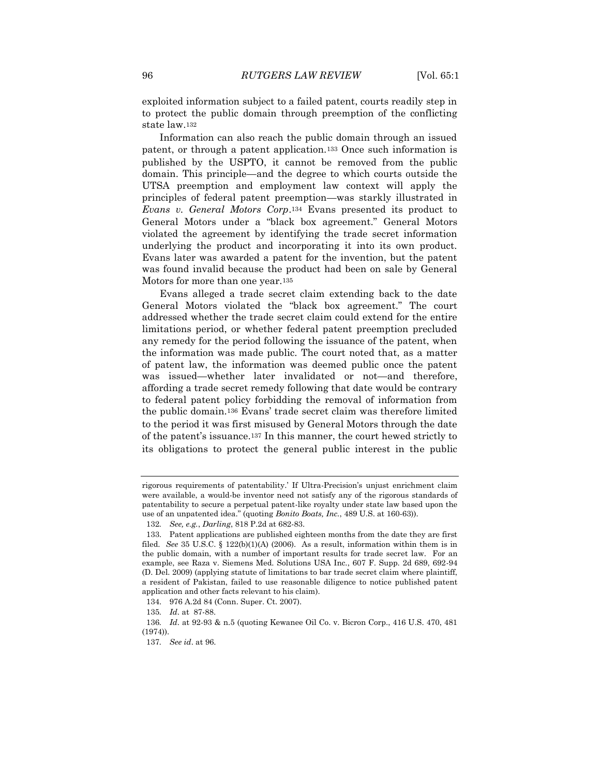exploited information subject to a failed patent, courts readily step in to protect the public domain through preemption of the conflicting state law.<sup>132</sup>

Information can also reach the public domain through an issued patent, or through a patent application.<sup>133</sup> Once such information is published by the USPTO, it cannot be removed from the public domain. This principle—and the degree to which courts outside the UTSA preemption and employment law context will apply the principles of federal patent preemption—was starkly illustrated in *Evans v. General Motors Corp*.<sup>134</sup> Evans presented its product to General Motors under a "black box agreement." General Motors violated the agreement by identifying the trade secret information underlying the product and incorporating it into its own product. Evans later was awarded a patent for the invention, but the patent was found invalid because the product had been on sale by General Motors for more than one year.<sup>135</sup>

Evans alleged a trade secret claim extending back to the date General Motors violated the "black box agreement." The court addressed whether the trade secret claim could extend for the entire limitations period, or whether federal patent preemption precluded any remedy for the period following the issuance of the patent, when the information was made public. The court noted that, as a matter of patent law, the information was deemed public once the patent was issued—whether later invalidated or not—and therefore, affording a trade secret remedy following that date would be contrary to federal patent policy forbidding the removal of information from the public domain.<sup>136</sup> Evans' trade secret claim was therefore limited to the period it was first misused by General Motors through the date of the patent's issuance.<sup>137</sup> In this manner, the court hewed strictly to its obligations to protect the general public interest in the public

rigorous requirements of patentability.' If Ultra-Precision's unjust enrichment claim were available, a would-be inventor need not satisfy any of the rigorous standards of patentability to secure a perpetual patent-like royalty under state law based upon the use of an unpatented idea." (quoting *Bonito Boats, Inc.*, 489 U.S. at 160-63)).

<sup>132</sup>*. See, e.g.*, *Darling*, 818 P.2d at 682-83.

<sup>133.</sup> Patent applications are published eighteen months from the date they are first filed. *See* 35 U.S.C. § 122(b)(1)(A) (2006). As a result, information within them is in the public domain, with a number of important results for trade secret law. For an example, see Raza v. Siemens Med. Solutions USA Inc., 607 F. Supp. 2d 689, 692-94 (D. Del. 2009) (applying statute of limitations to bar trade secret claim where plaintiff, a resident of Pakistan, failed to use reasonable diligence to notice published patent application and other facts relevant to his claim).

<sup>134.</sup> 976 A.2d 84 (Conn. Super. Ct. 2007).

<sup>135</sup>*. Id*. at 87-88.

<sup>136</sup>*. Id*. at 92-93 & n.5 (quoting Kewanee Oil Co. v. Bicron Corp., 416 U.S. 470, 481 (1974)).

<sup>137</sup>*. See id*. at 96.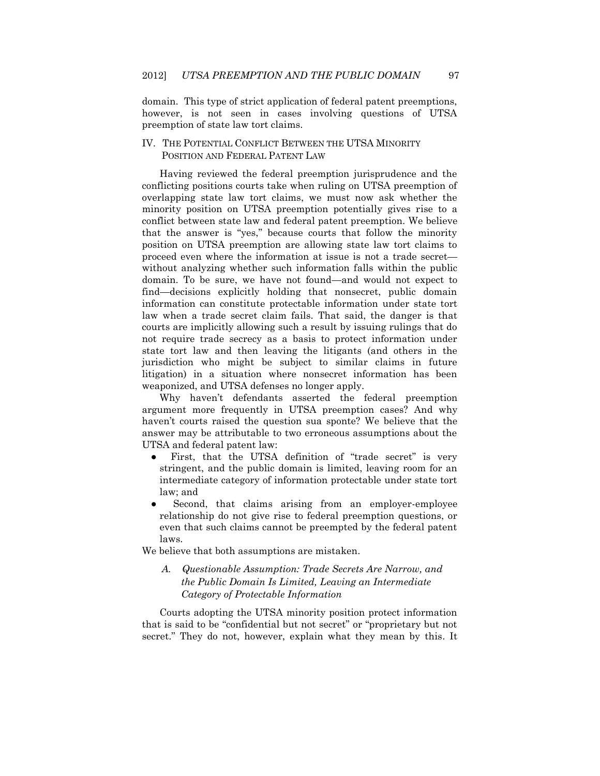domain. This type of strict application of federal patent preemptions, however, is not seen in cases involving questions of UTSA preemption of state law tort claims.

## IV. THE POTENTIAL CONFLICT BETWEEN THE UTSA MINORITY POSITION AND FEDERAL PATENT LAW

Having reviewed the federal preemption jurisprudence and the conflicting positions courts take when ruling on UTSA preemption of overlapping state law tort claims, we must now ask whether the minority position on UTSA preemption potentially gives rise to a conflict between state law and federal patent preemption. We believe that the answer is "yes," because courts that follow the minority position on UTSA preemption are allowing state law tort claims to proceed even where the information at issue is not a trade secret without analyzing whether such information falls within the public domain. To be sure, we have not found—and would not expect to find—decisions explicitly holding that nonsecret, public domain information can constitute protectable information under state tort law when a trade secret claim fails. That said, the danger is that courts are implicitly allowing such a result by issuing rulings that do not require trade secrecy as a basis to protect information under state tort law and then leaving the litigants (and others in the jurisdiction who might be subject to similar claims in future litigation) in a situation where nonsecret information has been weaponized, and UTSA defenses no longer apply.

Why haven't defendants asserted the federal preemption argument more frequently in UTSA preemption cases? And why haven't courts raised the question sua sponte? We believe that the answer may be attributable to two erroneous assumptions about the UTSA and federal patent law:

- First, that the UTSA definition of "trade secret" is very stringent, and the public domain is limited, leaving room for an intermediate category of information protectable under state tort law; and
- Second, that claims arising from an employer-employee relationship do not give rise to federal preemption questions, or even that such claims cannot be preempted by the federal patent laws.

We believe that both assumptions are mistaken.

*A. Questionable Assumption: Trade Secrets Are Narrow, and the Public Domain Is Limited, Leaving an Intermediate Category of Protectable Information*

Courts adopting the UTSA minority position protect information that is said to be "confidential but not secret" or "proprietary but not secret." They do not, however, explain what they mean by this. It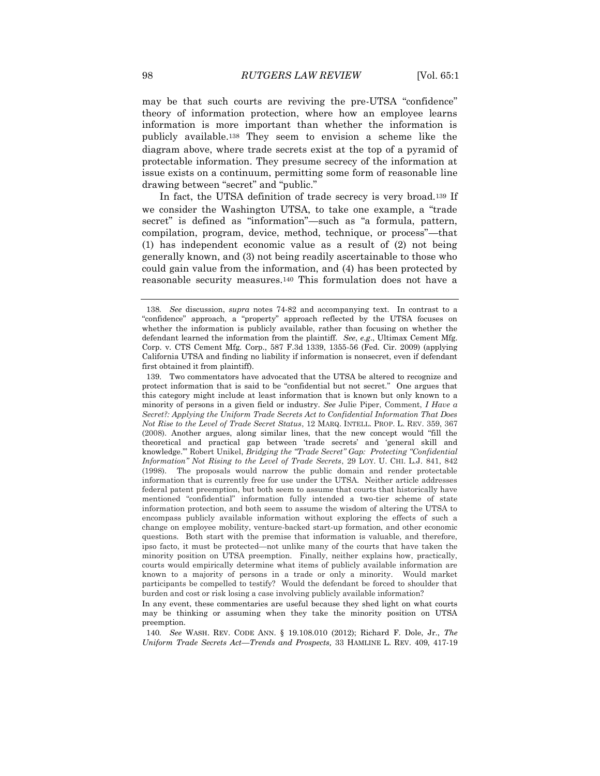may be that such courts are reviving the pre-UTSA "confidence" theory of information protection, where how an employee learns information is more important than whether the information is publicly available.<sup>138</sup> They seem to envision a scheme like the diagram above, where trade secrets exist at the top of a pyramid of protectable information. They presume secrecy of the information at issue exists on a continuum, permitting some form of reasonable line drawing between "secret" and "public."

In fact, the UTSA definition of trade secrecy is very broad.<sup>139</sup> If we consider the Washington UTSA, to take one example, a "trade secret" is defined as "information"—such as "a formula, pattern, compilation, program, device, method, technique, or process"—that (1) has independent economic value as a result of (2) not being generally known, and (3) not being readily ascertainable to those who could gain value from the information, and (4) has been protected by reasonable security measures.<sup>140</sup> This formulation does not have a

140*. See* WASH. REV. CODE ANN. § 19.108.010 (2012); Richard F. Dole, Jr., *The Uniform Trade Secrets Act—Trends and Prospects,* 33 HAMLINE L. REV. 409, 417-19

<sup>138</sup>*. See* discussion, *supra* notes 74-82 and accompanying text. In contrast to a "confidence" approach, a "property" approach reflected by the UTSA focuses on whether the information is publicly available, rather than focusing on whether the defendant learned the information from the plaintiff. *See*, *e.g*., Ultimax Cement Mfg. Corp. v. CTS Cement Mfg. Corp., 587 F.3d 1339, 1355-56 (Fed. Cir. 2009) (applying California UTSA and finding no liability if information is nonsecret, even if defendant first obtained it from plaintiff).

<sup>139.</sup> Two commentators have advocated that the UTSA be altered to recognize and protect information that is said to be "confidential but not secret." One argues that this category might include at least information that is known but only known to a minority of persons in a given field or industry. *See* Julie Piper, Comment, *I Have a Secret?: Applying the Uniform Trade Secrets Act to Confidential Information That Does Not Rise to the Level of Trade Secret Status*, 12 MARQ. INTELL. PROP. L. REV. 359, 367 (2008). Another argues, along similar lines, that the new concept would "fill the theoretical and practical gap between 'trade secrets' and 'general skill and knowledge.'" Robert Unikel, *Bridging the "Trade Secret" Gap: Protecting "Confidential Information" Not Rising to the Level of Trade Secrets*, 29 LOY. U. CHI. L.J. 841, 842 (1998). The proposals would narrow the public domain and render protectable information that is currently free for use under the UTSA. Neither article addresses federal patent preemption, but both seem to assume that courts that historically have mentioned "confidential" information fully intended a two-tier scheme of state information protection, and both seem to assume the wisdom of altering the UTSA to encompass publicly available information without exploring the effects of such a change on employee mobility, venture-backed start-up formation, and other economic questions. Both start with the premise that information is valuable, and therefore, ipso facto, it must be protected—not unlike many of the courts that have taken the minority position on UTSA preemption. Finally, neither explains how, practically, courts would empirically determine what items of publicly available information are known to a majority of persons in a trade or only a minority. Would market participants be compelled to testify? Would the defendant be forced to shoulder that burden and cost or risk losing a case involving publicly available information?

In any event, these commentaries are useful because they shed light on what courts may be thinking or assuming when they take the minority position on UTSA preemption.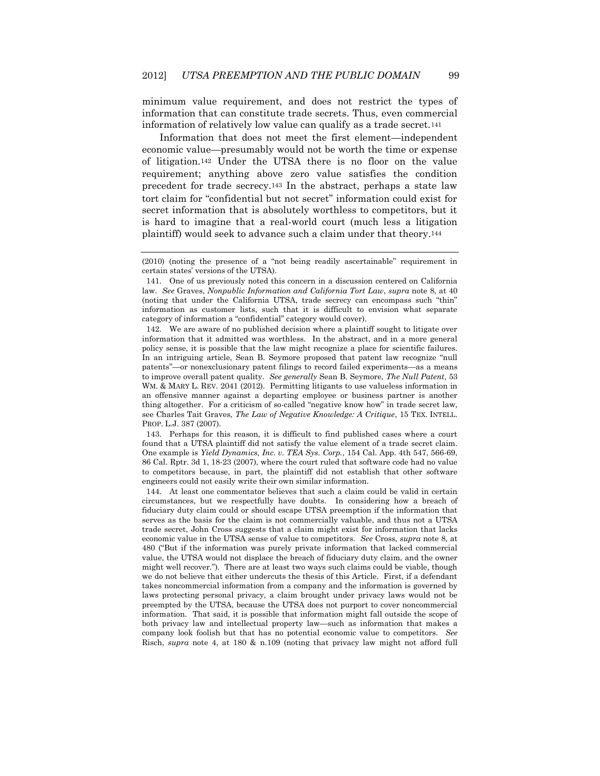minimum value requirement, and does not restrict the types of information that can constitute trade secrets. Thus, even commercial information of relatively low value can qualify as a trade secret.<sup>141</sup>

Information that does not meet the first element—independent economic value—presumably would not be worth the time or expense of litigation.<sup>142</sup> Under the UTSA there is no floor on the value requirement; anything above zero value satisfies the condition precedent for trade secrecy.<sup>143</sup> In the abstract, perhaps a state law tort claim for "confidential but not secret" information could exist for secret information that is absolutely worthless to competitors, but it is hard to imagine that a real-world court (much less a litigation plaintiff) would seek to advance such a claim under that theory.<sup>144</sup>

142. We are aware of no published decision where a plaintiff sought to litigate over information that it admitted was worthless. In the abstract, and in a more general policy sense, it is possible that the law might recognize a place for scientific failures. In an intriguing article, Sean B. Seymore proposed that patent law recognize "null patents"—or nonexclusionary patent filings to record failed experiments—as a means to improve overall patent quality. *See generally* Sean B. Seymore, *The Null Patent*, 53 WM. & MARY L. REV. 2041 (2012). Permitting litigants to use valueless information in an offensive manner against a departing employee or business partner is another thing altogether. For a criticism of so-called "negative know how" in trade secret law, see Charles Tait Graves, *The Law of Negative Knowledge: A Critique*, 15 TEX. INTELL. PROP. L.J. 387 (2007).

143. Perhaps for this reason, it is difficult to find published cases where a court found that a UTSA plaintiff did not satisfy the value element of a trade secret claim. One example is *Yield Dynamics, Inc. v. TEA Sys. Corp.*, 154 Cal. App. 4th 547, 566-69, 86 Cal. Rptr. 3d 1, 18-23 (2007), where the court ruled that software code had no value to competitors because, in part, the plaintiff did not establish that other software engineers could not easily write their own similar information.

144. At least one commentator believes that such a claim could be valid in certain circumstances, but we respectfully have doubts. In considering how a breach of fiduciary duty claim could or should escape UTSA preemption if the information that serves as the basis for the claim is not commercially valuable, and thus not a UTSA trade secret, John Cross suggests that a claim might exist for information that lacks economic value in the UTSA sense of value to competitors. *See* Cross, *supra* note 8, at 480 ("But if the information was purely private information that lacked commercial value, the UTSA would not displace the breach of fiduciary duty claim, and the owner might well recover."). There are at least two ways such claims could be viable, though we do not believe that either undercuts the thesis of this Article. First, if a defendant takes noncommercial information from a company and the information is governed by laws protecting personal privacy, a claim brought under privacy laws would not be preempted by the UTSA, because the UTSA does not purport to cover noncommercial information. That said, it is possible that information might fall outside the scope of both privacy law and intellectual property law—such as information that makes a company look foolish but that has no potential economic value to competitors. *See* Risch, *supra* note 4, at 180 & n.109 (noting that privacy law might not afford full

<sup>(2010) (</sup>noting the presence of a "not being readily ascertainable" requirement in certain states' versions of the UTSA).

<sup>141.</sup> One of us previously noted this concern in a discussion centered on California law. *See* Graves, *Nonpublic Information and California Tort Law*, *supra* note 8, at 40 (noting that under the California UTSA, trade secrecy can encompass such "thin" information as customer lists, such that it is difficult to envision what separate category of information a "confidential" category would cover).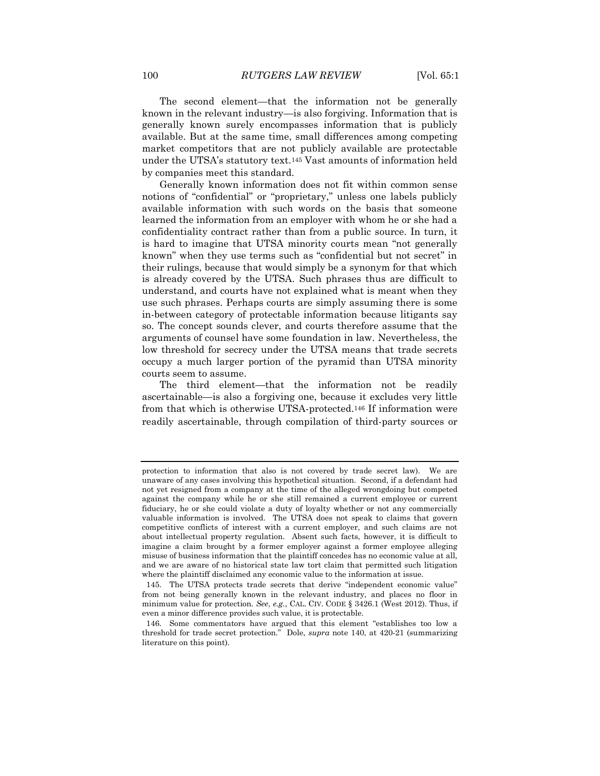The second element—that the information not be generally known in the relevant industry—is also forgiving. Information that is generally known surely encompasses information that is publicly available. But at the same time, small differences among competing market competitors that are not publicly available are protectable under the UTSA's statutory text.<sup>145</sup> Vast amounts of information held by companies meet this standard.

Generally known information does not fit within common sense notions of "confidential" or "proprietary," unless one labels publicly available information with such words on the basis that someone learned the information from an employer with whom he or she had a confidentiality contract rather than from a public source. In turn, it is hard to imagine that UTSA minority courts mean "not generally known" when they use terms such as "confidential but not secret" in their rulings, because that would simply be a synonym for that which is already covered by the UTSA. Such phrases thus are difficult to understand, and courts have not explained what is meant when they use such phrases. Perhaps courts are simply assuming there is some in-between category of protectable information because litigants say so. The concept sounds clever, and courts therefore assume that the arguments of counsel have some foundation in law. Nevertheless, the low threshold for secrecy under the UTSA means that trade secrets occupy a much larger portion of the pyramid than UTSA minority courts seem to assume.

The third element—that the information not be readily ascertainable—is also a forgiving one, because it excludes very little from that which is otherwise UTSA-protected.<sup>146</sup> If information were readily ascertainable, through compilation of third-party sources or

protection to information that also is not covered by trade secret law). We are unaware of any cases involving this hypothetical situation. Second, if a defendant had not yet resigned from a company at the time of the alleged wrongdoing but competed against the company while he or she still remained a current employee or current fiduciary, he or she could violate a duty of loyalty whether or not any commercially valuable information is involved. The UTSA does not speak to claims that govern competitive conflicts of interest with a current employer, and such claims are not about intellectual property regulation. Absent such facts, however, it is difficult to imagine a claim brought by a former employer against a former employee alleging misuse of business information that the plaintiff concedes has no economic value at all, and we are aware of no historical state law tort claim that permitted such litigation where the plaintiff disclaimed any economic value to the information at issue.

<sup>145.</sup> The UTSA protects trade secrets that derive "independent economic value" from not being generally known in the relevant industry, and places no floor in minimum value for protection. *See*, *e.g.*, CAL. CIV. CODE § 3426.1 (West 2012). Thus, if even a minor difference provides such value, it is protectable.

<sup>146.</sup> Some commentators have argued that this element "establishes too low a threshold for trade secret protection." Dole, *supra* note 140, at 420-21 (summarizing literature on this point).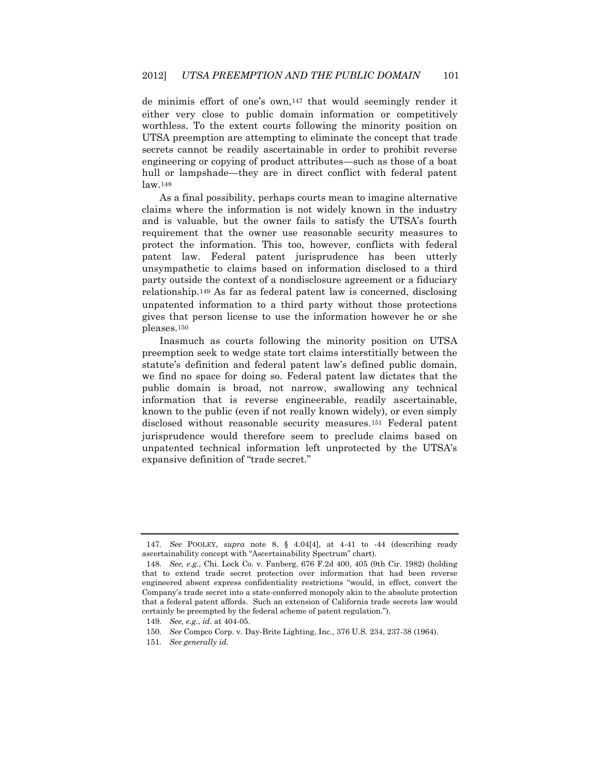de minimis effort of one's own,<sup>147</sup> that would seemingly render it either very close to public domain information or competitively worthless. To the extent courts following the minority position on UTSA preemption are attempting to eliminate the concept that trade secrets cannot be readily ascertainable in order to prohibit reverse engineering or copying of product attributes—such as those of a boat hull or lampshade—they are in direct conflict with federal patent law.<sup>148</sup>

As a final possibility, perhaps courts mean to imagine alternative claims where the information is not widely known in the industry and is valuable, but the owner fails to satisfy the UTSA's fourth requirement that the owner use reasonable security measures to protect the information. This too, however, conflicts with federal patent law. Federal patent jurisprudence has been utterly unsympathetic to claims based on information disclosed to a third party outside the context of a nondisclosure agreement or a fiduciary relationship.<sup>149</sup> As far as federal patent law is concerned, disclosing unpatented information to a third party without those protections gives that person license to use the information however he or she pleases.<sup>150</sup>

Inasmuch as courts following the minority position on UTSA preemption seek to wedge state tort claims interstitially between the statute's definition and federal patent law's defined public domain, we find no space for doing so. Federal patent law dictates that the public domain is broad, not narrow, swallowing any technical information that is reverse engineerable, readily ascertainable, known to the public (even if not really known widely), or even simply disclosed without reasonable security measures.<sup>151</sup> Federal patent jurisprudence would therefore seem to preclude claims based on unpatented technical information left unprotected by the UTSA's expansive definition of "trade secret."

<sup>147</sup>*. See* POOLEY, *supra* note 8, § 4.04[4], at 4-41 to -44 (describing ready ascertainability concept with "Ascertainability Spectrum" chart).

<sup>148</sup>*. See, e.g.*, Chi. Lock Co. v. Fanberg, 676 F.2d 400, 405 (9th Cir. 1982) (holding that to extend trade secret protection over information that had been reverse engineered absent express confidentiality restrictions "would, in effect, convert the Company's trade secret into a state-conferred monopoly akin to the absolute protection that a federal patent affords. Such an extension of California trade secrets law would certainly be preempted by the federal scheme of patent regulation.").

<sup>149</sup>*. See, e.g.*, *id.* at 404-05.

<sup>150</sup>*. See* Compco Corp. v. Day-Brite Lighting, Inc., 376 U.S. 234, 237-38 (1964).

<sup>151</sup>*. See generally id.*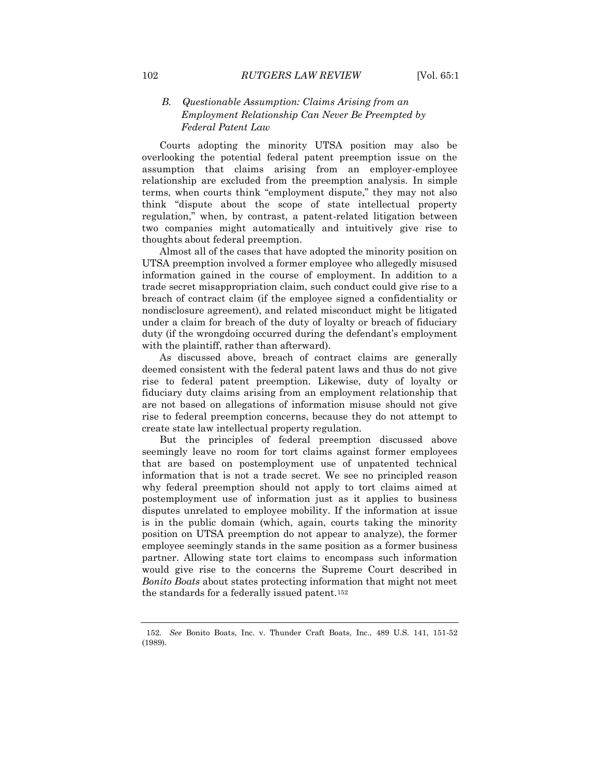## *B. Questionable Assumption: Claims Arising from an Employment Relationship Can Never Be Preempted by Federal Patent Law*

Courts adopting the minority UTSA position may also be overlooking the potential federal patent preemption issue on the assumption that claims arising from an employer-employee relationship are excluded from the preemption analysis. In simple terms, when courts think "employment dispute," they may not also think "dispute about the scope of state intellectual property regulation," when, by contrast, a patent-related litigation between two companies might automatically and intuitively give rise to thoughts about federal preemption.

Almost all of the cases that have adopted the minority position on UTSA preemption involved a former employee who allegedly misused information gained in the course of employment. In addition to a trade secret misappropriation claim, such conduct could give rise to a breach of contract claim (if the employee signed a confidentiality or nondisclosure agreement), and related misconduct might be litigated under a claim for breach of the duty of loyalty or breach of fiduciary duty (if the wrongdoing occurred during the defendant's employment with the plaintiff, rather than afterward).

As discussed above, breach of contract claims are generally deemed consistent with the federal patent laws and thus do not give rise to federal patent preemption. Likewise, duty of loyalty or fiduciary duty claims arising from an employment relationship that are not based on allegations of information misuse should not give rise to federal preemption concerns, because they do not attempt to create state law intellectual property regulation.

But the principles of federal preemption discussed above seemingly leave no room for tort claims against former employees that are based on postemployment use of unpatented technical information that is not a trade secret. We see no principled reason why federal preemption should not apply to tort claims aimed at postemployment use of information just as it applies to business disputes unrelated to employee mobility. If the information at issue is in the public domain (which, again, courts taking the minority position on UTSA preemption do not appear to analyze), the former employee seemingly stands in the same position as a former business partner. Allowing state tort claims to encompass such information would give rise to the concerns the Supreme Court described in *Bonito Boats* about states protecting information that might not meet the standards for a federally issued patent.<sup>152</sup>

<sup>152.</sup> *See* Bonito Boats, Inc. v. Thunder Craft Boats, Inc., 489 U.S. 141, 151-52 (1989).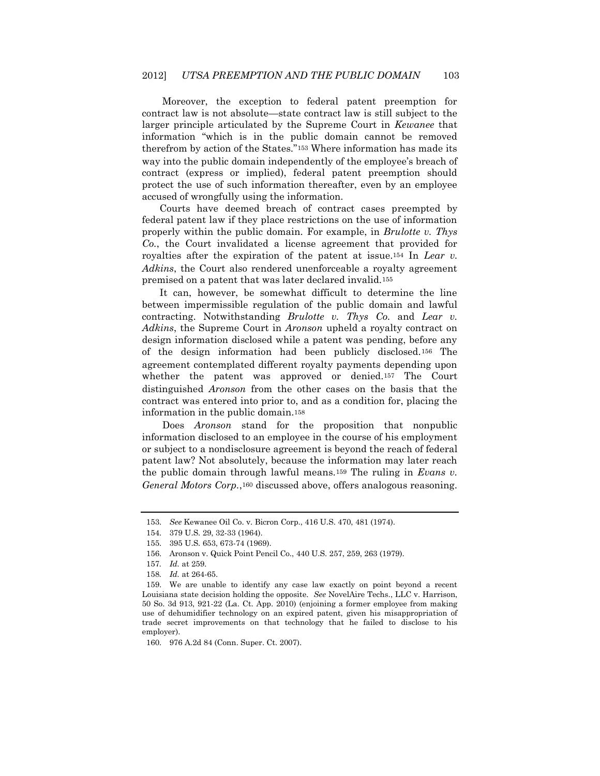Moreover, the exception to federal patent preemption for contract law is not absolute—state contract law is still subject to the larger principle articulated by the Supreme Court in *Kewanee* that information "which is in the public domain cannot be removed therefrom by action of the States."<sup>153</sup> Where information has made its way into the public domain independently of the employee's breach of contract (express or implied), federal patent preemption should protect the use of such information thereafter, even by an employee accused of wrongfully using the information.

Courts have deemed breach of contract cases preempted by federal patent law if they place restrictions on the use of information properly within the public domain. For example, in *Brulotte v. Thys Co.*, the Court invalidated a license agreement that provided for royalties after the expiration of the patent at issue.<sup>154</sup> In *Lear v. Adkins*, the Court also rendered unenforceable a royalty agreement premised on a patent that was later declared invalid.<sup>155</sup>

It can, however, be somewhat difficult to determine the line between impermissible regulation of the public domain and lawful contracting. Notwithstanding *Brulotte v. Thys Co.* and *Lear v. Adkins*, the Supreme Court in *Aronson* upheld a royalty contract on design information disclosed while a patent was pending, before any of the design information had been publicly disclosed.<sup>156</sup> The agreement contemplated different royalty payments depending upon whether the patent was approved or denied.<sup>157</sup> The Court distinguished *Aronson* from the other cases on the basis that the contract was entered into prior to, and as a condition for, placing the information in the public domain.<sup>158</sup>

Does *Aronson* stand for the proposition that nonpublic information disclosed to an employee in the course of his employment or subject to a nondisclosure agreement is beyond the reach of federal patent law? Not absolutely, because the information may later reach the public domain through lawful means.<sup>159</sup> The ruling in *Evans v. General Motors Corp.*,<sup>160</sup> discussed above, offers analogous reasoning.

<sup>153.</sup> *See* Kewanee Oil Co. v. Bicron Corp., 416 U.S. 470, 481 (1974).

<sup>154.</sup> 379 U.S. 29, 32-33 (1964).

<sup>155.</sup> 395 U.S. 653, 673-74 (1969).

<sup>156.</sup> Aronson v. Quick Point Pencil Co., 440 U.S. 257, 259, 263 (1979).

<sup>157</sup>*. Id.* at 259.

<sup>158</sup>*. Id.* at 264-65.

<sup>159.</sup> We are unable to identify any case law exactly on point beyond a recent Louisiana state decision holding the opposite. *See* NovelAire Techs., LLC v. Harrison, 50 So. 3d 913, 921-22 (La. Ct. App. 2010) (enjoining a former employee from making use of dehumidifier technology on an expired patent, given his misappropriation of trade secret improvements on that technology that he failed to disclose to his employer).

<sup>160.</sup> 976 A.2d 84 (Conn. Super. Ct. 2007).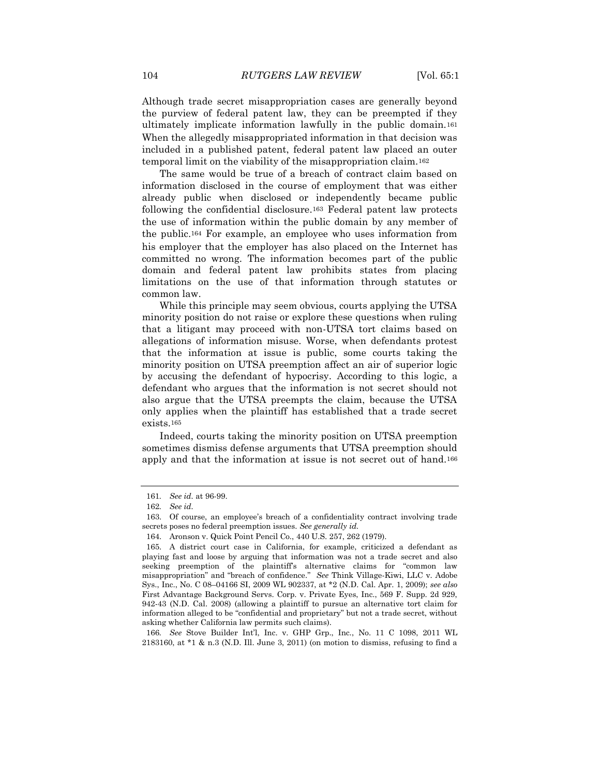Although trade secret misappropriation cases are generally beyond the purview of federal patent law, they can be preempted if they ultimately implicate information lawfully in the public domain.<sup>161</sup> When the allegedly misappropriated information in that decision was included in a published patent, federal patent law placed an outer temporal limit on the viability of the misappropriation claim.<sup>162</sup>

The same would be true of a breach of contract claim based on information disclosed in the course of employment that was either already public when disclosed or independently became public following the confidential disclosure.<sup>163</sup> Federal patent law protects the use of information within the public domain by any member of the public.<sup>164</sup> For example, an employee who uses information from his employer that the employer has also placed on the Internet has committed no wrong. The information becomes part of the public domain and federal patent law prohibits states from placing limitations on the use of that information through statutes or common law.

While this principle may seem obvious, courts applying the UTSA minority position do not raise or explore these questions when ruling that a litigant may proceed with non-UTSA tort claims based on allegations of information misuse. Worse, when defendants protest that the information at issue is public, some courts taking the minority position on UTSA preemption affect an air of superior logic by accusing the defendant of hypocrisy. According to this logic, a defendant who argues that the information is not secret should not also argue that the UTSA preempts the claim, because the UTSA only applies when the plaintiff has established that a trade secret exists.<sup>165</sup>

Indeed, courts taking the minority position on UTSA preemption sometimes dismiss defense arguments that UTSA preemption should apply and that the information at issue is not secret out of hand.<sup>166</sup>

<sup>161</sup>*. See id.* at 96-99.

<sup>162</sup>*. See id.*

<sup>163.</sup> Of course, an employee's breach of a confidentiality contract involving trade secrets poses no federal preemption issues. *See generally id.*

<sup>164.</sup> Aronson v. Quick Point Pencil Co., 440 U.S. 257, 262 (1979).

<sup>165.</sup> A district court case in California, for example, criticized a defendant as playing fast and loose by arguing that information was not a trade secret and also seeking preemption of the plaintiff's alternative claims for "common law misappropriation" and "breach of confidence." *See* Think Village-Kiwi, LLC v. Adobe Sys., Inc., No. C 08–04166 SI, 2009 WL 902337, at \*2 (N.D. Cal. Apr. 1, 2009); *see also*  First Advantage Background Servs. Corp. v. Private Eyes, Inc., 569 F. Supp. 2d 929, 942-43 (N.D. Cal. 2008) (allowing a plaintiff to pursue an alternative tort claim for information alleged to be "confidential and proprietary" but not a trade secret, without asking whether California law permits such claims).

<sup>166</sup>*. See* Stove Builder Int'l, Inc. v. GHP Grp., Inc., No. 11 C 1098, 2011 WL 2183160, at \*1 & n.3 (N.D. Ill. June 3, 2011) (on motion to dismiss, refusing to find a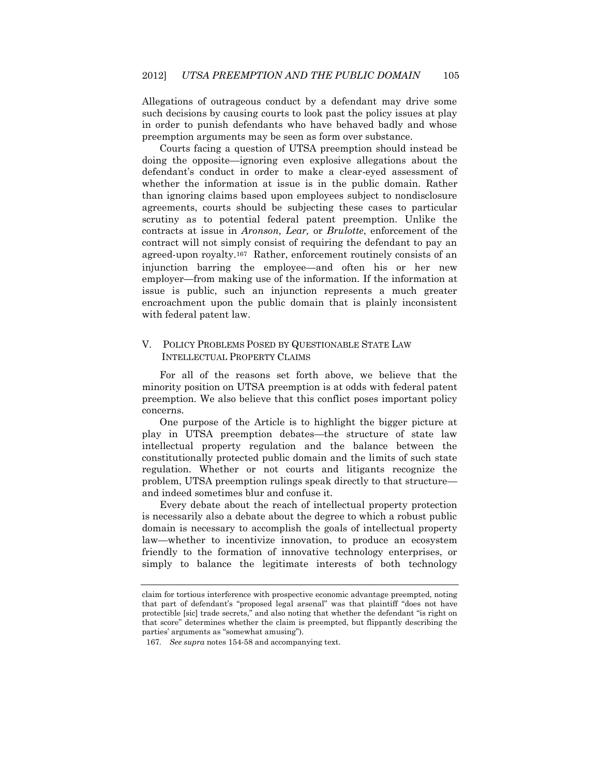Allegations of outrageous conduct by a defendant may drive some such decisions by causing courts to look past the policy issues at play in order to punish defendants who have behaved badly and whose preemption arguments may be seen as form over substance.

Courts facing a question of UTSA preemption should instead be doing the opposite—ignoring even explosive allegations about the defendant's conduct in order to make a clear-eyed assessment of whether the information at issue is in the public domain. Rather than ignoring claims based upon employees subject to nondisclosure agreements, courts should be subjecting these cases to particular scrutiny as to potential federal patent preemption. Unlike the contracts at issue in *Aronson, Lear,* or *Brulotte*, enforcement of the contract will not simply consist of requiring the defendant to pay an agreed-upon royalty.167 Rather, enforcement routinely consists of an injunction barring the employee—and often his or her new employer—from making use of the information. If the information at issue is public, such an injunction represents a much greater encroachment upon the public domain that is plainly inconsistent with federal patent law.

## V. POLICY PROBLEMS POSED BY QUESTIONABLE STATE LAW INTELLECTUAL PROPERTY CLAIMS

For all of the reasons set forth above, we believe that the minority position on UTSA preemption is at odds with federal patent preemption. We also believe that this conflict poses important policy concerns.

One purpose of the Article is to highlight the bigger picture at play in UTSA preemption debates—the structure of state law intellectual property regulation and the balance between the constitutionally protected public domain and the limits of such state regulation. Whether or not courts and litigants recognize the problem, UTSA preemption rulings speak directly to that structure and indeed sometimes blur and confuse it.

Every debate about the reach of intellectual property protection is necessarily also a debate about the degree to which a robust public domain is necessary to accomplish the goals of intellectual property law—whether to incentivize innovation, to produce an ecosystem friendly to the formation of innovative technology enterprises, or simply to balance the legitimate interests of both technology

claim for tortious interference with prospective economic advantage preempted, noting that part of defendant's "proposed legal arsenal" was that plaintiff "does not have protectible [sic] trade secrets," and also noting that whether the defendant "is right on that score" determines whether the claim is preempted, but flippantly describing the parties' arguments as "somewhat amusing").

<sup>167</sup>*. See supra* notes 154-58 and accompanying text.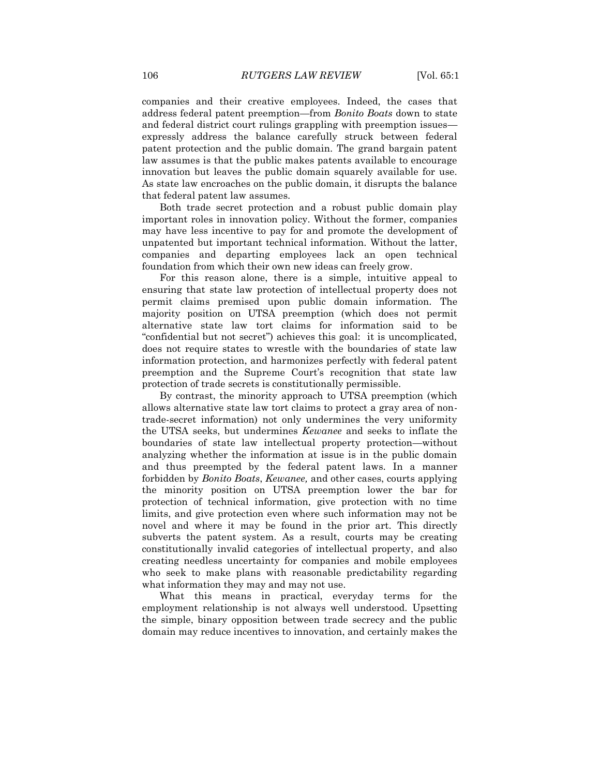companies and their creative employees. Indeed, the cases that address federal patent preemption—from *Bonito Boats* down to state and federal district court rulings grappling with preemption issues expressly address the balance carefully struck between federal patent protection and the public domain. The grand bargain patent law assumes is that the public makes patents available to encourage innovation but leaves the public domain squarely available for use. As state law encroaches on the public domain, it disrupts the balance that federal patent law assumes.

Both trade secret protection and a robust public domain play important roles in innovation policy. Without the former, companies may have less incentive to pay for and promote the development of unpatented but important technical information. Without the latter, companies and departing employees lack an open technical foundation from which their own new ideas can freely grow.

For this reason alone, there is a simple, intuitive appeal to ensuring that state law protection of intellectual property does not permit claims premised upon public domain information. The majority position on UTSA preemption (which does not permit alternative state law tort claims for information said to be "confidential but not secret") achieves this goal: it is uncomplicated, does not require states to wrestle with the boundaries of state law information protection, and harmonizes perfectly with federal patent preemption and the Supreme Court's recognition that state law protection of trade secrets is constitutionally permissible.

By contrast, the minority approach to UTSA preemption (which allows alternative state law tort claims to protect a gray area of nontrade-secret information) not only undermines the very uniformity the UTSA seeks, but undermines *Kewanee* and seeks to inflate the boundaries of state law intellectual property protection—without analyzing whether the information at issue is in the public domain and thus preempted by the federal patent laws. In a manner forbidden by *Bonito Boats*, *Kewanee,* and other cases, courts applying the minority position on UTSA preemption lower the bar for protection of technical information, give protection with no time limits, and give protection even where such information may not be novel and where it may be found in the prior art. This directly subverts the patent system. As a result, courts may be creating constitutionally invalid categories of intellectual property, and also creating needless uncertainty for companies and mobile employees who seek to make plans with reasonable predictability regarding what information they may and may not use.

What this means in practical, everyday terms for the employment relationship is not always well understood. Upsetting the simple, binary opposition between trade secrecy and the public domain may reduce incentives to innovation, and certainly makes the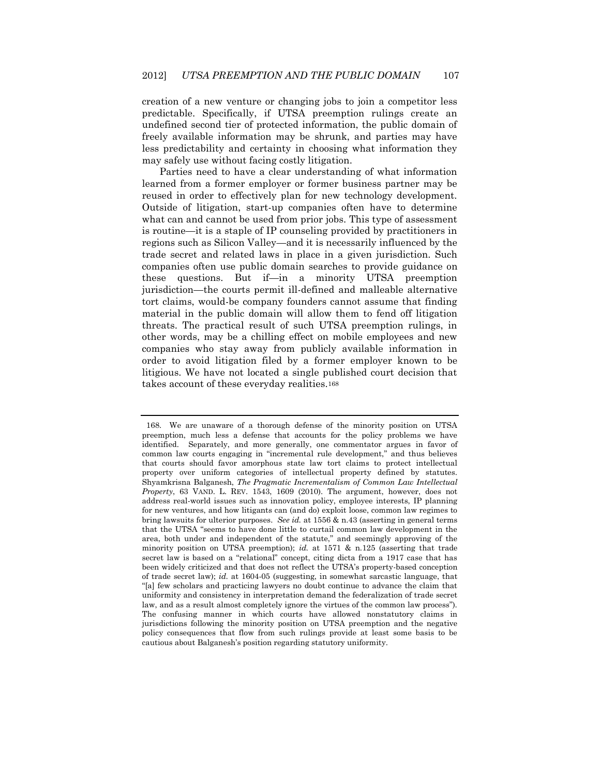creation of a new venture or changing jobs to join a competitor less predictable. Specifically, if UTSA preemption rulings create an undefined second tier of protected information, the public domain of freely available information may be shrunk, and parties may have less predictability and certainty in choosing what information they may safely use without facing costly litigation.

Parties need to have a clear understanding of what information learned from a former employer or former business partner may be reused in order to effectively plan for new technology development. Outside of litigation, start-up companies often have to determine what can and cannot be used from prior jobs. This type of assessment is routine—it is a staple of IP counseling provided by practitioners in regions such as Silicon Valley—and it is necessarily influenced by the trade secret and related laws in place in a given jurisdiction. Such companies often use public domain searches to provide guidance on these questions. But if—in a minority UTSA preemption jurisdiction—the courts permit ill-defined and malleable alternative tort claims, would-be company founders cannot assume that finding material in the public domain will allow them to fend off litigation threats. The practical result of such UTSA preemption rulings, in other words, may be a chilling effect on mobile employees and new companies who stay away from publicly available information in order to avoid litigation filed by a former employer known to be litigious. We have not located a single published court decision that takes account of these everyday realities.<sup>168</sup>

<sup>168.</sup> We are unaware of a thorough defense of the minority position on UTSA preemption, much less a defense that accounts for the policy problems we have identified. Separately, and more generally, one commentator argues in favor of common law courts engaging in "incremental rule development," and thus believes that courts should favor amorphous state law tort claims to protect intellectual property over uniform categories of intellectual property defined by statutes. Shyamkrisna Balganesh, *The Pragmatic Incrementalism of Common Law Intellectual Property*, 63 VAND. L. REV. 1543, 1609 (2010). The argument, however, does not address real-world issues such as innovation policy, employee interests, IP planning for new ventures, and how litigants can (and do) exploit loose, common law regimes to bring lawsuits for ulterior purposes. *See id.* at 1556 & n.43 (asserting in general terms that the UTSA "seems to have done little to curtail common law development in the area, both under and independent of the statute," and seemingly approving of the minority position on UTSA preemption); *id.* at 1571 & n.125 (asserting that trade secret law is based on a "relational" concept, citing dicta from a 1917 case that has been widely criticized and that does not reflect the UTSA's property-based conception of trade secret law); *id.* at 1604-05 (suggesting, in somewhat sarcastic language, that "[a] few scholars and practicing lawyers no doubt continue to advance the claim that uniformity and consistency in interpretation demand the federalization of trade secret law, and as a result almost completely ignore the virtues of the common law process"). The confusing manner in which courts have allowed nonstatutory claims in jurisdictions following the minority position on UTSA preemption and the negative policy consequences that flow from such rulings provide at least some basis to be cautious about Balganesh's position regarding statutory uniformity.